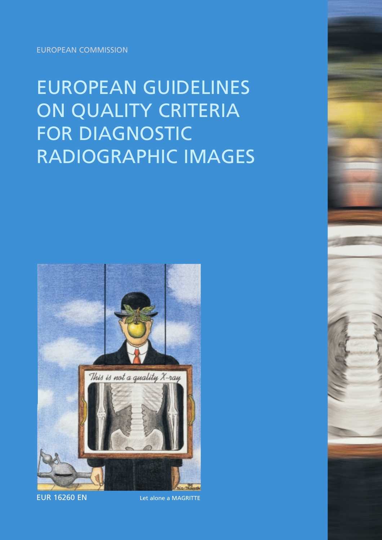EUROPEAN COMMISSION

EUROPEAN GUIDELINES ON QUALITY CRITERIA FOR DIAGNOSTIC RADIOGRAPHIC IMAGES



EUR 16260 EN Let alone a MAGRITTE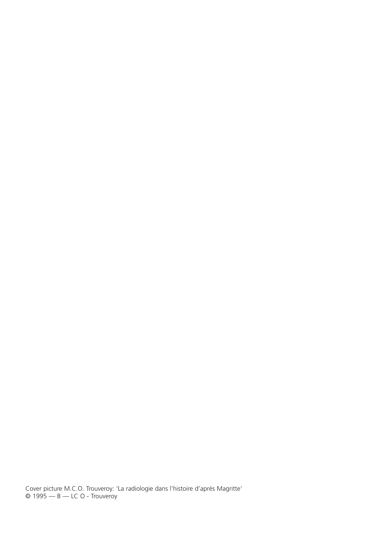Cover picture M.C.O. Trouveroy: 'La radiologie dans l'histoire d'après Magritte'  $\circledcirc$  1995 — B — LC O - Trouveroy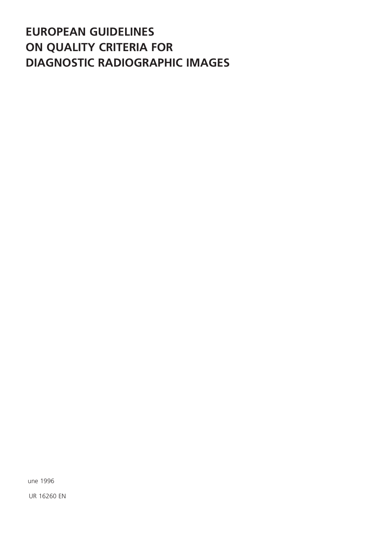# **EUROPEAN GUIDELINES ON QUALITY CRITERIA FOR DIAGNOSTIC RADIOGRAPHIC IMAGES**

une 1996

UR 16260 EN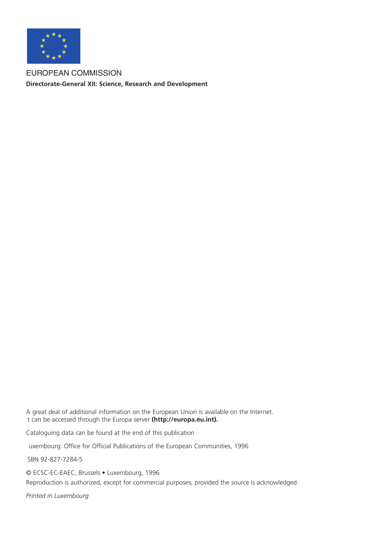

EUROPEAN COMMISSION **Directorate-General XII: Science, Research and Development**

A great deal of additional information on the European Union is available on the Internet. t can be accessed through the Europa server **(http://europa.eu.int).**

Cataloguing data can be found at the end of this publication

uxembourg: Office for Official Publications of the European Communities, 1996

SBN 92-827-7284-5

© ECSC-EC-EAEC, Brussels • Luxembourg, 1996 Reproduction is authorized, except for commercial purposes, provided the source is acknowledged

*Printed in Luxembourg*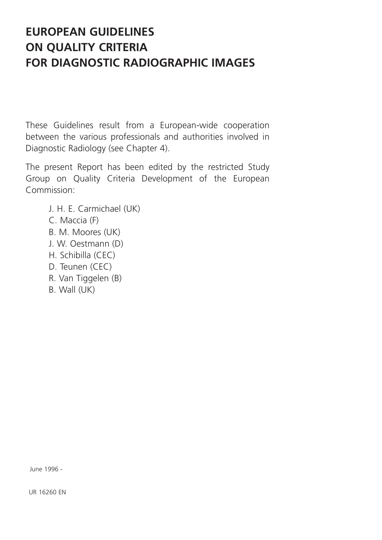# **EUROPEAN GUIDELINES ON QUALITY CRITERIA FOR DIAGNOSTIC RADIOGRAPHIC IMAGES**

These Guidelines result from a European-wide cooperation between the various professionals and authorities involved in Diagnostic Radiology (see Chapter 4).

The present Report has been edited by the restricted Study Group on Quality Criteria Development of the European Commission:

J. H. E. Carmichael (UK) C. Maccia (F) B. M. Moores (UK) J. W. Oestmann (D) H. Schibilla (CEC) D. Teunen (CEC) R. Van Tiggelen (B) B. Wall (UK)

June 1996 -

UR 16260 EN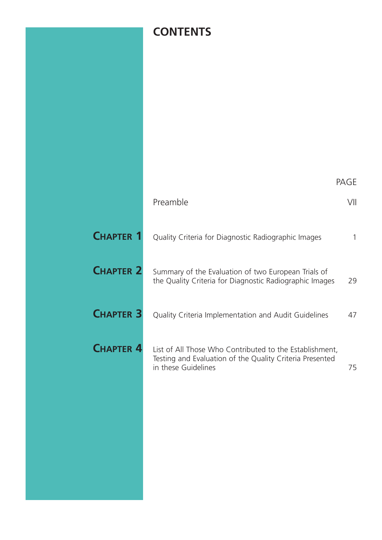|                  | <b>CONTENTS</b>                                                                                                                            |              |
|------------------|--------------------------------------------------------------------------------------------------------------------------------------------|--------------|
|                  |                                                                                                                                            |              |
|                  |                                                                                                                                            |              |
|                  |                                                                                                                                            |              |
|                  |                                                                                                                                            |              |
|                  |                                                                                                                                            |              |
|                  |                                                                                                                                            | PAGE         |
|                  | Preamble                                                                                                                                   | VII          |
| <b>CHAPTER 1</b> | Quality Criteria for Diagnostic Radiographic Images                                                                                        | $\mathbf{1}$ |
| <b>CHAPTER 2</b> | Summary of the Evaluation of two European Trials of<br>the Quality Criteria for Diagnostic Radiographic Images                             | 29           |
| <b>CHAPTER 3</b> | Quality Criteria Implementation and Audit Guidelines                                                                                       | 47           |
| <b>CHAPTER 4</b> | List of All Those Who Contributed to the Establishment,<br>Testing and Evaluation of the Quality Criteria Presented<br>in these Guidelines | 75           |
|                  |                                                                                                                                            |              |
|                  |                                                                                                                                            |              |
|                  |                                                                                                                                            |              |
|                  |                                                                                                                                            |              |
|                  |                                                                                                                                            |              |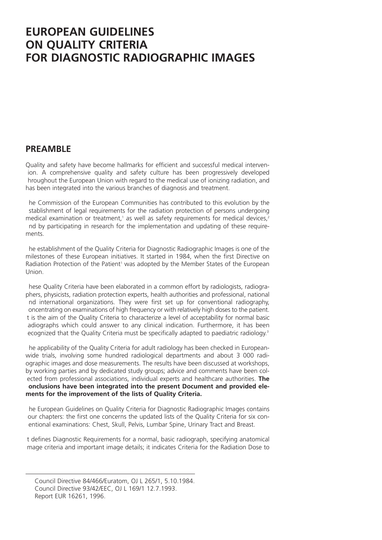## **EUROPEAN GUIDELINES ON QUALITY CRITERIA FOR DIAGNOSTIC RADIOGRAPHIC IMAGES**

## **PREAMBLE**

Quality and safety have become hallmarks for efficient and successful medical intervenion. A comprehensive quality and safety culture has been progressively developed hroughout the European Union with regard to the medical use of ionizing radiation, and has been integrated into the various branches of diagnosis and treatment.

he Commission of the European Communities has contributed to this evolution by the stablishment of legal requirements for the radiation protection of persons undergoing medical examination or treatment,<sup>1</sup> as well as safety requirements for medical devices,<sup>2</sup> nd by participating in research for the implementation and updating of these requirements.

he establishment of the Quality Criteria for Diagnostic Radiographic Images is one of the milestones of these European initiatives. It started in 1984, when the first Directive on Radiation Protection of the Patient<sup>1</sup> was adopted by the Member States of the European Union.

hese Quality Criteria have been elaborated in a common effort by radiologists, radiographers, physicists, radiation protection experts, health authorities and professional, national nd international organizations. They were first set up for conventional radiography, oncentrating on examinations of high frequency or with relatively high doses to the patient. t is the aim of the Quality Criteria to characterize a level of acceptability for normal basic adiographs which could answer to any clinical indication. Furthermore, it has been ecognized that the Quality Criteria must be specifically adapted to paediatric radiology.<sup>3</sup>

he applicability of the Quality Criteria for adult radiology has been checked in Europeanwide trials, involving some hundred radiological departments and about 3 000 radiographic images and dose measurements. The results have been discussed at workshops, by working parties and by dedicated study groups; advice and comments have been colected from professional associations, individual experts and healthcare authorities. **The onclusions have been integrated into the present Document and provided elements for the improvement of the lists of Quality Criteria.**

he European Guidelines on Quality Criteria for Diagnostic Radiographic Images contains our chapters: the first one concerns the updated lists of the Quality Criteria for six conentional examinations: Chest, Skull, Pelvis, Lumbar Spine, Urinary Tract and Breast.

t defines Diagnostic Requirements for a normal, basic radiograph, specifying anatomical mage criteria and important image details; it indicates Criteria for the Radiation Dose to

Council Directive 84/466/Euratom, OJ L 265/1, 5.10.1984. Council Directive 93/42/EEC, OJ L 169/1 12.7.1993. Report EUR 16261, 1996.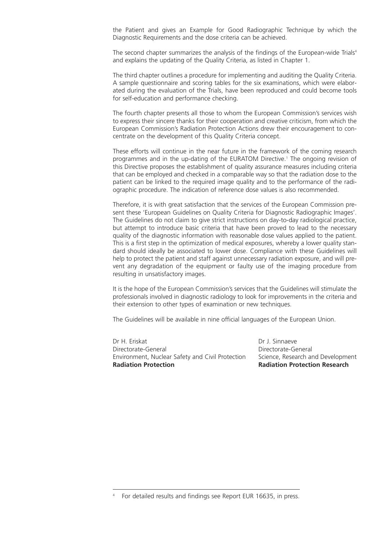the Patient and gives an Example for Good Radiographic Technique by which the Diagnostic Requirements and the dose criteria can be achieved.

The second chapter summarizes the analysis of the findings of the European-wide Trials<sup>4</sup> and explains the updating of the Quality Criteria, as listed in Chapter 1.

The third chapter outlines a procedure for implementing and auditing the Quality Criteria. A sample questionnaire and scoring tables for the six examinations, which were elaborated during the evaluation of the Trials, have been reproduced and could become tools for self-education and performance checking.

The fourth chapter presents all those to whom the European Commission's services wish to express their sincere thanks for their cooperation and creative criticism, from which the European Commission's Radiation Protection Actions drew their encouragement to concentrate on the development of this Quality Criteria concept.

These efforts will continue in the near future in the framework of the coming research programmes and in the up-dating of the EURATOM Directive.<sup>1</sup> The ongoing revision of this Directive proposes the establishment of quality assurance measures including criteria that can be employed and checked in a comparable way so that the radiation dose to the patient can be linked to the required image quality and to the performance of the radiographic procedure. The indication of reference dose values is also recommended.

Therefore, it is with great satisfaction that the services of the European Commission present these 'European Guidelines on Quality Criteria for Diagnostic Radiographic Images'. The Guidelines do not claim to give strict instructions on day-to-day radiological practice, but attempt to introduce basic criteria that have been proved to lead to the necessary quality of the diagnostic information with reasonable dose values applied to the patient. This is a first step in the optimization of medical exposures, whereby a lower quality standard should ideally be associated to lower dose. Compliance with these Guidelines will help to protect the patient and staff against unnecessary radiation exposure, and will prevent any degradation of the equipment or faulty use of the imaging procedure from resulting in unsatisfactory images.

It is the hope of the European Commission's services that the Guidelines will stimulate the professionals involved in diagnostic radiology to look for improvements in the criteria and their extension to other types of examination or new techniques.

The Guidelines will be available in nine official languages of the European Union.

Dr H. Eriskat Dr J. Sinnaeve Directorate-General<br>
Environment, Nuclear Safety and Civil Protection Science, Research and Development Environment, Nuclear Safety and Civil Protection **Radiation Protection Communisty Radiation Protection Research** 

<sup>4</sup> For detailed results and findings see Report EUR 16635, in press.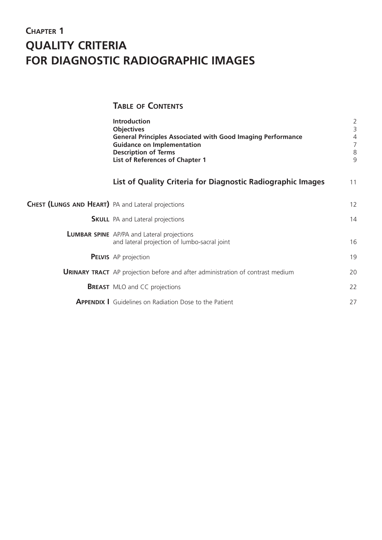# **CHAPTER 1 QUALITY CRITERIA FOR DIAGNOSTIC RADIOGRAPHIC IMAGES**

**TABLE OF CONTENTS**

|                                                    | <b>Introduction</b><br><b>Objectives</b><br><b>General Principles Associated with Good Imaging Performance</b><br><b>Guidance on Implementation</b><br><b>Description of Terms</b><br>List of References of Chapter 1 | $\overline{c}$<br>3<br>4<br>7<br>8<br>9 |
|----------------------------------------------------|-----------------------------------------------------------------------------------------------------------------------------------------------------------------------------------------------------------------------|-----------------------------------------|
|                                                    | List of Quality Criteria for Diagnostic Radiographic Images                                                                                                                                                           | 11                                      |
| CHEST (LUNGS AND HEART) PA and Lateral projections |                                                                                                                                                                                                                       | 12                                      |
|                                                    | <b>SKULL</b> PA and Lateral projections                                                                                                                                                                               | 14                                      |
|                                                    | <b>LUMBAR SPINE</b> AP/PA and Lateral projections<br>and lateral projection of lumbo-sacral joint                                                                                                                     | 16                                      |
|                                                    | <b>PELVIS</b> AP projection                                                                                                                                                                                           | 19                                      |
|                                                    | <b>URINARY TRACT</b> AP projection before and after administration of contrast medium                                                                                                                                 | 20                                      |
|                                                    | <b>BREAST</b> MLO and CC projections                                                                                                                                                                                  | 22                                      |
|                                                    | <b>APPENDIX I</b> Guidelines on Radiation Dose to the Patient                                                                                                                                                         | 27                                      |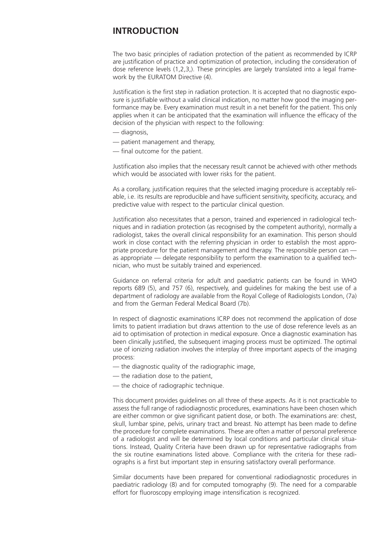## **INTRODUCTION**

The two basic principles of radiation protection of the patient as recommended by ICRP are justification of practice and optimization of protection, including the consideration of dose reference levels (1,2,3,). These principles are largely translated into a legal framework by the EURATOM Directive (4).

Justification is the first step in radiation protection. It is accepted that no diagnostic exposure is justifiable without a valid clinical indication, no matter how good the imaging performance may be. Every examination must result in a net benefit for the patient. This only applies when it can be anticipated that the examination will influence the efficacy of the decision of the physician with respect to the following:

- diagnosis,
- patient management and therapy,
- final outcome for the patient.

Justification also implies that the necessary result cannot be achieved with other methods which would be associated with lower risks for the patient.

As a corollary, justification requires that the selected imaging procedure is acceptably reliable, i.e. its results are reproducible and have sufficient sensitivity, specificity, accuracy, and predictive value with respect to the particular clinical question.

Justification also necessitates that a person, trained and experienced in radiological techniques and in radiation protection (as recognised by the competent authority), normally a radiologist, takes the overall clinical responsibility for an examination. This person should work in close contact with the referring physician in order to establish the most appropriate procedure for the patient management and therapy. The responsible person can as appropriate — delegate responsibility to perform the examination to a qualified technician, who must be suitably trained and experienced.

Guidance on referral criteria for adult and paediatric patients can be found in WHO reports 689 (5), and 757 (6), respectively, and guidelines for making the best use of a department of radiology are available from the Royal College of Radiologists London, (7a) and from the German Federal Medical Board (7b).

In respect of diagnostic examinations ICRP does not recommend the application of dose limits to patient irradiation but draws attention to the use of dose reference levels as an aid to optimisation of protection in medical exposure. Once a diagnostic examination has been clinically justified, the subsequent imaging process must be optimized. The optimal use of ionizing radiation involves the interplay of three important aspects of the imaging process:

- the diagnostic quality of the radiographic image,
- the radiation dose to the patient,
- the choice of radiographic technique.

This document provides guidelines on all three of these aspects. As it is not practicable to assess the full range of radiodiagnostic procedures, examinations have been chosen which are either common or give significant patient dose, or both. The examinations are: chest, skull, lumbar spine, pelvis, urinary tract and breast. No attempt has been made to define the procedure for complete examinations. These are often a matter of personal preference of a radiologist and will be determined by local conditions and particular clinical situations. Instead, Quality Criteria have been drawn up for representative radiographs from the six routine examinations listed above. Compliance with the criteria for these radiographs is a first but important step in ensuring satisfactory overall performance.

Similar documents have been prepared for conventional radiodiagnostic procedures in paediatric radiology (8) and for computed tomography (9). The need for a comparable effort for fluoroscopy employing image intensification is recognized.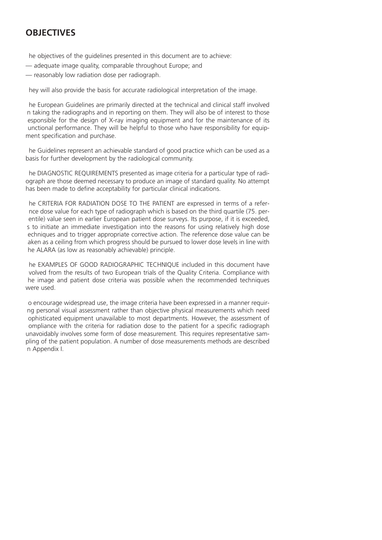## **OBJECTIVES**

he objectives of the guidelines presented in this document are to achieve:

- adequate image quality, comparable throughout Europe; and
- reasonably low radiation dose per radiograph.

hey will also provide the basis for accurate radiological interpretation of the image.

he European Guidelines are primarily directed at the technical and clinical staff involved n taking the radiographs and in reporting on them. They will also be of interest to those esponsible for the design of X-ray imaging equipment and for the maintenance of its unctional performance. They will be helpful to those who have responsibility for equipment specification and purchase.

he Guidelines represent an achievable standard of good practice which can be used as a basis for further development by the radiological community.

he DIAGNOSTIC REQUIREMENTS presented as image criteria for a particular type of radiograph are those deemed necessary to produce an image of standard quality. No attempt has been made to define acceptability for particular clinical indications.

he CRITERIA FOR RADIATION DOSE TO THE PATIENT are expressed in terms of a refernce dose value for each type of radiograph which is based on the third quartile (75. perentile) value seen in earlier European patient dose surveys. Its purpose, if it is exceeded, s to initiate an immediate investigation into the reasons for using relatively high dose echniques and to trigger appropriate corrective action. The reference dose value can be aken as a ceiling from which progress should be pursued to lower dose levels in line with he ALARA (as low as reasonably achievable) principle.

he EXAMPLES OF GOOD RADIOGRAPHIC TECHNIQUE included in this document have volved from the results of two European trials of the Quality Criteria. Compliance with he image and patient dose criteria was possible when the recommended techniques were used.

o encourage widespread use, the image criteria have been expressed in a manner requirng personal visual assessment rather than objective physical measurements which need ophisticated equipment unavailable to most departments. However, the assessment of ompliance with the criteria for radiation dose to the patient for a specific radiograph unavoidably involves some form of dose measurement. This requires representative sampling of the patient population. A number of dose measurements methods are described n Appendix I.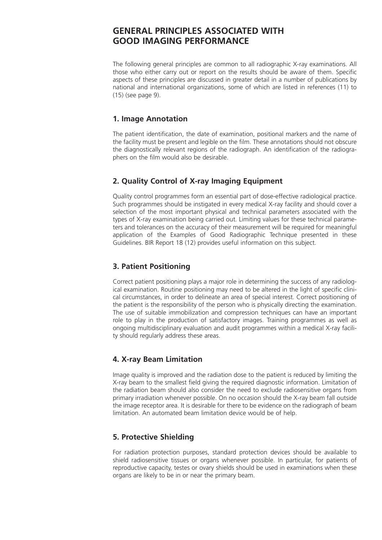## **GENERAL PRINCIPLES ASSOCIATED WITH GOOD IMAGING PERFORMANCE**

The following general principles are common to all radiographic X-ray examinations. All those who either carry out or report on the results should be aware of them. Specific aspects of these principles are discussed in greater detail in a number of publications by national and international organizations, some of which are listed in references (11) to (15) (see page 9).

#### **1. Image Annotation**

The patient identification, the date of examination, positional markers and the name of the facility must be present and legible on the film. These annotations should not obscure the diagnostically relevant regions of the radiograph. An identification of the radiographers on the film would also be desirable.

#### **2. Quality Control of X-ray Imaging Equipment**

Quality control programmes form an essential part of dose-effective radiological practice. Such programmes should be instigated in every medical X-ray facility and should cover a selection of the most important physical and technical parameters associated with the types of X-ray examination being carried out. Limiting values for these technical parameters and tolerances on the accuracy of their measurement will be required for meaningful application of the Examples of Good Radiographic Technique presented in these Guidelines. BIR Report 18 (12) provides useful information on this subject.

#### **3. Patient Positioning**

Correct patient positioning plays a major role in determining the success of any radiological examination. Routine positioning may need to be altered in the light of specific clinical circumstances, in order to delineate an area of special interest. Correct positioning of the patient is the responsibility of the person who is physically directing the examination. The use of suitable immobilization and compression techniques can have an important role to play in the production of satisfactory images. Training programmes as well as ongoing multidisciplinary evaluation and audit programmes within a medical X-ray facility should regularly address these areas.

#### **4. X-ray Beam Limitation**

Image quality is improved and the radiation dose to the patient is reduced by limiting the X-ray beam to the smallest field giving the required diagnostic information. Limitation of the radiation beam should also consider the need to exclude radiosensitive organs from primary irradiation whenever possible. On no occasion should the X-ray beam fall outside the image receptor area. It is desirable for there to be evidence on the radiograph of beam limitation. An automated beam limitation device would be of help.

#### **5. Protective Shielding**

For radiation protection purposes, standard protection devices should be available to shield radiosensitive tissues or organs whenever possible. In particular, for patients of reproductive capacity, testes or ovary shields should be used in examinations when these organs are likely to be in or near the primary beam.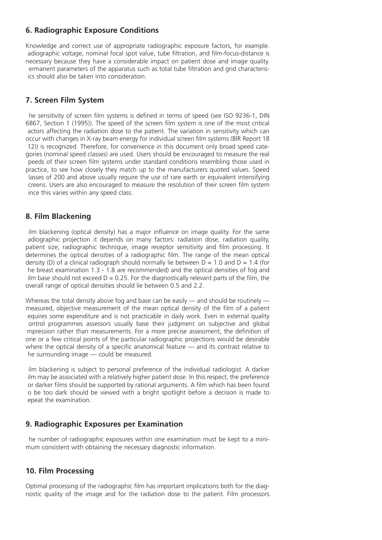#### **6. Radiographic Exposure Conditions**

Knowledge and correct use of appropriate radiographic exposure factors, for example. adiographic voltage, nominal focal spot value, tube filtration, and film-focus-distance is necessary because they have a considerable impact on patient dose and image quality. ermanent parameters of the apparatus such as total tube filtration and grid characterisics should also be taken into consideration.

#### **7. Screen Film System**

he sensitivity of screen film systems is defined in terms of speed (see ISO 9236-1, DIN 6867, Section 1 (1995)). The speed of the screen film system is one of the most critical actors affecting the radiation dose to the patient. The variation in sensitivity which can occur with changes in X-ray beam energy for individual screen film systems (BIR Report 18 12)) is recognized. Therefore, for convenience in this document only broad speed categories (nominal speed classes) are used. Users should be encouraged to measure the real peeds of their screen film systems under standard conditions resembling those used in practice, to see how closely they match up to the manufacturers quoted values. Speed lasses of 200 and above usually require the use of rare earth or equivalent intensifying creens. Users are also encouraged to measure the resolution of their screen film system ince this varies within any speed class.

#### **8. Film Blackening**

ilm blackening (optical density) has a major influence on image quality. For the same adiographic projection it depends on many factors: radiation dose, radiation quality, patient size, radiographic technique, image receptor sensitivity and film processing. It determines the optical densities of a radiographic film. The range of the mean optical density (D) of a clinical radiograph should normally lie between  $D = 1.0$  and  $D = 1.4$  (for he breast examination 1.3 - 1.8 are recommended) and the optical densities of fog and ilm base should not exceed  $D = 0.25$ . For the diagnostically relevant parts of the film, the overall range of optical densities should lie between 0.5 and 2.2.

Whereas the total density above fog and base can be easily — and should be routinely measured, objective measurement of the mean optical density of the film of a patient equires some expenditure and is not practicable in daily work. Even in external quality ontrol programmes assessors usually base their judgment on subjective and global mpression rather than measurements. For a more precise assessment, the definition of one or a few critical points of the particular radiographic projections would be desirable where the optical density of a specific anatomical feature — and its contrast relative to he surrounding image — could be measured.

ilm blackening is subject to personal preference of the individual radiologist. A darker ilm may be associated with a relatively higher patient dose. In this respect, the preference or darker films should be supported by rational arguments. A film which has been found o be too dark should be viewed with a bright spotlight before a decision is made to epeat the examination.

#### **9. Radiographic Exposures per Examination**

he number of radiographic exposures within one examination must be kept to a minimum consistent with obtaining the necessary diagnostic information.

#### **10. Film Processing**

Optimal processing of the radiographic film has important implications both for the diagnostic quality of the image and for the radiation dose to the patient. Film processors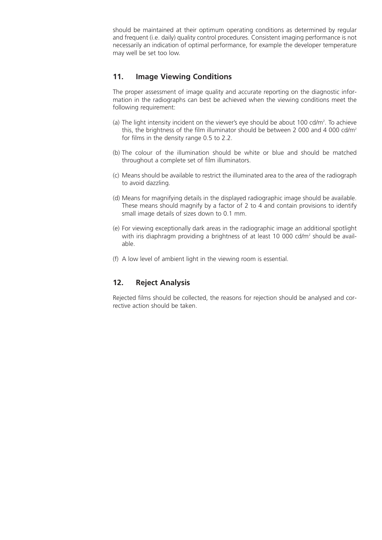should be maintained at their optimum operating conditions as determined by regular and frequent (i.e. daily) quality control procedures. Consistent imaging performance is not necessarily an indication of optimal performance, for example the developer temperature may well be set too low.

#### **11. Image Viewing Conditions**

The proper assessment of image quality and accurate reporting on the diagnostic information in the radiographs can best be achieved when the viewing conditions meet the following requirement:

- (a) The light intensity incident on the viewer's eye should be about 100 cd/m<sup>2</sup>. To achieve this, the brightness of the film illuminator should be between 2 000 and 4 000 cd/m<sup>2</sup> for films in the density range 0.5 to 2.2.
- (b) The colour of the illumination should be white or blue and should be matched throughout a complete set of film illuminators.
- (c) Means should be available to restrict the illuminated area to the area of the radiograph to avoid dazzling.
- (d) Means for magnifying details in the displayed radiographic image should be available. These means should magnify by a factor of 2 to 4 and contain provisions to identify small image details of sizes down to 0.1 mm.
- (e) For viewing exceptionally dark areas in the radiographic image an additional spotlight with iris diaphragm providing a brightness of at least 10 000 cd/m<sup>2</sup> should be available.
- (f) A low level of ambient light in the viewing room is essential.

#### **12. Reject Analysis**

Rejected films should be collected, the reasons for rejection should be analysed and corrective action should be taken.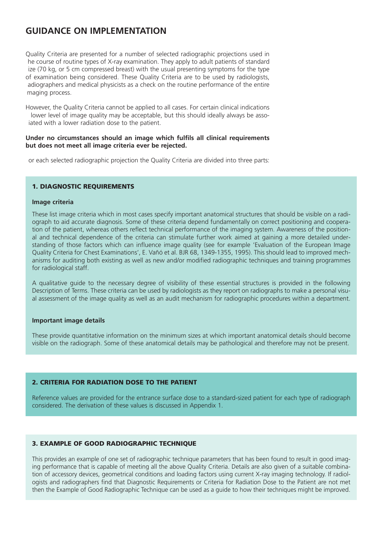## **GUIDANCE ON IMPLEMENTATION**

Quality Criteria are presented for a number of selected radiographic projections used in he course of routine types of X-ray examination. They apply to adult patients of standard ize (70 kg, or 5 cm compressed breast) with the usual presenting symptoms for the type of examination being considered. These Quality Criteria are to be used by radiologists, adiographers and medical physicists as a check on the routine performance of the entire maging process.

However, the Quality Criteria cannot be applied to all cases. For certain clinical indications lower level of image quality may be acceptable, but this should ideally always be assoiated with a lower radiation dose to the patient.

#### **Under no circumstances should an image which fulfils all clinical requirements but does not meet all image criteria ever be rejected.**

or each selected radiographic projection the Quality Criteria are divided into three parts:

#### **1. DIAGNOSTIC REQUIREMENTS**

#### **Image criteria**

These list image criteria which in most cases specify important anatomical structures that should be visible on a radiograph to aid accurate diagnosis. Some of these criteria depend fundamentally on correct positioning and cooperation of the patient, whereas others reflect technical performance of the imaging system. Awareness of the positional and technical dependence of the criteria can stimulate further work aimed at gaining a more detailed understanding of those factors which can influence image quality (see for example 'Evaluation of the European Image Quality Criteria for Chest Examinations', E. Vañó et al. BJR 68, 1349-1355, 1995). This should lead to improved mechanisms for auditing both existing as well as new and/or modified radiographic techniques and training programmes for radiological staff.

A qualitative guide to the necessary degree of visibility of these essential structures is provided in the following Description of Terms. These criteria can be used by radiologists as they report on radiographs to make a personal visual assessment of the image quality as well as an audit mechanism for radiographic procedures within a department.

#### **Important image details**

These provide quantitative information on the minimum sizes at which important anatomical details should become visible on the radiograph. Some of these anatomical details may be pathological and therefore may not be present.

#### **2. CRITERIA FOR RADIATION DOSE TO THE PATIENT**

Reference values are provided for the entrance surface dose to a standard-sized patient for each type of radiograph considered. The derivation of these values is discussed in Appendix 1.

#### **3. EXAMPLE OF GOOD RADIOGRAPHIC TECHNIQUE**

This provides an example of one set of radiographic technique parameters that has been found to result in good imaging performance that is capable of meeting all the above Quality Criteria. Details are also given of a suitable combination of accessory devices, geometrical conditions and loading factors using current X-ray imaging technology. If radiologists and radiographers find that Diagnostic Requirements or Criteria for Radiation Dose to the Patient are not met then the Example of Good Radiographic Technique can be used as a guide to how their techniques might be improved.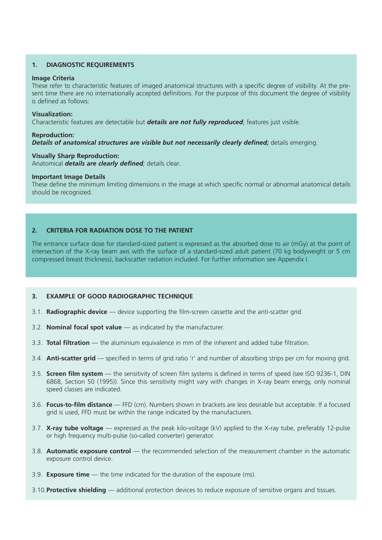#### **1. DIAGNOSTIC REQUIREMENTS**

#### **Image Criteria**

These refer to characteristic features of imaged anatomical structures with a specific degree of visibility. At the present time there are no internationally accepted definitions. For the purpose of this document the degree of visibility is defined as follows:

#### **Visualization:**

Characteristic features are detectable but *details are not fully reproduced*; features just visible.

#### **Reproduction:** *Details of anatomical structures are visible but not necessarily clearly defined;* details emerging*.*

#### **Visually Sharp Reproduction:**

Anatomical *details are clearly defined;* details clear.

#### **Important Image Details**

These define the minimum limiting dimensions in the image at which specific normal or abnormal anatomical details should be recognized.

#### **2. CRITERIA FOR RADIATION DOSE TO THE PATIENT**

The entrance surface dose for standard-sized patient is expressed as the absorbed dose to air (mGy) at the point of intersection of the X-ray beam axis with the surface of a standard-sized adult patient (70 kg bodyweight or 5 cm compressed breast thickness), backscatter radiation included. For further information see Appendix I.

- 3.1. **Radiographic device** device supporting the film-screen cassette and the anti-scatter grid.
- 3.2. **Nominal focal spot value** as indicated by the manufacturer.
- 3.3. **Total filtration** the aluminium equivalence in mm of the inherent and added tube filtration.
- 3.4. **Anti-scatter grid**  specified in terms of grid ratio 'r' and number of absorbing strips per cm for moving grid.
- 3.5. **Screen film system** the sensitivity of screen film systems is defined in terms of speed (see ISO 9236-1, DIN 6868, Section 50 (1995)). Since this sensitivity might vary with changes in X-ray beam energy, only nominal speed classes are indicated.
- 3.6. **Focus-to-film distance** FFD (cm). Numbers shown in brackets are less desirable but acceptable. If a focused grid is used, FFD must be within the range indicated by the manufacturers.
- 3.7. **X-ray tube voltage**  expressed as the peak kilo-voltage (kV) applied to the X-ray tube, preferably 12-pulse or high frequency multi-pulse (so-called converter) generator.
- 3.8. **Automatic exposure control** the recommended selection of the measurement chamber in the automatic exposure control device.
- 3.9. **Exposure time** the time indicated for the duration of the exposure (ms).
- 3.10.**Protective shielding** additional protection devices to reduce exposure of sensitive organs and tissues.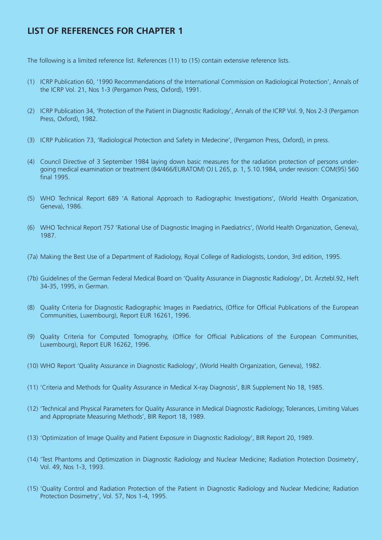## **LIST OF REFERENCES FOR CHAPTER 1**

The following is a limited reference list. References (11) to (15) contain extensive reference lists.

- (1) ICRP Publication 60, '1990 Recommendations of the International Commission on Radiological Protection', Annals of the ICRP Vol. 21, Nos 1-3 (Pergamon Press, Oxford), 1991.
- (2) ICRP Publication 34, 'Protection of the Patient in Diagnostic Radiology', Annals of the ICRP Vol. 9, Nos 2-3 (Pergamon Press, Oxford), 1982.
- (3) ICRP Publication 73, 'Radiological Protection and Safety in Medecine', (Pergamon Press, Oxford), in press.
- (4) Council Directive of 3 September 1984 laying down basic measures for the radiation protection of persons undergoing medical examination or treatment (84/466/EURATOM) OJ L 265, p. 1, 5.10.1984, under revision: COM(95) 560 final 1995.
- (5) WHO Technical Report 689 'A Rational Approach to Radiographic Investigations', (World Health Organization, Geneva), 1986.
- (6) WHO Technical Report 757 'Rational Use of Diagnostic Imaging in Paediatrics', (World Health Organization, Geneva), 1987.
- (7a) Making the Best Use of a Department of Radiology, Royal College of Radiologists, London, 3rd edition, 1995.
- (7b) Guidelines of the German Federal Medical Board on 'Quality Assurance in Diagnostic Radiology', Dt. Ärztebl.92, Heft 34-35, 1995, in German.
- (8) Quality Criteria for Diagnostic Radiographic Images in Paediatrics, (Office for Official Publications of the European Communities, Luxembourg), Report EUR 16261, 1996.
- (9) Quality Criteria for Computed Tomography, (Office for Official Publications of the European Communities, Luxembourg), Report EUR 16262, 1996.
- (10) WHO Report 'Quality Assurance in Diagnostic Radiology', (World Health Organization, Geneva), 1982.
- (11) 'Criteria and Methods for Quality Assurance in Medical X-ray Diagnosis', BJR Supplement No 18, 1985.
- (12) 'Technical and Physical Parameters for Quality Assurance in Medical Diagnostic Radiology; Tolerances, Limiting Values and Appropriate Measuring Methods', BIR Report 18, 1989.
- (13) 'Optimization of Image Quality and Patient Exposure in Diagnostic Radiology', BIR Report 20, 1989.
- (14) 'Test Phantoms and Optimization in Diagnostic Radiology and Nuclear Medicine; Radiation Protection Dosimetry', Vol. 49, Nos 1-3, 1993.
- (15) 'Quality Control and Radiation Protection of the Patient in Diagnostic Radiology and Nuclear Medicine; Radiation Protection Dosimetry', Vol. 57, Nos 1-4, 1995.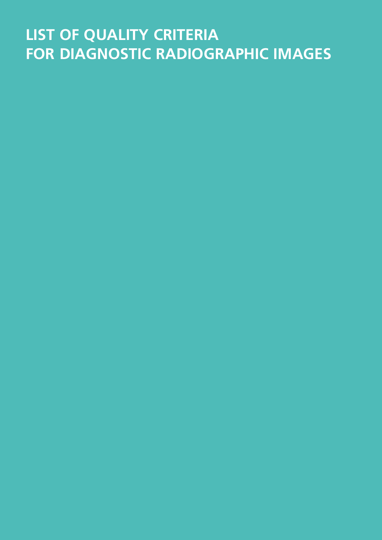# **LIST OF QUALITY CRITERIA FOR DIAGNOSTIC RADIOGRAPHIC IMAGES**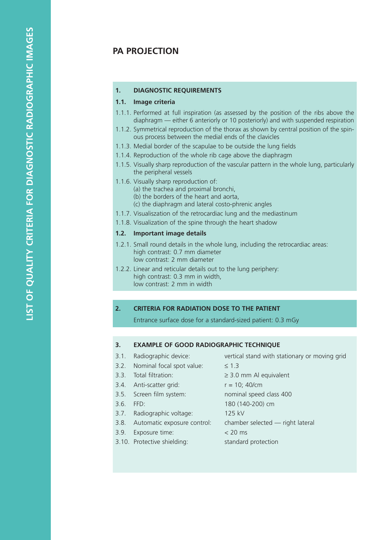## **PA PROJECTION**

#### **1. DIAGNOSTIC REQUIREMENTS**

#### **1.1. Image criteria**

- 1.1.1. Performed at full inspiration (as assessed by the position of the ribs above the diaphragm — either 6 anteriorly or 10 posteriorly) and with suspended respiration
- 1.1.2. Symmetrical reproduction of the thorax as shown by central position of the spinous process between the medial ends of the clavicles
- 1.1.3. Medial border of the scapulae to be outside the lung fields
- 1.1.4. Reproduction of the whole rib cage above the diaphragm
- 1.1.5. Visually sharp reproduction of the vascular pattern in the whole lung, particularly the peripheral vessels
- 1.1.6. Visually sharp reproduction of:
	- (a) the trachea and proximal bronchi,
	- (b) the borders of the heart and aorta,
	- (c) the diaphragm and lateral costo-phrenic angles
- 1.1.7. Visualiszation of the retrocardiac lung and the mediastinum
- 1.1.8. Visualization of the spine through the heart shadow

#### **1.2. Important image details**

- 1.2.1. Small round details in the whole lung, including the retrocardiac areas: high contrast: 0.7 mm diameter low contrast: 2 mm diameter
- 1.2.2. Linear and reticular details out to the lung periphery: high contrast: 0.3 mm in width, low contrast: 2 mm in width

#### **2. CRITERIA FOR RADIATION DOSE TO THE PATIENT**

Entrance surface dose for a standard-sized patient: 0.3 mGy

#### **3. EXAMPLE OF GOOD RADIOGRAPHIC TECHNIQUE**

- 
- 3.2. Nominal focal spot value:  $\leq 1.3$
- 
- 3.4. Anti-scatter grid:  $r = 10$ ; 40/cm
- 3.5. Screen film system: nominal speed class 400
- 
- 3.7. Radiographic voltage: 125 kV
- 3.8. Automatic exposure control: chamber selected right lateral
- 3.9. Exposure time: < 20 ms
- 3.10. Protective shielding: standard protection

3.1. Radiographic device: vertical stand with stationary or moving grid

- 
- 3.3. Total filtration:  $\geq$  3.0 mm Al equivalent
	-
	-
- 3.6. FFD: 180 (140-200) cm
	-
	-
	-
	-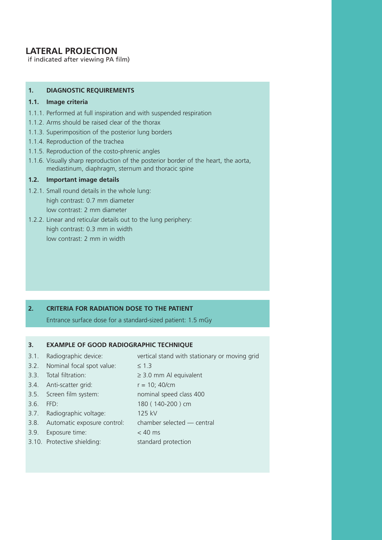## **LATERAL PROJECTION**

if indicated after viewing PA film)

#### **1. DIAGNOSTIC REQUIREMENTS**

#### **1.1. Image criteria**

- 1.1.1. Performed at full inspiration and with suspended respiration
- 1.1.2. Arms should be raised clear of the thorax
- 1.1.3. Superimposition of the posterior lung borders
- 1.1.4. Reproduction of the trachea
- 1.1.5. Reproduction of the costo-phrenic angles
- 1.1.6. Visually sharp reproduction of the posterior border of the heart, the aorta, mediastinum, diaphragm, sternum and thoracic spine

#### **1.2. Important image details**

- 1.2.1. Small round details in the whole lung: high contrast: 0.7 mm diameter low contrast: 2 mm diameter
- 1.2.2. Linear and reticular details out to the lung periphery: high contrast: 0.3 mm in width low contrast: 2 mm in width

#### **2. CRITERIA FOR RADIATION DOSE TO THE PATIENT**

Entrance surface dose for a standard-sized patient: 1.5 mGy

- 3.1. Radiographic device: vertical stand with stationary or moving grid
- 3.2. Nominal focal spot value:  $\leq 1.3$
- 3.3. Total filtration:  $\geq$  3.0 mm Al equivalent
- 3.4. Anti-scatter grid:  $r = 10$ ; 40/cm
- 3.5. Screen film system: nominal speed class 400
- 3.6. FFD: 180 ( 140-200 ) cm
- 3.7. Radiographic voltage: 125 kV
- 3.8. Automatic exposure control: chamber selected central
- 3.9. Exposure time: < 40 ms
- 3.10. Protective shielding: standard protection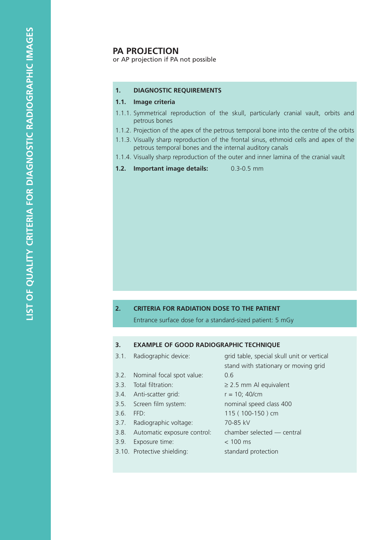## **PA PROJECTION**

or AP projection if PA not possible

#### **1. DIAGNOSTIC REQUIREMENTS**

#### **1.1. Image criteria**

- 1.1.1. Symmetrical reproduction of the skull, particularly cranial vault, orbits and petrous bones
- 1.1.2. Projection of the apex of the petrous temporal bone into the centre of the orbits
- 1.1.3. Visually sharp reproduction of the frontal sinus, ethmoid cells and apex of the petrous temporal bones and the internal auditory canals
- 1.1.4. Visually sharp reproduction of the outer and inner lamina of the cranial vault

#### **1.2. Important image details:** 0.3-0.5 mm

#### **2. CRITERIA FOR RADIATION DOSE TO THE PATIENT**

Entrance surface dose for a standard-sized patient: 5 mGy

#### **3. EXAMPLE OF GOOD RADIOGRAPHIC TECHNIQUE**

- 3.1. Radiographic device: grid table, special skull unit or vertical
- 3.2. Nominal focal spot value: 0.6
- 3.3. Total filtration:  $\geq 2.5$  mm Al equivalent
- 3.4. Anti-scatter grid:  $r = 10$ ; 40/cm
- 3.5. Screen film system: nominal speed class 400
- 
- 3.7. Radiographic voltage: 70-85 kV
- 3.8. Automatic exposure control: chamber selected central
- 3.9. Exposure time: < 100 ms
- 3.10. Protective shielding: standard protection

# stand with stationary or moving grid

- 
- 3.6. FFD: 115 ( 100-150 ) cm
	-
	-
	-
	-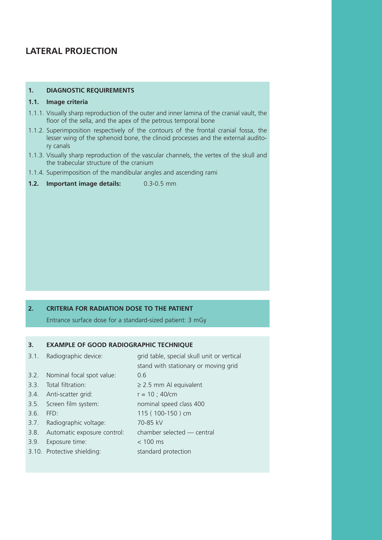## **LATERAL PROJECTION**

#### **1. DIAGNOSTIC REQUIREMENTS**

#### **1.1. Image criteria**

- 1.1.1. Visually sharp reproduction of the outer and inner lamina of the cranial vault, the floor of the sella, and the apex of the petrous temporal bone
- 1.1.2. Superimposition respectively of the contours of the frontal cranial fossa, the lesser wing of the sphenoid bone, the clinoid processes and the external auditory canals
- 1.1.3. Visually sharp reproduction of the vascular channels, the vertex of the skull and the trabecular structure of the cranium
- 1.1.4. Superimposition of the mandibular angles and ascending rami
- **1.2. Important image details:** 0.3-0.5 mm

## **2. CRITERIA FOR RADIATION DOSE TO THE PATIENT**

Entrance surface dose for a standard-sized patient: 3 mGy

|      | 3.1. Radiographic device:        | grid table, special skull unit or vertical |
|------|----------------------------------|--------------------------------------------|
|      |                                  | stand with stationary or moving grid       |
|      | 3.2. Nominal focal spot value:   | 0.6                                        |
|      | 3.3. Total filtration:           | $\geq$ 2.5 mm Al equivalent                |
|      | 3.4. Anti-scatter grid:          | $r = 10$ ; 40/cm                           |
|      | 3.5. Screen film system:         | nominal speed class 400                    |
| 3.6. | FFD:                             | 115 (100-150) cm                           |
|      | 3.7. Radiographic voltage:       | 70-85 kV                                   |
|      | 3.8. Automatic exposure control: | chamber selected - central                 |
| 3.9. | Exposure time:                   | $< 100$ ms                                 |
|      | 3.10. Protective shielding:      | standard protection                        |
|      |                                  |                                            |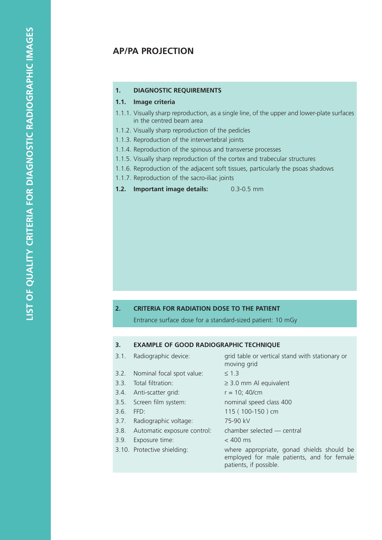## **AP/PA PROJECTION**

#### **1. DIAGNOSTIC REQUIREMENTS**

#### **1.1. Image criteria**

- 1.1.1. Visually sharp reproduction, as a single line, of the upper and lower-plate surfaces in the centred beam area
- 1.1.2. Visually sharp reproduction of the pedicles
- 1.1.3. Reproduction of the intervertebral joints
- 1.1.4. Reproduction of the spinous and transverse processes
- 1.1.5. Visually sharp reproduction of the cortex and trabecular structures
- 1.1.6. Reproduction of the adjacent soft tissues, particularly the psoas shadows
- 1.1.7. Reproduction of the sacro-iliac joints
- **1.2. Important image details:** 0.3-0.5 mm

#### **2. CRITERIA FOR RADIATION DOSE TO THE PATIENT**

Entrance surface dose for a standard-sized patient: 10 mGy

|      | 3.1. Radiographic device:        | grid table or vertical stand with stationary or<br>moving grid                                                     |
|------|----------------------------------|--------------------------------------------------------------------------------------------------------------------|
|      | 3.2. Nominal focal spot value:   | $\leq 1.3$                                                                                                         |
|      | 3.3. Total filtration:           | $\geq$ 3.0 mm Al equivalent                                                                                        |
|      | 3.4. Anti-scatter grid:          | $r = 10; 40/cm$                                                                                                    |
|      | 3.5. Screen film system:         | nominal speed class 400                                                                                            |
| 3.6. | FFD:                             | 115 (100-150) cm                                                                                                   |
|      | 3.7. Radiographic voltage:       | 75-90 kV                                                                                                           |
|      | 3.8. Automatic exposure control: | chamber selected - central                                                                                         |
| 3.9. | Exposure time:                   | $< 400$ ms                                                                                                         |
|      | 3.10. Protective shielding:      | where appropriate, gonad shields should be<br>employed for male patients, and for female<br>patients, if possible. |
|      |                                  |                                                                                                                    |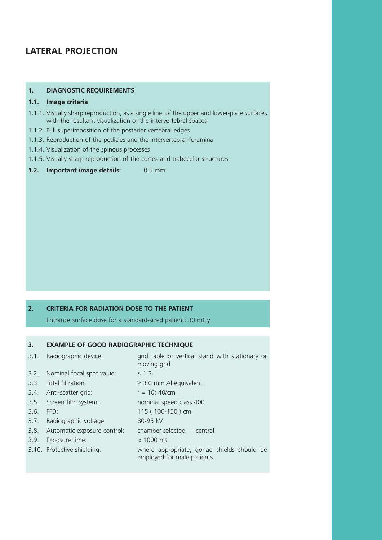## **LATERAL PROJECTION**

#### **1. DIAGNOSTIC REQUIREMENTS**

#### **1.1. Image criteria**

- 1.1.1. Visually sharp reproduction, as a single line, of the upper and lower-plate surfaces with the resultant visualization of the intervertebral spaces
- 1.1.2. Full superimposition of the posterior vertebral edges
- 1.1.3. Reproduction of the pedicles and the intervertebral foramina
- 1.1.4. Visualization of the spinous processes
- 1.1.5. Visually sharp reproduction of the cortex and trabecular structures
- **1.2. Important image details:** 0.5 mm

#### **2. CRITERIA FOR RADIATION DOSE TO THE PATIENT**

Entrance surface dose for a standard-sized patient: 30 mGy

|      | 3.1. Radiographic device:        | grid table or vertical stand with stationary or<br>moving grid            |
|------|----------------------------------|---------------------------------------------------------------------------|
|      | 3.2. Nominal focal spot value:   | $\leq 1.3$                                                                |
|      | 3.3. Total filtration:           | $\geq$ 3.0 mm Al equivalent                                               |
|      | 3.4. Anti-scatter grid:          | $r = 10; 40/cm$                                                           |
|      | 3.5. Screen film system:         | nominal speed class 400                                                   |
| 3.6. | FFD:                             | 115 (100-150) cm                                                          |
|      | 3.7. Radiographic voltage:       | 80-95 kV                                                                  |
|      | 3.8. Automatic exposure control: | chamber selected - central                                                |
| 3.9. | Exposure time:                   | $<$ 1000 ms                                                               |
|      | 3.10. Protective shielding:      | where appropriate, gonad shields should be<br>employed for male patients. |
|      |                                  |                                                                           |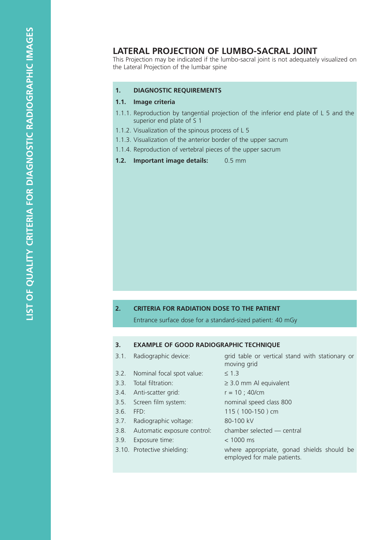## **LATERAL PROJECTION OF LUMBO-SACRAL JOINT**

This Projection may be indicated if the lumbo-sacral joint is not adequately visualized on the Lateral Projection of the lumbar spine

#### **1. DIAGNOSTIC REQUIREMENTS**

#### **1.1. Image criteria**

- 1.1.1. Reproduction by tangential projection of the inferior end plate of L 5 and the superior end plate of S 1
- 1.1.2. Visualization of the spinous process of L 5
- 1.1.3. Visualization of the anterior border of the upper sacrum
- 1.1.4. Reproduction of vertebral pieces of the upper sacrum
- **1.2. Important image details:** 0.5 mm

#### **2. CRITERIA FOR RADIATION DOSE TO THE PATIENT**

Entrance surface dose for a standard-sized patient: 40 mGy

| 3.1. Radiographic device:        | grid table or vertical stand with stationary or<br>moving grid |
|----------------------------------|----------------------------------------------------------------|
| 3.2. Nominal focal spot value:   | $\leq 1.3$                                                     |
| 3.3. Total filtration:           | $\geq$ 3.0 mm Al equivalent                                    |
| 3.4. Anti-scatter grid:          | $r = 10$ ; 40/cm                                               |
| 3.5. Screen film system:         | nominal speed class 800                                        |
| 3.6. FFD:                        | 115 (100-150) cm                                               |
| 3.7. Radiographic voltage:       | 80-100 kV                                                      |
| 3.8. Automatic exposure control: | chamber selected - central                                     |
| 3.9. Exposure time:              | $<$ 1000 ms                                                    |
| 2.10 Drotoctive chiolding:       | where appropriate gonad shields should be                      |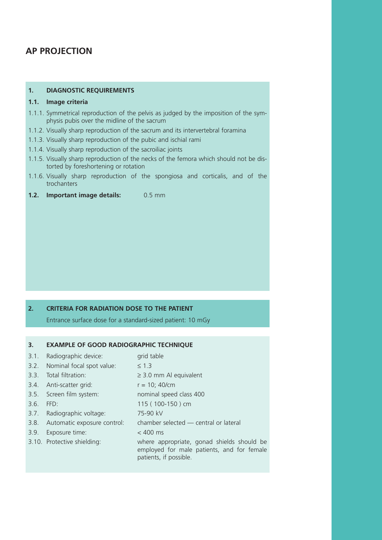## **AP PROJECTION**

#### **1. DIAGNOSTIC REQUIREMENTS**

#### **1.1. Image criteria**

- 1.1.1. Symmetrical reproduction of the pelvis as judged by the imposition of the symphysis pubis over the midline of the sacrum
- 1.1.2. Visually sharp reproduction of the sacrum and its intervertebral foramina
- 1.1.3. Visually sharp reproduction of the pubic and ischial rami
- 1.1.4. Visually sharp reproduction of the sacroiliac joints
- 1.1.5. Visually sharp reproduction of the necks of the femora which should not be distorted by foreshortening or rotation
- 1.1.6. Visually sharp reproduction of the spongiosa and corticalis, and of the trochanters
- **1.2. Important image details:** 0.5 mm

#### **2. CRITERIA FOR RADIATION DOSE TO THE PATIENT**

Entrance surface dose for a standard-sized patient: 10 mGy

|      | 3.1. Radiographic device:        | grid table                                                                                                         |
|------|----------------------------------|--------------------------------------------------------------------------------------------------------------------|
|      | 3.2. Nominal focal spot value:   | $\leq 1.3$                                                                                                         |
|      | 3.3. Total filtration:           | $\geq$ 3.0 mm Al equivalent                                                                                        |
|      | 3.4. Anti-scatter grid:          | $r = 10; 40/cm$                                                                                                    |
|      | 3.5. Screen film system:         | nominal speed class 400                                                                                            |
| 3.6. | FFD:                             | 115 (100-150) cm                                                                                                   |
|      | 3.7. Radiographic voltage:       | 75-90 kV                                                                                                           |
|      | 3.8. Automatic exposure control: | chamber selected - central or lateral                                                                              |
| 3.9. | Exposure time:                   | $< 400$ ms                                                                                                         |
|      | 3.10. Protective shielding:      | where appropriate, gonad shields should be<br>employed for male patients, and for female<br>patients, if possible. |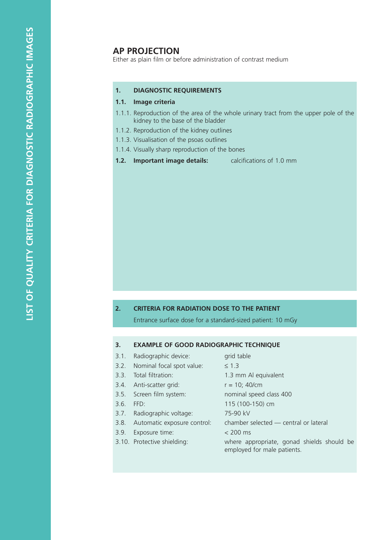#### **AP PROJECTION**

Either as plain film or before administration of contrast medium

#### **1. DIAGNOSTIC REQUIREMENTS**

#### **1.1. Image criteria**

- 1.1.1. Reproduction of the area of the whole urinary tract from the upper pole of the kidney to the base of the bladder
- 1.1.2. Reproduction of the kidney outlines
- 1.1.3. Visualisation of the psoas outlines
- 1.1.4. Visually sharp reproduction of the bones
- **1.2. Important image details:** calcifications of 1.0 mm

#### **2. CRITERIA FOR RADIATION DOSE TO THE PATIENT**

Entrance surface dose for a standard-sized patient: 10 mGy

| 3.1. | Radiographic device:             | grid table                                                                |
|------|----------------------------------|---------------------------------------------------------------------------|
|      | 3.2. Nominal focal spot value:   | $\leq 1.3$                                                                |
| 3.3. | Total filtration:                | 1.3 mm Al equivalent                                                      |
|      | 3.4. Anti-scatter grid:          | $r = 10; 40/cm$                                                           |
|      | 3.5. Screen film system:         | nominal speed class 400                                                   |
| 3.6. | FFD:                             | 115 (100-150) cm                                                          |
| 3.7. | Radiographic voltage:            | 75-90 kV                                                                  |
|      | 3.8. Automatic exposure control: | chamber selected - central or lateral                                     |
| 3.9. | Exposure time:                   | $<$ 200 ms                                                                |
|      | 3.10. Protective shielding:      | where appropriate, gonad shields should be<br>employed for male patients. |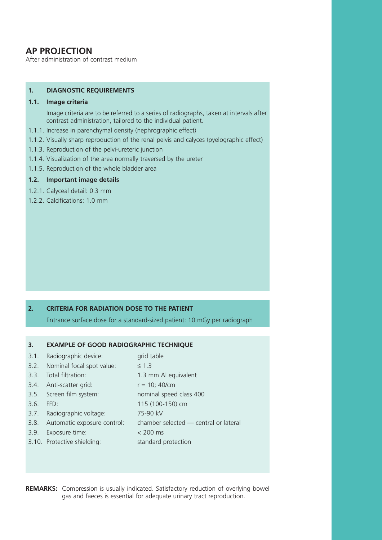## **AP PROJECTION**

After administration of contrast medium

#### **1. DIAGNOSTIC REQUIREMENTS**

#### **1.1. Image criteria**

Image criteria are to be referred to a series of radiographs, taken at intervals after contrast administration, tailored to the individual patient.

- 1.1.1. Increase in parenchymal density (nephrographic effect)
- 1.1.2. Visually sharp reproduction of the renal pelvis and calyces (pyelographic effect)
- 1.1.3. Reproduction of the pelvi-ureteric junction
- 1.1.4. Visualization of the area normally traversed by the ureter
- 1.1.5. Reproduction of the whole bladder area

#### **1.2. Important image details**

- 1.2.1. Calyceal detail: 0.3 mm
- 1.2.2. Calcifications: 1.0 mm

#### **2. CRITERIA FOR RADIATION DOSE TO THE PATIENT**

Entrance surface dose for a standard-sized patient: 10 mGy per radiograph

#### **3. EXAMPLE OF GOOD RADIOGRAPHIC TECHNIQUE**

| 3.1. | Radiographic device:             | grid table                            |
|------|----------------------------------|---------------------------------------|
|      | 3.2. Nominal focal spot value:   | $\leq 1.3$                            |
|      | 3.3. Total filtration:           | 1.3 mm Al equivalent                  |
|      | 3.4. Anti-scatter grid:          | $r = 10; 40/cm$                       |
|      | 3.5. Screen film system:         | nominal speed class 400               |
| 3.6. | FFD:                             | 115 (100-150) cm                      |
|      | 3.7. Radiographic voltage:       | 75-90 kV                              |
|      | 3.8. Automatic exposure control: | chamber selected - central or lateral |
| 3.9. | Exposure time:                   | $<$ 200 ms                            |
|      | 3.10. Protective shielding:      | standard protection                   |
|      |                                  |                                       |

**REMARKS:** Compression is usually indicated. Satisfactory reduction of overlying bowel gas and faeces is essential for adequate urinary tract reproduction.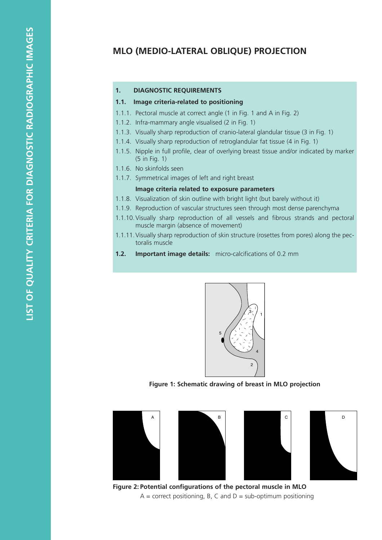## **MLO (MEDIO-LATERAL OBLIQUE) PROJECTION**

#### **1. DIAGNOSTIC REQUIREMENTS**

#### **1.1. Image criteria-related to positioning**

- 1.1.1. Pectoral muscle at correct angle (1 in Fig. 1 and A in Fig. 2)
- 1.1.2. Infra-mammary angle visualised (2 in Fig. 1)
- 1.1.3. Visually sharp reproduction of cranio-lateral glandular tissue (3 in Fig. 1)
- 1.1.4. Visually sharp reproduction of retroglandular fat tissue (4 in Fig. 1)
- 1.1.5. Nipple in full profile, clear of overlying breast tissue and/or indicated by marker (5 in Fig. 1)
- 1.1.6. No skinfolds seen
- 1.1.7. Symmetrical images of left and right breast

#### **Image criteria related to exposure parameters**

- 1.1.8. Visualization of skin outline with bright light (but barely without it)
- 1.1.9. Reproduction of vascular structures seen through most dense parenchyma
- 1.1.10.Visually sharp reproduction of all vessels and fibrous strands and pectoral muscle margin (absence of movement)
- 1.1.11.Visually sharp reproduction of skin structure (rosettes from pores) along the pectoralis muscle
- **1.2. Important image details:** micro-calcifications of 0.2 mm



**Figure 1: Schematic drawing of breast in MLO projection**



**Figure 2: Potential configurations of the pectoral muscle in MLO**  $A =$  correct positioning, B, C and  $D =$  sub-optimum positioning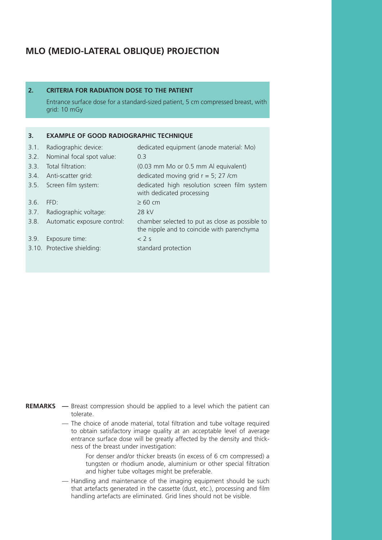## **MLO (MEDIO-LATERAL OBLIQUE) PROJECTION**

#### **2. CRITERIA FOR RADIATION DOSE TO THE PATIENT**

Entrance surface dose for a standard-sized patient, 5 cm compressed breast, with grid: 10 mGy

#### **3. EXAMPLE OF GOOD RADIOGRAPHIC TECHNIQUE**

| 3.1. | Radiographic device:        | dedicated equipment (anode material: Mo)                                                      |
|------|-----------------------------|-----------------------------------------------------------------------------------------------|
| 3.2. | Nominal focal spot value:   | 0.3                                                                                           |
| 3.3. | Total filtration:           | (0.03 mm Mo or 0.5 mm Al equivalent)                                                          |
| 3.4. | Anti-scatter grid:          | dedicated moving grid $r = 5$ ; 27 /cm                                                        |
| 3.5. | Screen film system:         | dedicated high resolution screen film system<br>with dedicated processing                     |
| 3.6. | FFD:                        | $\geq 60$ cm                                                                                  |
| 3.7. | Radiographic voltage:       | 28 kV                                                                                         |
| 3.8. | Automatic exposure control: | chamber selected to put as close as possible to<br>the nipple and to coincide with parenchyma |
| 3.9. | Exposure time:              | < 2s                                                                                          |
|      | 3.10. Protective shielding: | standard protection                                                                           |

- **REMARKS** Breast compression should be applied to a level which the patient can tolerate.
	- The choice of anode material, total filtration and tube voltage required to obtain satisfactory image quality at an acceptable level of average entrance surface dose will be greatly affected by the density and thickness of the breast under investigation:

For denser and/or thicker breasts (in excess of 6 cm compressed) a tungsten or rhodium anode, aluminium or other special filtration and higher tube voltages might be preferable.

— Handling and maintenance of the imaging equipment should be such that artefacts generated in the cassette (dust, etc.), processing and film handling artefacts are eliminated. Grid lines should not be visible.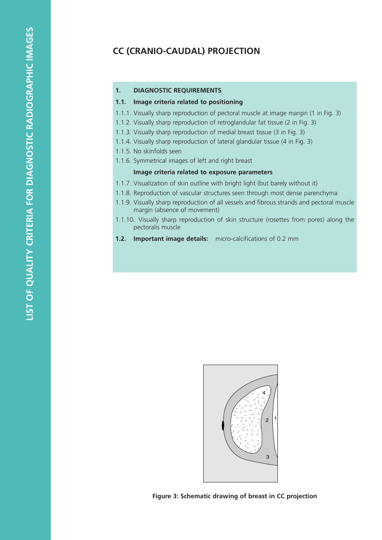## **CC (CRANIO-CAUDAL) PROJECTION**

#### **1. DIAGNOSTIC REQUIREMENTS**

#### **1.1. Image criteria related to positioning**

- 1.1.1. Visually sharp reproduction of pectoral muscle at image margin (1 in Fig. 3)
- 1.1.2. Visually sharp reproduction of retroglandular fat tissue (2 in Fig. 3)
- 1.1.3. Visually sharp reproduction of medial breast tissue (3 in Fig. 3)
- 1.1.4. Visually sharp reproduction of lateral glandular tissue (4 in Fig. 3)
- 1.1.5. No skinfolds seen
- 1.1.6. Symmetrical images of left and right breast

#### **Image criteria related to exposure parameters**

- 1.1.7. Visualization of skin outline with bright light (but barely without it)
- 1.1.8. Reproduction of vascular structures seen through most dense parenchyma
- 1.1.9. Visually sharp reproduction of all vessels and fibrous strands and pectoral muscle margin (absence of movement)
- 1.1.10. Visually sharp reproduction of skin structure (rosettes from pores) along the pectoralis muscle
- **1.2. Important image details:** micro-calcifications of 0.2 mm



**Figure 3: Schematic drawing of breast in CC projection**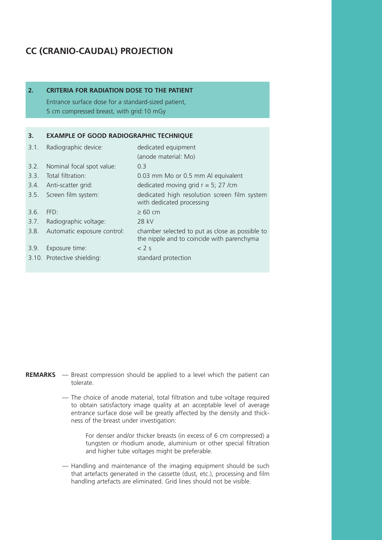## **CC (CRANIO-CAUDAL) PROJECTION**

#### **2. CRITERIA FOR RADIATION DOSE TO THE PATIENT**

Entrance surface dose for a standard-sized patient, 5 cm compressed breast, with grid:10 mGy

#### **3. EXAMPLE OF GOOD RADIOGRAPHIC TECHNIQUE**

| 3.1. | Radiographic device:        | dedicated equipment                                                                           |
|------|-----------------------------|-----------------------------------------------------------------------------------------------|
|      |                             | (anode material: Mo)                                                                          |
| 3.2. | Nominal focal spot value:   | 0.3                                                                                           |
| 3.3. | Total filtration:           | 0.03 mm Mo or 0.5 mm Al equivalent                                                            |
| 3.4. | Anti-scatter grid:          | dedicated moving grid $r = 5$ ; 27 /cm                                                        |
|      | 3.5. Screen film system:    | dedicated high resolution screen film system<br>with dedicated processing                     |
| 3.6. | FFD:                        | $\geq 60$ cm                                                                                  |
| 3.7. | Radiographic voltage:       | 28 kV                                                                                         |
| 3.8. | Automatic exposure control: | chamber selected to put as close as possible to<br>the nipple and to coincide with parenchyma |
| 3.9. | Exposure time:              | < 2s                                                                                          |
|      | 3.10. Protective shielding: | standard protection                                                                           |

**REMARKS** — Breast compression should be applied to a level which the patient can tolerate.

> — The choice of anode material, total filtration and tube voltage required to obtain satisfactory image quality at an acceptable level of average entrance surface dose will be greatly affected by the density and thickness of the breast under investigation:

> > For denser and/or thicker breasts (in excess of 6 cm compressed) a tungsten or rhodium anode, aluminium or other special filtration and higher tube voltages might be preferable.

— Handling and maintenance of the imaging equipment should be such that artefacts generated in the cassette (dust, etc.), processing and film handling artefacts are eliminated. Grid lines should not be visible.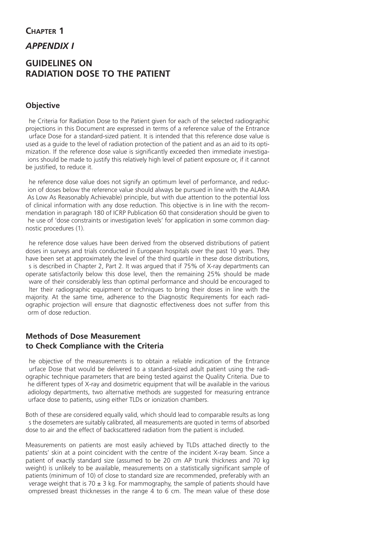# **CHAPTER 1**

## *APPENDIX I*

## **GUIDELINES ON RADIATION DOSE TO THE PATIENT**

#### **Objective**

he Criteria for Radiation Dose to the Patient given for each of the selected radiographic projections in this Document are expressed in terms of a reference value of the Entrance urface Dose for a standard-sized patient. It is intended that this reference dose value is used as a guide to the level of radiation protection of the patient and as an aid to its optimization. If the reference dose value is significantly exceeded then immediate investigaions should be made to justify this relatively high level of patient exposure or, if it cannot be justified, to reduce it.

he reference dose value does not signify an optimum level of performance, and reducion of doses below the reference value should always be pursued in line with the ALARA As Low As Reasonably Achievable) principle, but with due attention to the potential loss of clinical information with any dose reduction. This objective is in line with the recommendation in paragraph 180 of ICRP Publication 60 that consideration should be given to he use of 'dose constraints or investigation levels' for application in some common diagnostic procedures (1).

he reference dose values have been derived from the observed distributions of patient doses in surveys and trials conducted in European hospitals over the past 10 years. They have been set at approximately the level of the third quartile in these dose distributions, s is described in Chapter 2, Part 2. It was argued that if 75% of X-ray departments can operate satisfactorily below this dose level, then the remaining 25% should be made ware of their considerably less than optimal performance and should be encouraged to lter their radiographic equipment or techniques to bring their doses in line with the majority. At the same time, adherence to the Diagnostic Requirements for each radiographic projection will ensure that diagnostic effectiveness does not suffer from this orm of dose reduction.

#### **Methods of Dose Measurement to Check Compliance with the Criteria**

he objective of the measurements is to obtain a reliable indication of the Entrance urface Dose that would be delivered to a standard-sized adult patient using the radiographic technique parameters that are being tested against the Quality Criteria. Due to he different types of X-ray and dosimetric equipment that will be available in the various adiology departments, two alternative methods are suggested for measuring entrance urface dose to patients, using either TLDs or ionization chambers.

Both of these are considered equally valid, which should lead to comparable results as long s the dosemeters are suitably calibrated, all measurements are quoted in terms of absorbed dose to air and the effect of backscattered radiation from the patient is included.

Measurements on patients are most easily achieved by TLDs attached directly to the patients' skin at a point coincident with the centre of the incident X-ray beam. Since a patient of exactly standard size (assumed to be 20 cm AP trunk thickness and 70 kg weight) is unlikely to be available, measurements on a statistically significant sample of patients (minimum of 10) of close to standard size are recommended, preferably with an verage weight that is 70  $\pm$  3 kg. For mammography, the sample of patients should have ompressed breast thicknesses in the range 4 to 6 cm. The mean value of these dose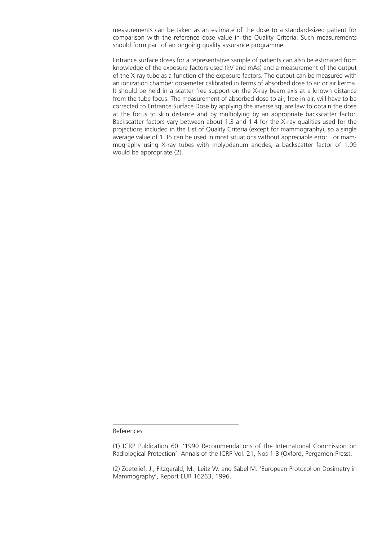measurements can be taken as an estimate of the dose to a standard-sized patient for comparison with the reference dose value in the Quality Criteria. Such measurements should form part of an ongoing quality assurance programme.

Entrance surface doses for a representative sample of patients can also be estimated from knowledge of the exposure factors used (kV and mAs) and a measurement of the output of the X-ray tube as a function of the exposure factors. The output can be measured with an ionization chamber dosemeter calibrated in terms of absorbed dose to air or air kerma. It should be held in a scatter free support on the X-ray beam axis at a known distance from the tube focus. The measurement of absorbed dose to air, free-in-air, will have to be corrected to Entrance Surface Dose by applying the inverse square law to obtain the dose at the focus to skin distance and by multiplying by an appropriate backscatter factor. Backscatter factors vary between about 1.3 and 1.4 for the X-ray qualities used for the projections included in the List of Quality Criteria (except for mammography), so a single average value of 1.35 can be used in most situations without appreciable error. For mammography using X-ray tubes with molybdenum anodes, a backscatter factor of 1.09 would be appropriate (2).

References

<sup>(1)</sup> ICRP Publication 60. '1990 Recommendations of the International Commission on Radiological Protection'. Annals of the ICRP Vol. 21, Nos 1-3 (Oxford, Pergamon Press).

<sup>(2)</sup> Zoetelief, J., Fitzgerald, M., Leitz W. and Säbel M. 'European Protocol on Dosimetry in Mammography', Report EUR 16263, 1996.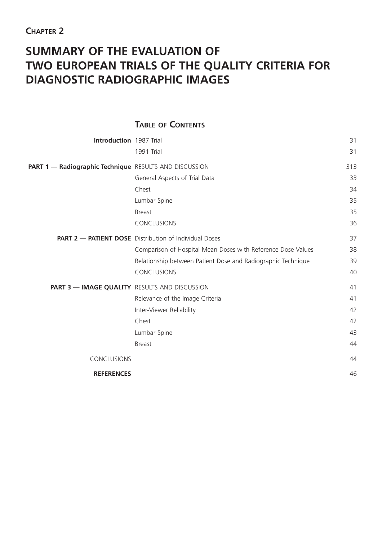**CHAPTER 2**

# **SUMMARY OF THE EVALUATION OF TWO EUROPEAN TRIALS OF THE QUALITY CRITERIA FOR DIAGNOSTIC RADIOGRAPHIC IMAGES**

## **TABLE OF CONTENTS**

| <b>Introduction</b> 1987 Trial                         |                                                               | 31  |
|--------------------------------------------------------|---------------------------------------------------------------|-----|
|                                                        | 1991 Trial                                                    | 31  |
| PART 1 - Radiographic Technique RESULTS AND DISCUSSION |                                                               | 313 |
|                                                        | General Aspects of Trial Data                                 | 33  |
|                                                        | Chest                                                         | 34  |
|                                                        | Lumbar Spine                                                  | 35  |
|                                                        | <b>Breast</b>                                                 | 35  |
|                                                        | CONCLUSIONS                                                   | 36  |
|                                                        | <b>PART 2 - PATIENT DOSE</b> Distribution of Individual Doses | 37  |
|                                                        | Comparison of Hospital Mean Doses with Reference Dose Values  | 38  |
|                                                        | Relationship between Patient Dose and Radiographic Technique  | 39  |
|                                                        | CONCLUSIONS                                                   | 40  |
| PART 3 - IMAGE QUALITY RESULTS AND DISCUSSION          |                                                               | 41  |
|                                                        | Relevance of the Image Criteria                               | 41  |
|                                                        | Inter-Viewer Reliability                                      | 42  |
|                                                        | Chest                                                         | 42  |
|                                                        | Lumbar Spine                                                  | 43  |
|                                                        | <b>Breast</b>                                                 | 44  |
| CONCLUSIONS                                            |                                                               | 44  |
| <b>REFERENCES</b>                                      |                                                               | 46  |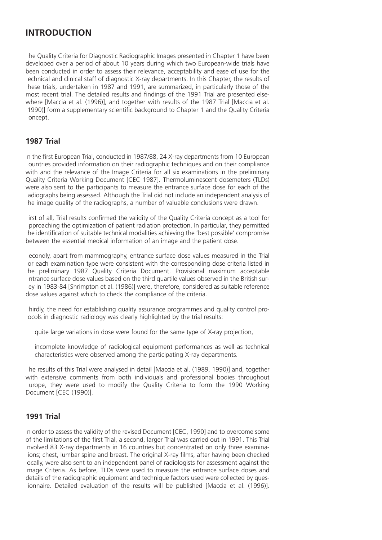## **INTRODUCTION**

he Quality Criteria for Diagnostic Radiographic Images presented in Chapter 1 have been developed over a period of about 10 years during which two European-wide trials have been conducted in order to assess their relevance, acceptability and ease of use for the echnical and clinical staff of diagnostic X-ray departments. In this Chapter, the results of hese trials, undertaken in 1987 and 1991, are summarized, in particularly those of the most recent trial. The detailed results and findings of the 1991 Trial are presented elsewhere [Maccia et al. (1996)], and together with results of the 1987 Trial [Maccia et al. 1990)] form a supplementary scientific background to Chapter 1 and the Quality Criteria oncept.

## **1987 Trial**

n the first European Trial, conducted in 1987/88, 24 X-ray departments from 10 European ountries provided information on their radiographic techniques and on their compliance with and the relevance of the Image Criteria for all six examinations in the preliminary Quality Criteria Working Document [CEC 1987]. Thermoluminescent dosemeters (TLDs) were also sent to the participants to measure the entrance surface dose for each of the adiographs being assessed. Although the Trial did not include an independent analysis of he image quality of the radiographs, a number of valuable conclusions were drawn.

irst of all, Trial results confirmed the validity of the Quality Criteria concept as a tool for pproaching the optimization of patient radiation protection. In particular, they permitted he identification of suitable technical modalities achieving the 'best possible' compromise between the essential medical information of an image and the patient dose.

econdly, apart from mammography, entrance surface dose values measured in the Trial or each examination type were consistent with the corresponding dose criteria listed in he preliminary 1987 Quality Criteria Document. Provisional maximum acceptable ntrance surface dose values based on the third quartile values observed in the British surey in 1983-84 [Shrimpton et al. (1986)] were, therefore, considered as suitable reference dose values against which to check the compliance of the criteria.

hirdly, the need for establishing quality assurance programmes and quality control proocols in diagnostic radiology was clearly highlighted by the trial results:

quite large variations in dose were found for the same type of X-ray projection,

incomplete knowledge of radiological equipment performances as well as technical characteristics were observed among the participating X-ray departments.

he results of this Trial were analysed in detail [Maccia et al. (1989, 1990)] and, together with extensive comments from both individuals and professional bodies throughout urope, they were used to modify the Quality Criteria to form the 1990 Working Document [CEC (1990)].

## **1991 Trial**

n order to assess the validity of the revised Document [CEC, 1990] and to overcome some of the limitations of the first Trial, a second, larger Trial was carried out in 1991. This Trial nvolved 83 X-ray departments in 16 countries but concentrated on only three examinaions; chest, lumbar spine and breast. The original X-ray films, after having been checked ocally, were also sent to an independent panel of radiologists for assessment against the mage Criteria. As before, TLDs were used to measure the entrance surface doses and details of the radiographic equipment and technique factors used were collected by quesionnaire. Detailed evaluation of the results will be published [Maccia et al. (1996)].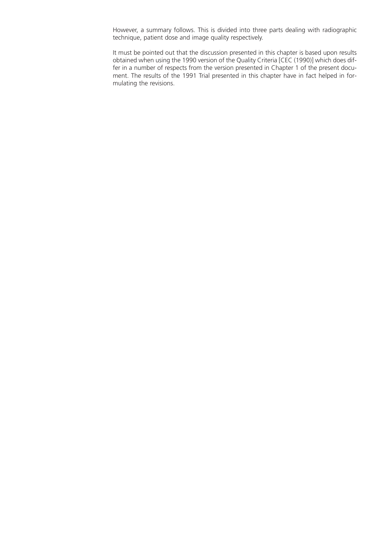However, a summary follows. This is divided into three parts dealing with radiographic technique, patient dose and image quality respectively.

It must be pointed out that the discussion presented in this chapter is based upon results obtained when using the 1990 version of the Quality Criteria [CEC (1990)] which does differ in a number of respects from the version presented in Chapter 1 of the present document. The results of the 1991 Trial presented in this chapter have in fact helped in formulating the revisions.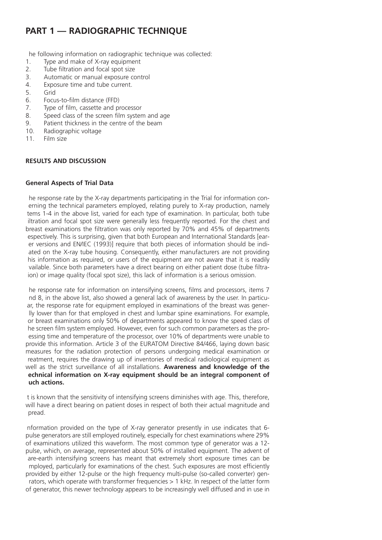# **PART 1 — RADIOGRAPHIC TECHNIQUE**

he following information on radiographic technique was collected:

- 1. Type and make of X-ray equipment
- 2. Tube filtration and focal spot size
- 3. Automatic or manual exposure control
- 4. Exposure time and tube current.
- 5. Grid
- 6. Focus-to-film distance (FFD)
- 7. Type of film, cassette and processor
- 8. Speed class of the screen film system and age
- 9. Patient thickness in the centre of the beam
- 10. Radiographic voltage
- 11. Film size

#### **RESULTS AND DISCUSSION**

#### **General Aspects of Trial Data**

he response rate by the X-ray departments participating in the Trial for information conerning the technical parameters employed, relating purely to X-ray production, namely tems 1-4 in the above list, varied for each type of examination. In particular, both tube iltration and focal spot size were generally less frequently reported. For the chest and breast examinations the filtration was only reported by 70% and 45% of departments espectively. This is surprising, given that both European and International Standards [earer versions and EN/IEC (1993)] require that both pieces of information should be indiated on the X-ray tube housing. Consequently, either manufacturers are not providing his information as required, or users of the equipment are not aware that it is readily vailable. Since both parameters have a direct bearing on either patient dose (tube filtraion) or image quality (focal spot size), this lack of information is a serious omission.

he response rate for information on intensifying screens, films and processors, items 7 nd 8, in the above list, also showed a general lack of awareness by the user. In particuar, the response rate for equipment employed in examinations of the breast was generlly lower than for that employed in chest and lumbar spine examinations. For example, or breast examinations only 50% of departments appeared to know the speed class of he screen film system employed. However, even for such common parameters as the proessing time and temperature of the processor, over 10% of departments were unable to provide this information. Article 3 of the EURATOM Directive 84/466, laying down basic measures for the radiation protection of persons undergoing medical examination or reatment, requires the drawing up of inventories of medical radiological equipment as well as the strict surveillance of all installations. **Awareness and knowledge of the echnical information on X-ray equipment should be an integral component of uch actions.**

t is known that the sensitivity of intensifying screens diminishes with age. This, therefore, will have a direct bearing on patient doses in respect of both their actual magnitude and pread.

nformation provided on the type of X-ray generator presently in use indicates that 6 pulse generators are still employed routinely, especially for chest examinations where 29% of examinations utilized this waveform. The most common type of generator was a 12 pulse, which, on average, represented about 50% of installed equipment. The advent of are-earth intensifying screens has meant that extremely short exposure times can be mployed, particularly for examinations of the chest. Such exposures are most efficiently provided by either 12-pulse or the high frequency multi-pulse (so-called converter) genrators, which operate with transformer frequencies > 1 kHz. In respect of the latter form of generator, this newer technology appears to be increasingly well diffused and in use in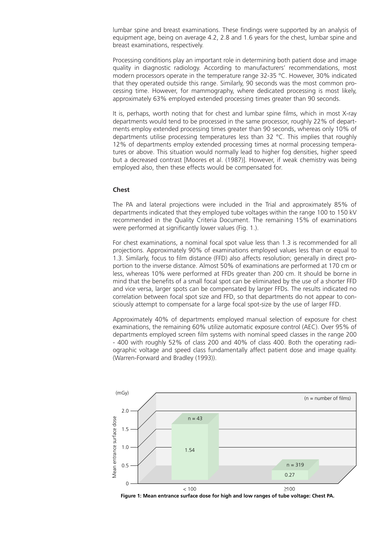lumbar spine and breast examinations. These findings were supported by an analysis of equipment age, being on average 4.2, 2.8 and 1.6 years for the chest, lumbar spine and breast examinations, respectively.

Processing conditions play an important role in determining both patient dose and image quality in diagnostic radiology. According to manufacturers' recommendations, most modern processors operate in the temperature range 32-35 °C. However, 30% indicated that they operated outside this range. Similarly, 90 seconds was the most common processing time. However, for mammography, where dedicated processing is most likely, approximately 63% employed extended processing times greater than 90 seconds.

It is, perhaps, worth noting that for chest and lumbar spine films, which in most X-ray departments would tend to be processed in the same processor, roughly 22% of departments employ extended processing times greater than 90 seconds, whereas only 10% of departments utilise processing temperatures less than 32 °C. This implies that roughly 12% of departments employ extended processing times at normal processing temperatures or above. This situation would normally lead to higher fog densities, higher speed but a decreased contrast [Moores et al. (1987)]. However, if weak chemistry was being employed also, then these effects would be compensated for.

#### **Chest**

The PA and lateral projections were included in the Trial and approximately 85% of departments indicated that they employed tube voltages within the range 100 to 150 kV recommended in the Quality Criteria Document. The remaining 15% of examinations were performed at significantly lower values (Fig. 1.).

For chest examinations, a nominal focal spot value less than 1.3 is recommended for all projections. Approximately 90% of examinations employed values less than or equal to 1.3. Similarly, focus to film distance (FFD) also affects resolution; generally in direct proportion to the inverse distance. Almost 50% of examinations are performed at 170 cm or less, whereas 10% were performed at FFDs greater than 200 cm. It should be borne in mind that the benefits of a small focal spot can be eliminated by the use of a shorter FFD and vice versa, larger spots can be compensated by larger FFDs. The results indicated no correlation between focal spot size and FFD, so that departments do not appear to consciously attempt to compensate for a large focal spot-size by the use of larger FFD.

Approximately 40% of departments employed manual selection of exposure for chest examinations, the remaining 60% utilize automatic exposure control (AEC). Over 95% of departments employed screen film systems with nominal speed classes in the range 200 - 400 with roughly 52% of class 200 and 40% of class 400. Both the operating radiographic voltage and speed class fundamentally affect patient dose and image quality. (Warren-Forward and Bradley (1993)).



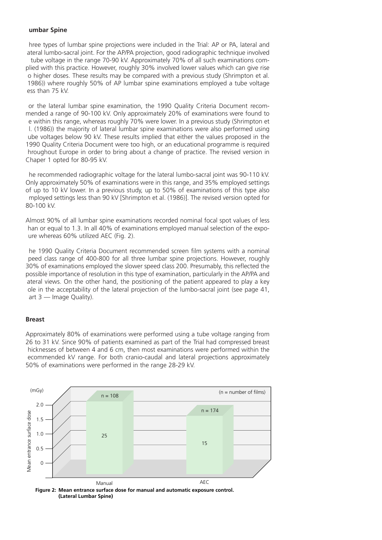#### **umbar Spine**

hree types of lumbar spine projections were included in the Trial: AP or PA, lateral and ateral lumbo-sacral joint. For the AP/PA projection, good radiographic technique involved tube voltage in the range 70-90 kV. Approximately 70% of all such examinations complied with this practice. However, roughly 30% involved lower values which can give rise o higher doses. These results may be compared with a previous study (Shrimpton et al. 1986)) where roughly 50% of AP lumbar spine examinations employed a tube voltage ess than 75 kV.

or the lateral lumbar spine examination, the 1990 Quality Criteria Document recommended a range of 90-100 kV. Only approximately 20% of examinations were found to e within this range, whereas roughly 70% were lower. In a previous study (Shrimpton et l. (1986)) the majority of lateral lumbar spine examinations were also performed using ube voltages below 90 kV. These results implied that either the values proposed in the 1990 Quality Criteria Document were too high, or an educational programme is required hroughout Europe in order to bring about a change of practice. The revised version in Chaper 1 opted for 80-95 kV.

he recommended radiographic voltage for the lateral lumbo-sacral joint was 90-110 kV. Only approximately 50% of examinations were in this range, and 35% employed settings of up to 10 kV lower. In a previous study, up to 50% of examinations of this type also mployed settings less than 90 kV [Shrimpton et al. (1986)]. The revised version opted for 80-100 kV.

Almost 90% of all lumbar spine examinations recorded nominal focal spot values of less han or equal to 1.3. In all 40% of examinations employed manual selection of the expoure whereas 60% utilized AEC (Fig. 2).

he 1990 Quality Criteria Document recommended screen film systems with a nominal peed class range of 400-800 for all three lumbar spine projections. However, roughly 30% of examinations employed the slower speed class 200. Presumably, this reflected the possible importance of resolution in this type of examination, particularly in the AP/PA and ateral views. On the other hand, the positioning of the patient appeared to play a key ole in the acceptability of the lateral projection of the lumbo-sacral joint (see page 41, art 3 — Image Quality).

#### **Breast**

Approximately 80% of examinations were performed using a tube voltage ranging from 26 to 31 kV. Since 90% of patients examined as part of the Trial had compressed breast hicknesses of between 4 and 6 cm, then most examinations were performed within the ecommended kV range. For both cranio-caudal and lateral projections approximately 50% of examinations were performed in the range 28-29 kV.



**Figure 2: Mean entrance surface dose for manual and automatic exposure control. (Lateral Lumbar Spine)**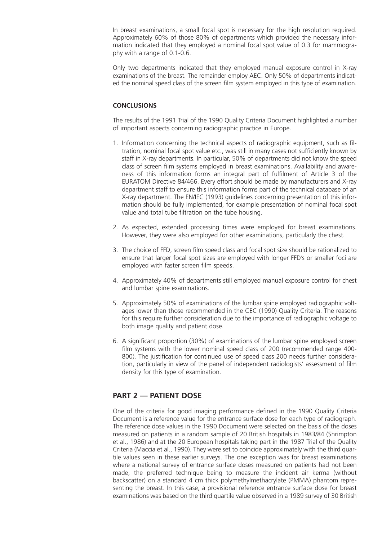In breast examinations, a small focal spot is necessary for the high resolution required. Approximately 60% of those 80% of departments which provided the necessary information indicated that they employed a nominal focal spot value of 0.3 for mammography with a range of 0.1-0.6.

Only two departments indicated that they employed manual exposure control in X-ray examinations of the breast. The remainder employ AEC. Only 50% of departments indicated the nominal speed class of the screen film system employed in this type of examination.

#### **CONCLUSIONS**

The results of the 1991 Trial of the 1990 Quality Criteria Document highlighted a number of important aspects concerning radiographic practice in Europe.

- 1. Information concerning the technical aspects of radiographic equipment, such as filtration, nominal focal spot value etc., was still in many cases not sufficiently known by staff in X-ray departments. In particular, 50% of departments did not know the speed class of screen film systems employed in breast examinations. Availability and awareness of this information forms an integral part of fulfilment of Article 3 of the EURATOM Directive 84/466. Every effort should be made by manufacturers and X-ray department staff to ensure this information forms part of the technical database of an X-ray department. The EN/IEC (1993) guidelines concerning presentation of this information should be fully implemented, for example presentation of nominal focal spot value and total tube filtration on the tube housing.
- 2. As expected, extended processing times were employed for breast examinations. However, they were also employed for other examinations, particularly the chest.
- 3. The choice of FFD, screen film speed class and focal spot size should be rationalized to ensure that larger focal spot sizes are employed with longer FFD's or smaller foci are employed with faster screen film speeds.
- 4. Approximately 40% of departments still employed manual exposure control for chest and lumbar spine examinations.
- 5. Approximately 50% of examinations of the lumbar spine employed radiographic voltages lower than those recommended in the CEC (1990) Quality Criteria. The reasons for this require further consideration due to the importance of radiographic voltage to both image quality and patient dose.
- 6. A significant proportion (30%) of examinations of the lumbar spine employed screen film systems with the lower nominal speed class of 200 (recommended range 400- 800). The justification for continued use of speed class 200 needs further consideration, particularly in view of the panel of independent radiologists' assessment of film density for this type of examination.

#### **PART 2 — PATIENT DOSE**

One of the criteria for good imaging performance defined in the 1990 Quality Criteria Document is a reference value for the entrance surface dose for each type of radiograph. The reference dose values in the 1990 Document were selected on the basis of the doses measured on patients in a random sample of 20 British hospitals in 1983/84 (Shrimpton et al., 1986) and at the 20 European hospitals taking part in the 1987 Trial of the Quality Criteria (Maccia et al., 1990). They were set to coincide approximately with the third quartile values seen in these earlier surveys. The one exception was for breast examinations where a national survey of entrance surface doses measured on patients had not been made, the preferred technique being to measure the incident air kerma (without backscatter) on a standard 4 cm thick polymethylmethacrylate (PMMA) phantom representing the breast. In this case, a provisional reference entrance surface dose for breast examinations was based on the third quartile value observed in a 1989 survey of 30 British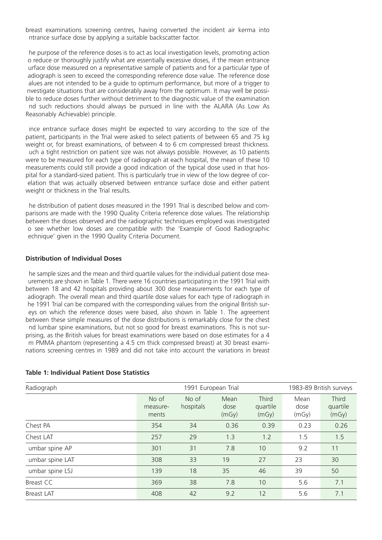breast examinations screening centres, having converted the incident air kerma into ntrance surface dose by applying a suitable backscatter factor.

he purpose of the reference doses is to act as local investigation levels, promoting action o reduce or thoroughly justify what are essentially excessive doses, if the mean entrance urface dose measured on a representative sample of patients and for a particular type of adiograph is seen to exceed the corresponding reference dose value. The reference dose alues are not intended to be a guide to optimum performance, but more of a trigger to nvestigate situations that are considerably away from the optimum. It may well be possible to reduce doses further without detriment to the diagnostic value of the examination nd such reductions should always be pursued in line with the ALARA (As Low As Reasonably Achievable) principle.

ince entrance surface doses might be expected to vary according to the size of the patient, participants in the Trial were asked to select patients of between 65 and 75 kg weight or, for breast examinations, of between 4 to 6 cm compressed breast thickness. uch a tight restriction on patient size was not always possible. However, as 10 patients were to be measured for each type of radiograph at each hospital, the mean of these 10 measurements could still provide a good indication of the typical dose used in that hospital for a standard-sized patient. This is particularly true in view of the low degree of corelation that was actually observed between entrance surface dose and either patient weight or thickness in the Trial results.

he distribution of patient doses measured in the 1991 Trial is described below and comparisons are made with the 1990 Quality Criteria reference dose values. The relationship between the doses observed and the radiographic techniques employed was investigated o see whether low doses are compatible with the 'Example of Good Radiographic echnique' given in the 1990 Quality Criteria Document.

#### **Distribution of Individual Doses**

he sample sizes and the mean and third quartile values for the individual patient dose meaurements are shown in Table 1. There were 16 countries participating in the 1991 Trial with between 18 and 42 hospitals providing about 300 dose measurements for each type of adiograph. The overall mean and third quartile dose values for each type of radiograph in he 1991 Trial can be compared with the corresponding values from the original British sureys on which the reference doses were based, also shown in Table 1. The agreement between these simple measures of the dose distributions is remarkably close for the chest nd lumbar spine examinations, but not so good for breast examinations. This is not surprising, as the British values for breast examinations were based on dose estimates for a 4 m PMMA phantom (representing a 4.5 cm thick compressed breast) at 30 breast examinations screening centres in 1989 and did not take into account the variations in breast

| Radiograph        |                            | 1991 European Trial |                       |                            |                       | 1983-89 British surveys    |
|-------------------|----------------------------|---------------------|-----------------------|----------------------------|-----------------------|----------------------------|
|                   | No of<br>measure-<br>ments | No of<br>hospitals  | Mean<br>dose<br>(mGy) | Third<br>quartile<br>(mGy) | Mean<br>dose<br>(mGy) | Third<br>quartile<br>(mGy) |
| Chest PA          | 354                        | 34                  | 0.36                  | 0.39                       | 0.23                  | 0.26                       |
| Chest LAT         | 257                        | 29                  | 1.3                   | 1.2                        | 1.5                   | 1.5                        |
| umbar spine AP    | 301                        | 31                  | 7.8                   | 10                         | 9.2                   | 11                         |
| umbar spine LAT   | 308                        | 33                  | 19                    | 27                         | 23                    | 30                         |
| umbar spine LSJ   | 139                        | 18                  | 35                    | 46                         | 39                    | 50                         |
| <b>Breast CC</b>  | 369                        | 38                  | 7.8                   | 10                         | 5.6                   | 7.1                        |
| <b>Breast LAT</b> | 408                        | 42                  | 9.2                   | 12                         | 5.6                   | 7.1                        |

#### **Table 1: Individual Patient Dose Statistics**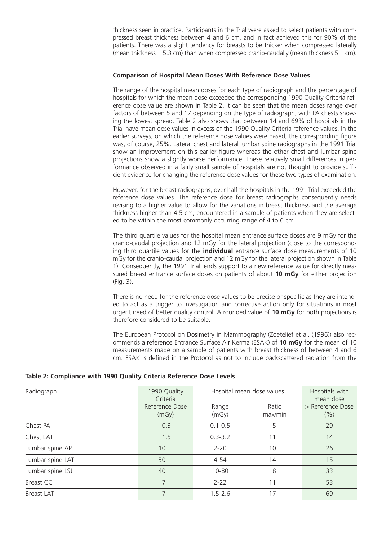thickness seen in practice. Participants in the Trial were asked to select patients with compressed breast thickness between 4 and 6 cm, and in fact achieved this for 90% of the patients. There was a slight tendency for breasts to be thicker when compressed laterally (mean thickness  $= 5.3$  cm) than when compressed cranio-caudally (mean thickness  $5.1$  cm).

#### **Comparison of Hospital Mean Doses With Reference Dose Values**

The range of the hospital mean doses for each type of radiograph and the percentage of hospitals for which the mean dose exceeded the corresponding 1990 Quality Criteria reference dose value are shown in Table 2. It can be seen that the mean doses range over factors of between 5 and 17 depending on the type of radiograph, with PA chests showing the lowest spread. Table 2 also shows that between 14 and 69% of hospitals in the Trial have mean dose values in excess of the 1990 Quality Criteria reference values. In the earlier surveys, on which the reference dose values were based, the corresponding figure was, of course, 25%. Lateral chest and lateral lumbar spine radiographs in the 1991 Trial show an improvement on this earlier figure whereas the other chest and lumbar spine projections show a slightly worse performance. These relatively small differences in performance observed in a fairly small sample of hospitals are not thought to provide sufficient evidence for changing the reference dose values for these two types of examination.

However, for the breast radiographs, over half the hospitals in the 1991 Trial exceeded the reference dose values. The reference dose for breast radiographs consequently needs revising to a higher value to allow for the variations in breast thickness and the average thickness higher than 4.5 cm, encountered in a sample of patients when they are selected to be within the most commonly occurring range of 4 to 6 cm.

The third quartile values for the hospital mean entrance surface doses are 9 mGy for the cranio-caudal projection and 12 mGy for the lateral projection (close to the corresponding third quartile values for the **individual** entrance surface dose measurements of 10 mGy for the cranio-caudal projection and 12 mGy for the lateral projection shown in Table 1). Consequently, the 1991 Trial lends support to a new reference value for directly measured breast entrance surface doses on patients of about **10 mGy** for either projection (Fig. 3).

There is no need for the reference dose values to be precise or specific as they are intended to act as a trigger to investigation and corrective action only for situations in most urgent need of better quality control. A rounded value of **10 mGy** for both projections is therefore considered to be suitable.

The European Protocol on Dosimetry in Mammography (Zoetelief et al. (1996)) also recommends a reference Entrance Surface Air Kerma (ESAK) of **10 mGy** for the mean of 10 measurements made on a sample of patients with breast thickness of between 4 and 6 cm. ESAK is defined in the Protocol as not to include backscattered radiation from the

|  |  | Table 2: Compliance with 1990 Quality Criteria Reference Dose Levels |
|--|--|----------------------------------------------------------------------|
|--|--|----------------------------------------------------------------------|

| Radiograph        | 1990 Quality<br>Criteria |                | Hospital mean dose values |                         |  |  |  |  |  |
|-------------------|--------------------------|----------------|---------------------------|-------------------------|--|--|--|--|--|
|                   | Reference Dose<br>(mGy)  | Range<br>(mGy) | Ratio<br>max/min          | > Reference Dose<br>(%) |  |  |  |  |  |
| Chest PA          | 0.3                      | $0.1 - 0.5$    | 5                         | 29                      |  |  |  |  |  |
| Chest LAT         | 1.5                      | $0.3 - 3.2$    | 11                        | 14                      |  |  |  |  |  |
| umbar spine AP    | 10                       | $2 - 20$       | 10                        | 26                      |  |  |  |  |  |
| umbar spine LAT   | 30                       | $4 - 54$       | 14                        | 15                      |  |  |  |  |  |
| umbar spine LSJ   | 40                       | 10-80          | 8                         | 33                      |  |  |  |  |  |
| Breast CC         | 7                        | $2 - 22$       | 11                        | 53                      |  |  |  |  |  |
| <b>Breast LAT</b> | 7                        | $1.5 - 2.6$    | 17                        | 69                      |  |  |  |  |  |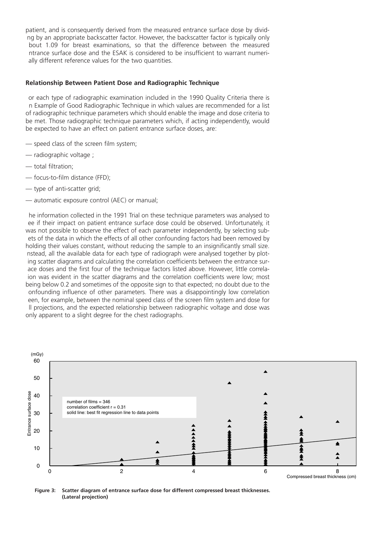patient, and is consequently derived from the measured entrance surface dose by dividng by an appropriate backscatter factor. However, the backscatter factor is typically only bout 1.09 for breast examinations, so that the difference between the measured ntrance surface dose and the ESAK is considered to be insufficient to warrant numerially different reference values for the two quantities.

#### **Relationship Between Patient Dose and Radiographic Technique**

or each type of radiographic examination included in the 1990 Quality Criteria there is n Example of Good Radiographic Technique in which values are recommended for a list of radiographic technique parameters which should enable the image and dose criteria to be met. Those radiographic technique parameters which, if acting independently, would be expected to have an effect on patient entrance surface doses, are:

- speed class of the screen film system;
- radiographic voltage ;
- total filtration;
- focus-to-film distance (FFD);
- type of anti-scatter grid;
- automatic exposure control (AEC) or manual;

he information collected in the 1991 Trial on these technique parameters was analysed to ee if their impact on patient entrance surface dose could be observed. Unfortunately, it was not possible to observe the effect of each parameter independently, by selecting subets of the data in which the effects of all other confounding factors had been removed by holding their values constant, without reducing the sample to an insignificantly small size. nstead, all the available data for each type of radiograph were analysed together by ploting scatter diagrams and calculating the correlation coefficients between the entrance surace doses and the first four of the technique factors listed above. However, little correlaion was evident in the scatter diagrams and the correlation coefficients were low; most being below 0.2 and sometimes of the opposite sign to that expected; no doubt due to the onfounding influence of other parameters. There was a disappointingly low correlation een, for example, between the nominal speed class of the screen film system and dose for ll projections, and the expected relationship between radiographic voltage and dose was only apparent to a slight degree for the chest radiographs.



**Figure 3: Scatter diagram of entrance surface dose for different compressed breast thicknesses. (Lateral projection)**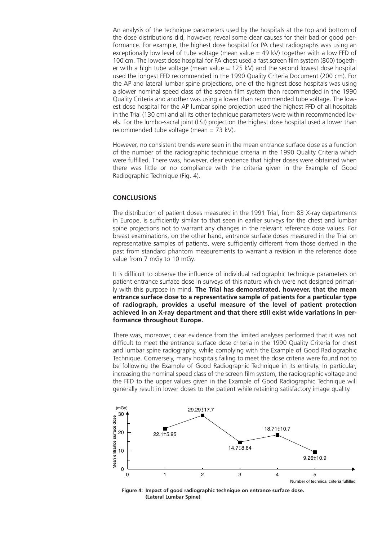An analysis of the technique parameters used by the hospitals at the top and bottom of the dose distributions did, however, reveal some clear causes for their bad or good performance. For example, the highest dose hospital for PA chest radiographs was using an exceptionally low level of tube voltage (mean value = 49 kV) together with a low FFD of 100 cm. The lowest dose hospital for PA chest used a fast screen film system (800) together with a high tube voltage (mean value = 125 kV) and the second lowest dose hospital used the longest FFD recommended in the 1990 Quality Criteria Document (200 cm). For the AP and lateral lumbar spine projections, one of the highest dose hospitals was using a slower nominal speed class of the screen film system than recommended in the 1990 Quality Criteria and another was using a lower than recommended tube voltage. The lowest dose hospital for the AP lumbar spine projection used the highest FFD of all hospitals in the Trial (130 cm) and all its other technique parameters were within recommended levels. For the lumbo-sacral joint (LSJ) projection the highest dose hospital used a lower than recommended tube voltage (mean = 73 kV).

However, no consistent trends were seen in the mean entrance surface dose as a function of the number of the radiographic technique criteria in the 1990 Quality Criteria which were fulfilled. There was, however, clear evidence that higher doses were obtained when there was little or no compliance with the criteria given in the Example of Good Radiographic Technique (Fig. 4).

#### **CONCLUSIONS**

The distribution of patient doses measured in the 1991 Trial, from 83 X-ray departments in Europe, is sufficiently similar to that seen in earlier surveys for the chest and lumbar spine projections not to warrant any changes in the relevant reference dose values. For breast examinations, on the other hand, entrance surface doses measured in the Trial on representative samples of patients, were sufficiently different from those derived in the past from standard phantom measurements to warrant a revision in the reference dose value from 7 mGy to 10 mGy.

It is difficult to observe the influence of individual radiographic technique parameters on patient entrance surface dose in surveys of this nature which were not designed primarily with this purpose in mind. **The Trial has demonstrated, however, that the mean entrance surface dose to a representative sample of patients for a particular type of radiograph, provides a useful measure of the level of patient protection achieved in an X-ray department and that there still exist wide variations in performance throughout Europe.**

There was, moreover, clear evidence from the limited analyses performed that it was not difficult to meet the entrance surface dose criteria in the 1990 Quality Criteria for chest and lumbar spine radiography, while complying with the Example of Good Radiographic Technique. Conversely, many hospitals failing to meet the dose criteria were found not to be following the Example of Good Radiographic Technique in its entirety. In particular, increasing the nominal speed class of the screen film system, the radiographic voltage and the FFD to the upper values given in the Example of Good Radiographic Technique will generally result in lower doses to the patient while retaining satisfactory image quality.



**Figure 4: Impact of good radiographic technique on entrance surface dose. (Lateral Lumbar Spine)**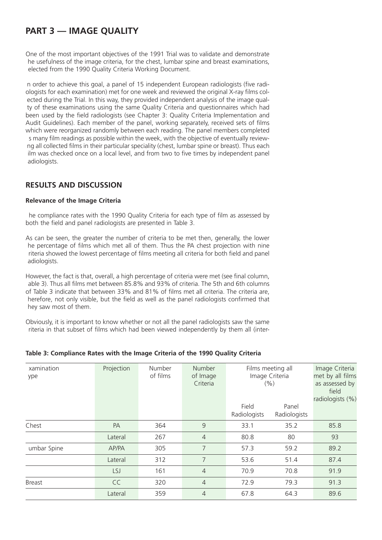# **PART 3 — IMAGE QUALITY**

One of the most important objectives of the 1991 Trial was to validate and demonstrate he usefulness of the image criteria, for the chest, lumbar spine and breast examinations, elected from the 1990 Quality Criteria Working Document.

n order to achieve this goal, a panel of 15 independent European radiologists (five radiologists for each examination) met for one week and reviewed the original X-ray films colected during the Trial. In this way, they provided independent analysis of the image qualty of these examinations using the same Quality Criteria and questionnaires which had been used by the field radiologists (see Chapter 3: Quality Criteria Implementation and Audit Guidelines). Each member of the panel, working separately, received sets of films which were reorganized randomly between each reading. The panel members completed s many film readings as possible within the week, with the objective of eventually reviewng all collected films in their particular speciality (chest, lumbar spine or breast). Thus each ilm was checked once on a local level, and from two to five times by independent panel adiologists.

## **RESULTS AND DISCUSSION**

#### **Relevance of the Image Criteria**

he compliance rates with the 1990 Quality Criteria for each type of film as assessed by both the field and panel radiologists are presented in Table 3.

As can be seen, the greater the number of criteria to be met then, generally, the lower he percentage of films which met all of them. Thus the PA chest projection with nine riteria showed the lowest percentage of films meeting all criteria for both field and panel adiologists.

However, the fact is that, overall, a high percentage of criteria were met (see final column, able 3). Thus all films met between 85.8% and 93% of criteria. The 5th and 6th columns of Table 3 indicate that between 33% and 81% of films met all criteria. The criteria are, herefore, not only visible, but the field as well as the panel radiologists confirmed that hey saw most of them.

Obviously, it is important to know whether or not all the panel radiologists saw the same riteria in that subset of films which had been viewed independently by them all (inter-

| xamination<br>ype | Projection | Number<br>of films | Number<br>of Image<br>Criteria |                       | Films meeting all<br>Image Criteria<br>(9/6) | Image Criteria<br>met by all films<br>as assessed by<br>field<br>radiologists (%) |
|-------------------|------------|--------------------|--------------------------------|-----------------------|----------------------------------------------|-----------------------------------------------------------------------------------|
|                   |            |                    |                                | Field<br>Radiologists | Panel<br>Radiologists                        |                                                                                   |
| Chest             | PA         | 364                | 9                              | 33.1                  | 35.2                                         | 85.8                                                                              |
|                   | Lateral    | 267                | $\overline{4}$                 | 80.8                  | 80                                           | 93                                                                                |
| umbar Spine       | AP/PA      | 305                | $\overline{7}$                 | 57.3                  | 59.2                                         | 89.2                                                                              |
|                   | Lateral    | 312                | $\overline{7}$                 | 53.6                  | 51.4                                         | 87.4                                                                              |
|                   | <b>LSJ</b> | 161                | $\overline{4}$                 | 70.9                  | 70.8                                         | 91.9                                                                              |
| <b>Breast</b>     | CC         | 320                | $\overline{4}$                 | 72.9                  | 79.3                                         | 91.3                                                                              |
|                   | Lateral    | 359                | $\overline{4}$                 | 67.8                  | 64.3                                         | 89.6                                                                              |

#### **Table 3: Compliance Rates with the Image Criteria of the 1990 Quality Criteria**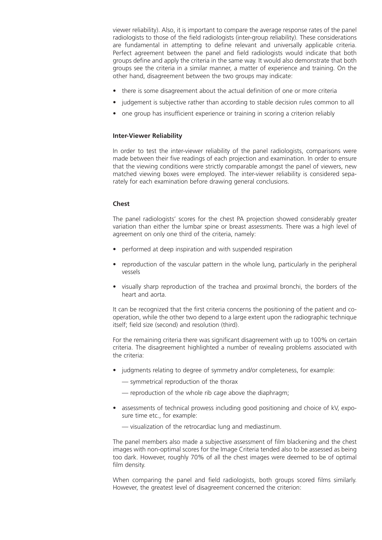viewer reliability). Also, it is important to compare the average response rates of the panel radiologists to those of the field radiologists (inter-group reliability). These considerations are fundamental in attempting to define relevant and universally applicable criteria. Perfect agreement between the panel and field radiologists would indicate that both groups define and apply the criteria in the same way. It would also demonstrate that both groups see the criteria in a similar manner, a matter of experience and training. On the other hand, disagreement between the two groups may indicate:

- there is some disagreement about the actual definition of one or more criteria
- judgement is subjective rather than according to stable decision rules common to all
- one group has insufficient experience or training in scoring a criterion reliably

#### **Inter-Viewer Reliability**

In order to test the inter-viewer reliability of the panel radiologists, comparisons were made between their five readings of each projection and examination. In order to ensure that the viewing conditions were strictly comparable amongst the panel of viewers, new matched viewing boxes were employed. The inter-viewer reliability is considered separately for each examination before drawing general conclusions.

#### **Chest**

The panel radiologists' scores for the chest PA projection showed considerably greater variation than either the lumbar spine or breast assessments. There was a high level of agreement on only one third of the criteria, namely:

- performed at deep inspiration and with suspended respiration
- reproduction of the vascular pattern in the whole lung, particularly in the peripheral vessels
- visually sharp reproduction of the trachea and proximal bronchi, the borders of the heart and aorta.

It can be recognized that the first criteria concerns the positioning of the patient and cooperation, while the other two depend to a large extent upon the radiographic technique itself; field size (second) and resolution (third).

For the remaining criteria there was significant disagreement with up to 100% on certain criteria. The disagreement highlighted a number of revealing problems associated with the criteria:

- judgments relating to degree of symmetry and/or completeness, for example:
	- symmetrical reproduction of the thorax
	- reproduction of the whole rib cage above the diaphragm;
- assessments of technical prowess including good positioning and choice of kV, exposure time etc., for example:
	- visualization of the retrocardiac lung and mediastinum.

The panel members also made a subjective assessment of film blackening and the chest images with non-optimal scores for the Image Criteria tended also to be assessed as being too dark. However, roughly 70% of all the chest images were deemed to be of optimal film density.

When comparing the panel and field radiologists, both groups scored films similarly. However, the greatest level of disagreement concerned the criterion: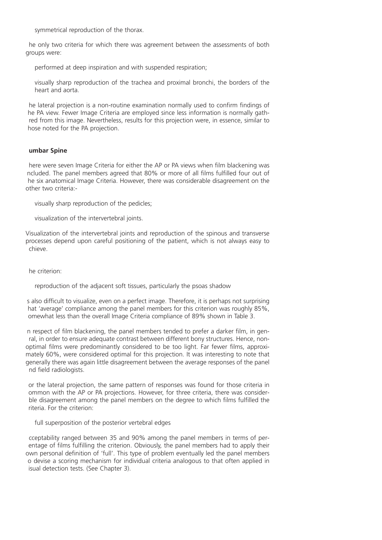symmetrical reproduction of the thorax.

he only two criteria for which there was agreement between the assessments of both groups were:

performed at deep inspiration and with suspended respiration;

visually sharp reproduction of the trachea and proximal bronchi, the borders of the heart and aorta.

he lateral projection is a non-routine examination normally used to confirm findings of he PA view. Fewer Image Criteria are employed since less information is normally gathred from this image. Nevertheless, results for this projection were, in essence, similar to hose noted for the PA projection.

#### **umbar Spine**

here were seven Image Criteria for either the AP or PA views when film blackening was ncluded. The panel members agreed that 80% or more of all films fulfilled four out of he six anatomical Image Criteria. However, there was considerable disagreement on the other two criteria:-

visually sharp reproduction of the pedicles;

visualization of the intervertebral joints.

Visualization of the intervertebral joints and reproduction of the spinous and transverse processes depend upon careful positioning of the patient, which is not always easy to chieve.

he criterion:

reproduction of the adjacent soft tissues, particularly the psoas shadow

s also difficult to visualize, even on a perfect image. Therefore, it is perhaps not surprising hat 'average' compliance among the panel members for this criterion was roughly 85%, omewhat less than the overall Image Criteria compliance of 89% shown in Table 3.

n respect of film blackening, the panel members tended to prefer a darker film, in genral, in order to ensure adequate contrast between different bony structures. Hence, nonoptimal films were predominantly considered to be too light. Far fewer films, approximately 60%, were considered optimal for this projection. It was interesting to note that generally there was again little disagreement between the average responses of the panel nd field radiologists.

or the lateral projection, the same pattern of responses was found for those criteria in ommon with the AP or PA projections. However, for three criteria, there was considerble disagreement among the panel members on the degree to which films fulfilled the riteria. For the criterion:

full superposition of the posterior vertebral edges

cceptability ranged between 35 and 90% among the panel members in terms of perentage of films fulfilling the criterion. Obviously, the panel members had to apply their own personal definition of 'full'. This type of problem eventually led the panel members o devise a scoring mechanism for individual criteria analogous to that often applied in isual detection tests. (See Chapter 3).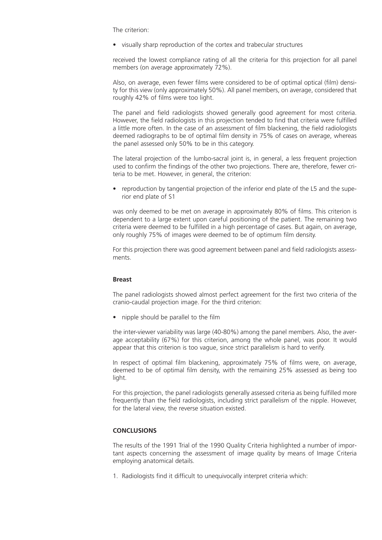The criterion:

• visually sharp reproduction of the cortex and trabecular structures

received the lowest compliance rating of all the criteria for this projection for all panel members (on average approximately 72%).

Also, on average, even fewer films were considered to be of optimal optical (film) density for this view (only approximately 50%). All panel members, on average, considered that roughly 42% of films were too light.

The panel and field radiologists showed generally good agreement for most criteria. However, the field radiologists in this projection tended to find that criteria were fulfilled a little more often. In the case of an assessment of film blackening, the field radiologists deemed radiographs to be of optimal film density in 75% of cases on average, whereas the panel assessed only 50% to be in this category.

The lateral projection of the lumbo-sacral joint is, in general, a less frequent projection used to confirm the findings of the other two projections. There are, therefore, fewer criteria to be met. However, in general, the criterion:

• reproduction by tangential projection of the inferior end plate of the L5 and the superior end plate of S1

was only deemed to be met on average in approximately 80% of films. This criterion is dependent to a large extent upon careful positioning of the patient. The remaining two criteria were deemed to be fulfilled in a high percentage of cases. But again, on average, only roughly 75% of images were deemed to be of optimum film density.

For this projection there was good agreement between panel and field radiologists assessments.

#### **Breast**

The panel radiologists showed almost perfect agreement for the first two criteria of the cranio-caudal projection image. For the third criterion:

• nipple should be parallel to the film

the inter-viewer variability was large (40-80%) among the panel members. Also, the average acceptability (67%) for this criterion, among the whole panel, was poor. It would appear that this criterion is too vague, since strict parallelism is hard to verify.

In respect of optimal film blackening, approximately 75% of films were, on average, deemed to be of optimal film density, with the remaining 25% assessed as being too light.

For this projection, the panel radiologists generally assessed criteria as being fulfilled more frequently than the field radiologists, including strict parallelism of the nipple. However, for the lateral view, the reverse situation existed.

#### **CONCLUSIONS**

The results of the 1991 Trial of the 1990 Quality Criteria highlighted a number of important aspects concerning the assessment of image quality by means of Image Criteria employing anatomical details.

1. Radiologists find it difficult to unequivocally interpret criteria which: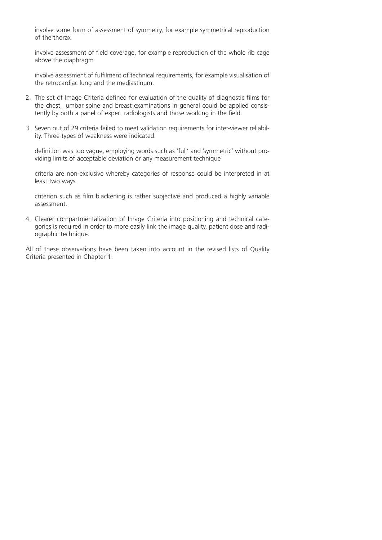involve some form of assessment of symmetry, for example symmetrical reproduction of the thorax

involve assessment of field coverage, for example reproduction of the whole rib cage above the diaphragm

involve assessment of fulfilment of technical requirements, for example visualisation of the retrocardiac lung and the mediastinum.

- 2. The set of Image Criteria defined for evaluation of the quality of diagnostic films for the chest, lumbar spine and breast examinations in general could be applied consistently by both a panel of expert radiologists and those working in the field.
- 3. Seven out of 29 criteria failed to meet validation requirements for inter-viewer reliability. Three types of weakness were indicated:

definition was too vague, employing words such as 'full' and 'symmetric' without providing limits of acceptable deviation or any measurement technique

criteria are non-exclusive whereby categories of response could be interpreted in at least two ways

criterion such as film blackening is rather subjective and produced a highly variable assessment.

4. Clearer compartmentalization of Image Criteria into positioning and technical categories is required in order to more easily link the image quality, patient dose and radiographic technique.

All of these observations have been taken into account in the revised lists of Quality Criteria presented in Chapter 1.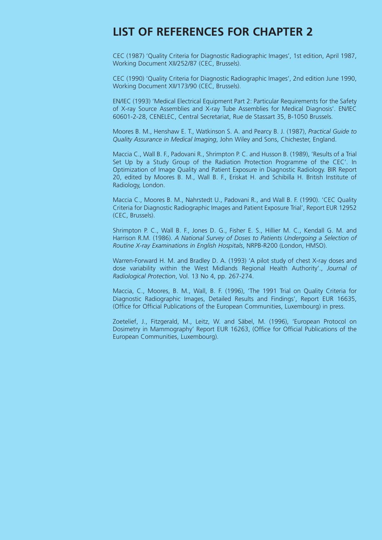# **LIST OF REFERENCES FOR CHAPTER 2**

CEC (1987) 'Quality Criteria for Diagnostic Radiographic Images', 1st edition, April 1987, Working Document XII/252/87 (CEC, Brussels).

CEC (1990) 'Quality Criteria for Diagnostic Radiographic Images', 2nd edition June 1990, Working Document XII/173/90 (CEC, Brussels).

EN/IEC (1993) 'Medical Electrical Equipment Part 2: Particular Requirements for the Safety of X-ray Source Assemblies and X-ray Tube Assemblies for Medical Diagnosis'. EN/IEC 60601-2-28, CENELEC, Central Secretariat, Rue de Stassart 35, B-1050 Brussels.

Moores B. M., Henshaw E. T., Watkinson S. A. and Pearcy B. J. (1987), *Practical Guide to Quality Assurance in Medical Imaging*, John Wiley and Sons, Chichester, England.

Maccia C., Wall B. F., Padovani R., Shrimpton P. C. and Husson B. (1989), 'Results of a Trial Set Up by a Study Group of the Radiation Protection Programme of the CEC'. In Optimization of Image Quality and Patient Exposure in Diagnostic Radiology. BIR Report 20, edited by Moores B. M., Wall B. F., Eriskat H. and Schibilla H. British Institute of Radiology, London.

Maccia C., Moores B. M., Nahrstedt U., Padovani R., and Wall B. F. (1990). 'CEC Quality Criteria for Diagnostic Radiographic Images and Patient Exposure Trial', Report EUR 12952 (CEC, Brussels).

Shrimpton P. C., Wall B. F., Jones D. G., Fisher E. S., Hillier M. C., Kendall G. M. and Harrison R.M. (1986). *A National Survey of Doses to Patients Undergoing a Selection of Routine X-ray Examinations in English Hospitals*, NRPB-R200 (London, HMSO).

Warren-Forward H. M. and Bradley D. A. (1993) 'A pilot study of chest X-ray doses and dose variability within the West Midlands Regional Health Authority'., *Journal of Radiological Protection*, Vol. 13 No 4, pp. 267-274.

Maccia, C., Moores, B. M., Wall, B. F. (1996), 'The 1991 Trial on Quality Criteria for Diagnostic Radiographic Images, Detailed Results and Findings', Report EUR 16635, (Office for Official Publications of the European Communities, Luxembourg) in press.

Zoetelief, J., Fitzgerald, M., Leitz, W. and Säbel, M. (1996), 'European Protocol on Dosimetry in Mammography' Report EUR 16263, (Office for Official Publications of the European Communities, Luxembourg).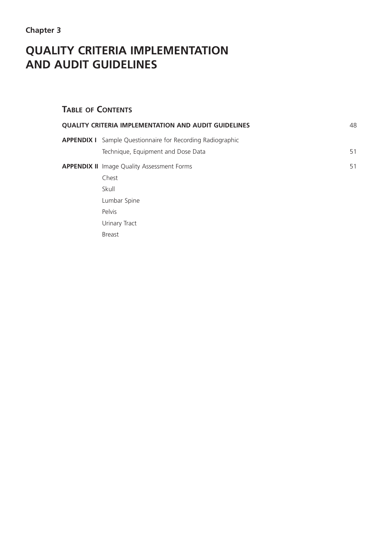**Chapter 3**

# **QUALITY CRITERIA IMPLEMENTATION AND AUDIT GUIDELINES**

## **TABLE OF CONTENTS**

| <b>QUALITY CRITERIA IMPLEMENTATION AND AUDIT GUIDELINES</b>                                                    | 48 |
|----------------------------------------------------------------------------------------------------------------|----|
| <b>APPENDIX I</b> Sample Questionnaire for Recording Radiographic<br>Technique, Equipment and Dose Data        | 51 |
| <b>APPENDIX II</b> Image Quality Assessment Forms<br>Chest<br>Skull<br>Lumbar Spine<br>Pelvis<br>Urinary Tract | 51 |
| <b>Breast</b>                                                                                                  |    |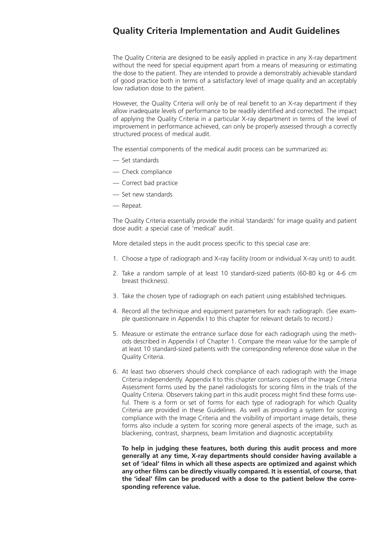## **Quality Criteria Implementation and Audit Guidelines**

The Quality Criteria are designed to be easily applied in practice in any X-ray department without the need for special equipment apart from a means of measuring or estimating the dose to the patient. They are intended to provide a demonstrably achievable standard of good practice both in terms of a satisfactory level of image quality and an acceptably low radiation dose to the patient.

However, the Quality Criteria will only be of real benefit to an X-ray department if they allow inadequate levels of performance to be readily identified and corrected. The impact of applying the Quality Criteria in a particular X-ray department in terms of the level of improvement in performance achieved, can only be properly assessed through a correctly structured process of medical audit.

The essential components of the medical audit process can be summarized as:

- Set standards
- Check compliance
- Correct bad practice
- Set new standards
- Repeat.

The Quality Criteria essentially provide the initial 'standards' for image quality and patient dose audit: a special case of 'medical' audit.

More detailed steps in the audit process specific to this special case are:

- 1. Choose a type of radiograph and X-ray facility (room or individual X-ray unit) to audit.
- 2. Take a random sample of at least 10 standard-sized patients (60-80 kg or 4-6 cm breast thickness).
- 3. Take the chosen type of radiograph on each patient using established techniques.
- 4. Record all the technique and equipment parameters for each radiograph. (See example questionnaire in Appendix I to this chapter for relevant details to record.)
- 5. Measure or estimate the entrance surface dose for each radiograph using the methods described in Appendix I of Chapter 1. Compare the mean value for the sample of at least 10 standard-sized patients with the corresponding reference dose value in the Quality Criteria.
- 6. At least two observers should check compliance of each radiograph with the Image Criteria independently. Appendix II to this chapter contains copies of the Image Criteria Assessment forms used by the panel radiologists for scoring films in the trials of the Quality Criteria. Observers taking part in this audit process might find these forms useful. There is a form or set of forms for each type of radiograph for which Quality Criteria are provided in these Guidelines. As well as providing a system for scoring compliance with the Image Criteria and the visibility of important image details, these forms also include a system for scoring more general aspects of the image, such as blackening, contrast, sharpness, beam limitation and diagnostic acceptability.

**To help in judging these features, both during this audit process and more generally at any time, X-ray departments should consider having available a set of 'ideal' films in which all these aspects are optimized and against which any other films can be directly visually compared. It is essential, of course, that the 'ideal' film can be produced with a dose to the patient below the corresponding reference value.**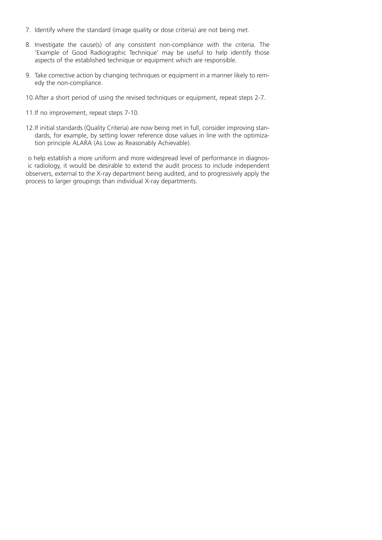- 7. Identify where the standard (image quality or dose criteria) are not being met.
- 8. Investigate the cause(s) of any consistent non-compliance with the criteria. The 'Example of Good Radiographic Technique' may be useful to help identify those aspects of the established technique or equipment which are responsible.
- 9. Take corrective action by changing techniques or equipment in a manner likely to remedy the non-compliance.
- 10.After a short period of using the revised techniques or equipment, repeat steps 2-7.
- 11.If no improvement, repeat steps 7-10.
- 12.If initial standards (Quality Criteria) are now being met in full, consider improving standards, for example, by setting lower reference dose values in line with the optimization principle ALARA (As Low as Reasonably Achievable).

o help establish a more uniform and more widespread level of performance in diagnosic radiology, it would be desirable to extend the audit process to include independent observers, external to the X-ray department being audited, and to progressively apply the process to larger groupings than individual X-ray departments.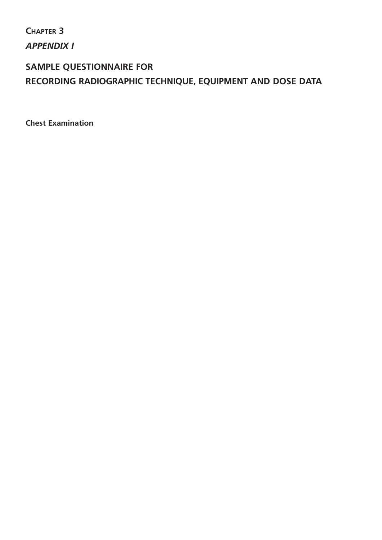**CHAPTER 3** *APPENDIX I*

# **SAMPLE QUESTIONNAIRE FOR RECORDING RADIOGRAPHIC TECHNIQUE, EQUIPMENT AND DOSE DATA**

**Chest Examination**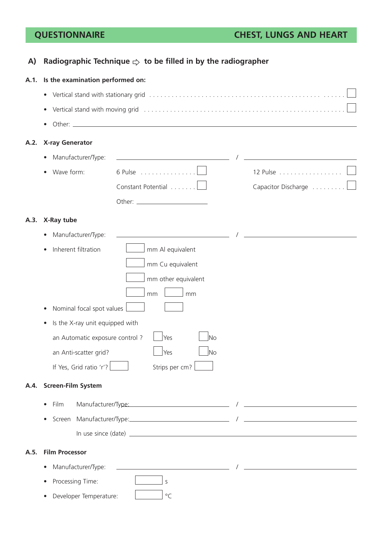| A) Radiographic Technique $\Rightarrow$ to be filled in by the radiographer |  |  |  |
|-----------------------------------------------------------------------------|--|--|--|
|                                                                             |  |  |  |

| A.1. | Is the examination performed on:                                                                                                                                                                                                                                                                                                                                                                                                                                                 |                                                   |
|------|----------------------------------------------------------------------------------------------------------------------------------------------------------------------------------------------------------------------------------------------------------------------------------------------------------------------------------------------------------------------------------------------------------------------------------------------------------------------------------|---------------------------------------------------|
|      | $\bullet$                                                                                                                                                                                                                                                                                                                                                                                                                                                                        |                                                   |
|      | $\bullet$                                                                                                                                                                                                                                                                                                                                                                                                                                                                        |                                                   |
|      | $\bullet$                                                                                                                                                                                                                                                                                                                                                                                                                                                                        |                                                   |
| A.2. | <b>X-ray Generator</b>                                                                                                                                                                                                                                                                                                                                                                                                                                                           |                                                   |
|      | Manufacturer/Type:<br><u> 1989 - Johann Harry Harry Harry Harry Harry Harry Harry Harry Harry Harry Harry Harry Harry Harry Harry Harry</u><br>$\bullet$                                                                                                                                                                                                                                                                                                                         | <u> 1980 - Johann Barbara, martxa alemaniar a</u> |
|      | Wave form:<br>6 Pulse L                                                                                                                                                                                                                                                                                                                                                                                                                                                          | 12 Pulse                                          |
|      | Constant Potential [                                                                                                                                                                                                                                                                                                                                                                                                                                                             | Capacitor Discharge                               |
|      |                                                                                                                                                                                                                                                                                                                                                                                                                                                                                  |                                                   |
| A.3. | X-Ray tube                                                                                                                                                                                                                                                                                                                                                                                                                                                                       |                                                   |
|      | Manufacturer/Type:<br>the control of the control of the control of the control of the<br>٠                                                                                                                                                                                                                                                                                                                                                                                       |                                                   |
|      | Inherent filtration<br>mm Al equivalent<br>$\bullet$                                                                                                                                                                                                                                                                                                                                                                                                                             |                                                   |
|      | mm Cu equivalent                                                                                                                                                                                                                                                                                                                                                                                                                                                                 |                                                   |
|      | mm other equivalent                                                                                                                                                                                                                                                                                                                                                                                                                                                              |                                                   |
|      | mm<br>mm                                                                                                                                                                                                                                                                                                                                                                                                                                                                         |                                                   |
|      | Nominal focal spot values                                                                                                                                                                                                                                                                                                                                                                                                                                                        |                                                   |
|      | Is the X-ray unit equipped with<br>$\bullet$                                                                                                                                                                                                                                                                                                                                                                                                                                     |                                                   |
|      | No <br>an Automatic exposure control?<br>Yes                                                                                                                                                                                                                                                                                                                                                                                                                                     |                                                   |
|      | Yes<br>No<br>an Anti-scatter grid?                                                                                                                                                                                                                                                                                                                                                                                                                                               |                                                   |
|      | If Yes, Grid ratio 'r'?<br>Strips per cm?                                                                                                                                                                                                                                                                                                                                                                                                                                        |                                                   |
|      | A.4. Screen-Film System                                                                                                                                                                                                                                                                                                                                                                                                                                                          |                                                   |
|      | Manufacturer/Type: / 2009/2009 / 2009/2010 / 2009/2010 / 2009/2010 / 2009/2010 / 2009/2010 / 2009/2010 / 2009<br>Film<br>$\bullet$                                                                                                                                                                                                                                                                                                                                               |                                                   |
|      | Screen Manufacturer/Type: 2008 2010 12:00:00 12:00:00 12:00:00 12:00:00 12:00:00 12:00:00 12:00:00 12:00:00 1<br>$\bullet$                                                                                                                                                                                                                                                                                                                                                       |                                                   |
|      |                                                                                                                                                                                                                                                                                                                                                                                                                                                                                  |                                                   |
| A.5. | <b>Film Processor</b>                                                                                                                                                                                                                                                                                                                                                                                                                                                            |                                                   |
|      | $\overline{\phantom{a}}$ , $\overline{\phantom{a}}$ , $\overline{\phantom{a}}$ , $\overline{\phantom{a}}$ , $\overline{\phantom{a}}$ , $\overline{\phantom{a}}$ , $\overline{\phantom{a}}$ , $\overline{\phantom{a}}$ , $\overline{\phantom{a}}$ , $\overline{\phantom{a}}$ , $\overline{\phantom{a}}$ , $\overline{\phantom{a}}$ , $\overline{\phantom{a}}$ , $\overline{\phantom{a}}$ , $\overline{\phantom{a}}$ , $\overline{\phantom{a}}$<br>Manufacturer/Type:<br>$\bullet$ |                                                   |
|      | Processing Time:<br>S<br>$\bullet$                                                                                                                                                                                                                                                                                                                                                                                                                                               |                                                   |
|      | $^{\circ}C$<br>Developer Temperature:<br>$\bullet$                                                                                                                                                                                                                                                                                                                                                                                                                               |                                                   |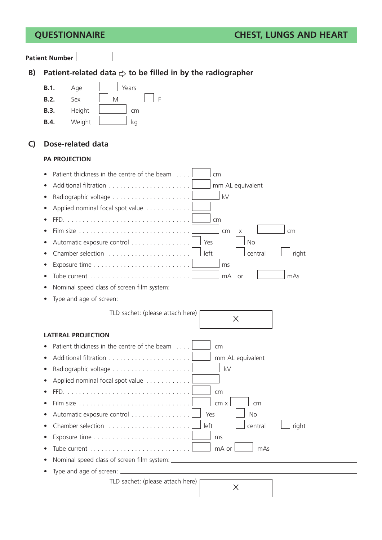**QUESTIONNAIRE CHEST, LUNGS AND HEART** 

**Patient Number**

## **B)** Patient-related data  $\Rightarrow$  to be filled in by the radiographer



**B.4.** Weight  $\boxed{\phantom{1} \phantom{1} }$  kg

## **C) Dose-related data**

## **PA PROJECTION**

| Patient thickness in the centre of the beam<br>cm                        |
|--------------------------------------------------------------------------|
| mm AL equivalent                                                         |
| kV                                                                       |
| Applied nominal focal spot value                                         |
| cm                                                                       |
| cm<br>cm<br>$\mathsf{X}$                                                 |
| Yes<br><b>No</b>                                                         |
| $\rfloor$ right<br>left<br>central                                       |
| Exposure time $\dots\dots\dots\dots\dots\dots\dots\dots\dots\dots$<br>ms |
| mAs<br>mA or                                                             |
|                                                                          |
|                                                                          |
| TLD sachet: (please attach here)<br>$\times$                             |
| <b>LATERAL PROJECTION</b>                                                |
| Patient thickness in the centre of the beam<br>cm                        |
| mm AL equivalent                                                         |
| kV                                                                       |
| Applied nominal focal spot value                                         |
| cm                                                                       |
| cm x<br>cm                                                               |
| <b>No</b><br>Yes                                                         |
| left<br>right<br>central                                                 |
|                                                                          |
| Exposure time $\ldots \ldots \ldots \ldots \ldots \ldots$<br>ms          |
| mA or<br>mAs                                                             |
|                                                                          |
| TLD sachet: (please attach here)                                         |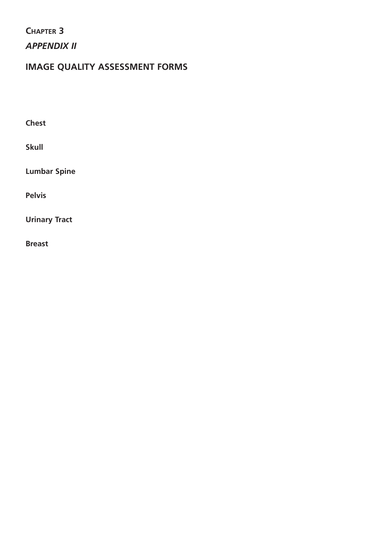**CHAPTER 3** *APPENDIX II*

# **IMAGE QUALITY ASSESSMENT FORMS**

**Chest**

**Skull**

**Lumbar Spine**

**Pelvis**

**Urinary Tract**

**Breast**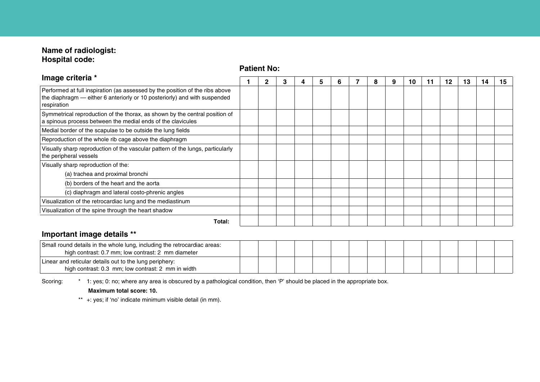**Patient No:** 

| Image criteria *                                                                                                                                                         |  | 3 | 5. | 6 |  | 9 | 10 | 11 | 12 | 13 | 14 | 15 |
|--------------------------------------------------------------------------------------------------------------------------------------------------------------------------|--|---|----|---|--|---|----|----|----|----|----|----|
| Performed at full inspiration (as assessed by the position of the ribs above<br>the diaphragm - either 6 anteriorly or 10 posteriorly) and with suspended<br>respiration |  |   |    |   |  |   |    |    |    |    |    |    |
| Symmetrical reproduction of the thorax, as shown by the central position of<br>a spinous process between the medial ends of the clavicules                               |  |   |    |   |  |   |    |    |    |    |    |    |
| Medial border of the scapulae to be outside the lung fields                                                                                                              |  |   |    |   |  |   |    |    |    |    |    |    |
| Reproduction of the whole rib cage above the diaphragm                                                                                                                   |  |   |    |   |  |   |    |    |    |    |    |    |
| Visually sharp reproduction of the vascular pattern of the lungs, particularly<br>the peripheral vessels                                                                 |  |   |    |   |  |   |    |    |    |    |    |    |
| Visually sharp reproduction of the:                                                                                                                                      |  |   |    |   |  |   |    |    |    |    |    |    |
| (a) trachea and proximal bronchi                                                                                                                                         |  |   |    |   |  |   |    |    |    |    |    |    |
| (b) borders of the heart and the aorta                                                                                                                                   |  |   |    |   |  |   |    |    |    |    |    |    |
| (c) diaphragm and lateral costo-phrenic angles                                                                                                                           |  |   |    |   |  |   |    |    |    |    |    |    |
| Visualization of the retrocardiac lung and the mediastinum                                                                                                               |  |   |    |   |  |   |    |    |    |    |    |    |
| Visualization of the spine through the heart shadow                                                                                                                      |  |   |    |   |  |   |    |    |    |    |    |    |
| Total:                                                                                                                                                                   |  |   |    |   |  |   |    |    |    |    |    |    |

## **Important image details \*\***

| Small round details in the whole lung, including the retrocardiac areas:<br>high contrast: 0.7 mm; low contrast: 2 mm diameter |  |  |  |  |  |  |  |  |
|--------------------------------------------------------------------------------------------------------------------------------|--|--|--|--|--|--|--|--|
| Linear and reticular details out to the lung periphery:<br>high contrast: 0.3 mm; low contrast: 2 mm in width                  |  |  |  |  |  |  |  |  |

Scoring: \* 1: yes; 0: no; where any area is obscured by a pathological condition, then 'P' should be placed in the appropriate box.

#### **Maximum total score: 10.**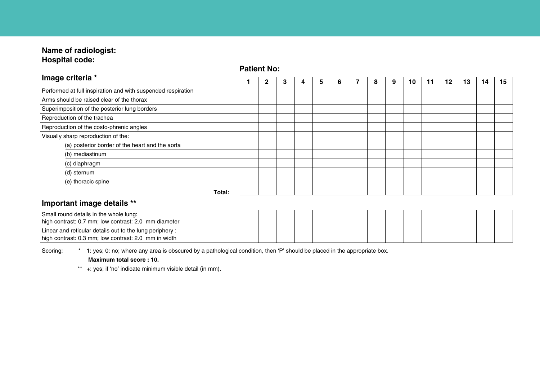|                                                              | . מנוסות וזט. |   |   |   |   |   |   |    |    |    |    |    |    |
|--------------------------------------------------------------|---------------|---|---|---|---|---|---|----|----|----|----|----|----|
| Image criteria *                                             | $\mathbf{2}$  | 3 | 4 | 5 | 6 | 8 | 9 | 10 | 11 | 12 | 13 | 14 | 15 |
| Performed at full inspiration and with suspended respiration |               |   |   |   |   |   |   |    |    |    |    |    |    |
| Arms should be raised clear of the thorax                    |               |   |   |   |   |   |   |    |    |    |    |    |    |
| Superimposition of the posterior lung borders                |               |   |   |   |   |   |   |    |    |    |    |    |    |
| Reproduction of the trachea                                  |               |   |   |   |   |   |   |    |    |    |    |    |    |
| Reproduction of the costo-phrenic angles                     |               |   |   |   |   |   |   |    |    |    |    |    |    |
| Visually sharp reproduction of the:                          |               |   |   |   |   |   |   |    |    |    |    |    |    |
| (a) posterior border of the heart and the aorta              |               |   |   |   |   |   |   |    |    |    |    |    |    |
| (b) mediastinum                                              |               |   |   |   |   |   |   |    |    |    |    |    |    |
| (c) diaphragm                                                |               |   |   |   |   |   |   |    |    |    |    |    |    |
| (d) sternum                                                  |               |   |   |   |   |   |   |    |    |    |    |    |    |
| (e) thoracic spine                                           |               |   |   |   |   |   |   |    |    |    |    |    |    |
| Total:                                                       |               |   |   |   |   |   |   |    |    |    |    |    |    |
| Important image details **                                   |               |   |   |   |   |   |   |    |    |    |    |    |    |
| Small round details in the whole lung:                       |               |   |   |   |   |   |   |    |    |    |    |    |    |

**Patient No:** 

| Small round details in the whole lung:                                                                          |  |  |  |  |  |  |  |  |
|-----------------------------------------------------------------------------------------------------------------|--|--|--|--|--|--|--|--|
| high contrast: 0.7 mm; low contrast: 2.0 mm diameter                                                            |  |  |  |  |  |  |  |  |
| Linear and reticular details out to the lung periphery:<br>high contrast: 0.3 mm; low contrast: 2.0 mm in width |  |  |  |  |  |  |  |  |
|                                                                                                                 |  |  |  |  |  |  |  |  |

Scoring: \* 1: yes; 0: no; where any area is obscured by a pathological condition, then 'P' should be placed in the appropriate box.

 **Maximum total score : 10.**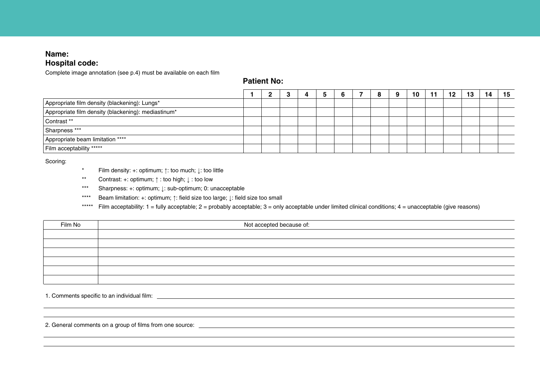## **Name:Hospital code:**

Complete image annotation (see p.4) must be available on each film

#### **Patient No:**

|                                                     |  |  |  |  | 10 | -19 | 13 | 14 | 15 |
|-----------------------------------------------------|--|--|--|--|----|-----|----|----|----|
| Appropriate film density (blackening): Lungs*       |  |  |  |  |    |     |    |    |    |
| Appropriate film density (blackening): mediastinum* |  |  |  |  |    |     |    |    |    |
| Contrast **                                         |  |  |  |  |    |     |    |    |    |
| Sharpness ***                                       |  |  |  |  |    |     |    |    |    |
| Appropriate beam limitation ****                    |  |  |  |  |    |     |    |    |    |
| Film acceptability *****                            |  |  |  |  |    |     |    |    |    |

Scoring:

- $\star$ Film density:  $+$ : optimum;  $\uparrow$ : too much;  $\downarrow$ : too little
- \*\*Contrast: +: optimum;  $\uparrow$ : too high;  $\downarrow$ : too low
- \*\*\*Sharpness: +: optimum; J: sub-optimum; 0: unacceptable
- \*\*\*\*Beam limitation:  $+$ : optimum;  $\uparrow$ : field size too large;  $\downarrow$ : field size too small
- \*\*\*\*\*Film acceptability:  $1 =$  fully acceptable;  $2 =$  probably acceptable;  $3 =$  only acceptable under limited clinical conditions;  $4 =$  unacceptable (give reasons)

| Film No | Not accepted because of: |
|---------|--------------------------|
|         |                          |
|         |                          |
|         |                          |
|         |                          |
|         |                          |
|         |                          |

1. Comments specific to an individual film:

2. General comments on a group of films from one source: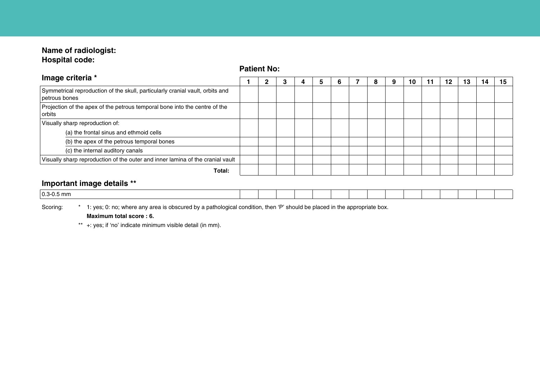|                                                                                                | <b>Patient No:</b> |   |   |   |   |   |    |    |    |    |    |    |
|------------------------------------------------------------------------------------------------|--------------------|---|---|---|---|---|----|----|----|----|----|----|
| Image criteria *                                                                               |                    | 3 | 5 | 6 | 8 | 9 | 10 | 11 | 12 | 13 | 14 | 15 |
| Symmetrical reproduction of the skull, particularly cranial vault, orbits and<br>petrous bones |                    |   |   |   |   |   |    |    |    |    |    |    |
| Projection of the apex of the petrous temporal bone into the centre of the<br>orbits           |                    |   |   |   |   |   |    |    |    |    |    |    |
| Visually sharp reproduction of:                                                                |                    |   |   |   |   |   |    |    |    |    |    |    |
| (a) the frontal sinus and ethmoid cells                                                        |                    |   |   |   |   |   |    |    |    |    |    |    |
| (b) the apex of the petrous temporal bones                                                     |                    |   |   |   |   |   |    |    |    |    |    |    |
| (c) the internal auditory canals                                                               |                    |   |   |   |   |   |    |    |    |    |    |    |
| Visually sharp reproduction of the outer and inner lamina of the cranial vault                 |                    |   |   |   |   |   |    |    |    |    |    |    |
| Total:                                                                                         |                    |   |   |   |   |   |    |    |    |    |    |    |

# **Important image details \*\***

|  | $\sqrt{2}$<br>$0.3 - 0.5$ mm |  |  |  |  |  |  |  |  |  |  |  |  |  |  |  |
|--|------------------------------|--|--|--|--|--|--|--|--|--|--|--|--|--|--|--|
|--|------------------------------|--|--|--|--|--|--|--|--|--|--|--|--|--|--|--|

Scoring: \* 1: yes; 0: no; where any area is obscured by a pathological condition, then 'P' should be placed in the appropriate box.

#### **Maximum total score : 6.**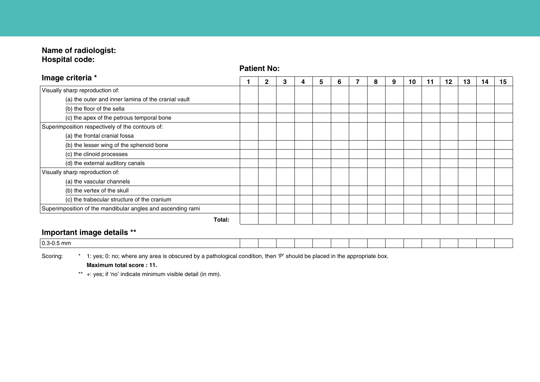| Image criteria *                                            |  | $\mathbf{2}$ | 3 | 4 | 5 | 6 | 7 | 8 | 9 | 10 | 11 | 12 | 13 | 14 | 15 |
|-------------------------------------------------------------|--|--------------|---|---|---|---|---|---|---|----|----|----|----|----|----|
| Visually sharp reproduction of:                             |  |              |   |   |   |   |   |   |   |    |    |    |    |    |    |
| (a) the outer and inner lamina of the cranial vault         |  |              |   |   |   |   |   |   |   |    |    |    |    |    |    |
| (b) the floor of the sella                                  |  |              |   |   |   |   |   |   |   |    |    |    |    |    |    |
| (c) the apex of the petrous temporal bone                   |  |              |   |   |   |   |   |   |   |    |    |    |    |    |    |
| Superimposition respectively of the contours of:            |  |              |   |   |   |   |   |   |   |    |    |    |    |    |    |
| (a) the frontal cranial fossa                               |  |              |   |   |   |   |   |   |   |    |    |    |    |    |    |
| (b) the lesser wing of the sphenoid bone                    |  |              |   |   |   |   |   |   |   |    |    |    |    |    |    |
| (c) the clinoid processes                                   |  |              |   |   |   |   |   |   |   |    |    |    |    |    |    |
| (d) the external auditory canals                            |  |              |   |   |   |   |   |   |   |    |    |    |    |    |    |
| Visually sharp reproduction of:                             |  |              |   |   |   |   |   |   |   |    |    |    |    |    |    |
| (a) the vascular channels                                   |  |              |   |   |   |   |   |   |   |    |    |    |    |    |    |
| (b) the vertex of the skull                                 |  |              |   |   |   |   |   |   |   |    |    |    |    |    |    |
| (c) the trabecular structure of the cranium                 |  |              |   |   |   |   |   |   |   |    |    |    |    |    |    |
| Superimposition of the mandibular angles and ascending rami |  |              |   |   |   |   |   |   |   |    |    |    |    |    |    |
| Total:                                                      |  |              |   |   |   |   |   |   |   |    |    |    |    |    |    |

**Patient No:** 

## **Important image details \*\***

| $\sim$ $\sim$<br>mm<br> |  |  |  |  |  |  |  |  |  |  |  |  |  |  |  |
|-------------------------|--|--|--|--|--|--|--|--|--|--|--|--|--|--|--|
|-------------------------|--|--|--|--|--|--|--|--|--|--|--|--|--|--|--|

Scoring: \* 1: yes; 0: no; where any area is obscured by a pathological condition, then 'P' should be placed in the appropriate box.

**Maximum total score : 11.**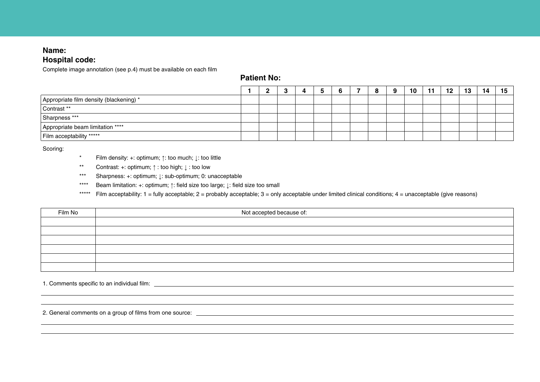## **Name:Hospital code:**

Complete image annotation (see p.4) must be available on each film

#### **Patient No:**

|                                         |  |  |  |  | $\Omega$ | 10 | - 3 | 12 | 13 | 14 | 15 |
|-----------------------------------------|--|--|--|--|----------|----|-----|----|----|----|----|
| Appropriate film density (blackening) * |  |  |  |  |          |    |     |    |    |    |    |
| Contrast **                             |  |  |  |  |          |    |     |    |    |    |    |
| Sharpness ***                           |  |  |  |  |          |    |     |    |    |    |    |
| Appropriate beam limitation ****        |  |  |  |  |          |    |     |    |    |    |    |
| Film acceptability *****                |  |  |  |  |          |    |     |    |    |    |    |

Scoring:

- \*Film density:  $+$ : optimum;  $\uparrow$ : too much;  $\downarrow$ : too little
- \*\*Contrast: +: optimum;  $\uparrow$ : too high;  $\downarrow$ : too low
- \*\*\*Sharpness: +: optimum; |: sub-optimum; 0: unacceptable
- \*\*\*\*Beam limitation:  $+$ : optimum;  $\uparrow$ : field size too large;  $\downarrow$ : field size too small
- \*\*\*\*\*Film acceptability:  $1 =$  fully acceptable;  $2 =$  probably acceptable;  $3 =$  only acceptable under limited clinical conditions;  $4 =$  unacceptable (give reasons)

| Film No | Not accepted because of: |
|---------|--------------------------|
|         |                          |
|         |                          |
|         |                          |
|         |                          |
|         |                          |
|         |                          |

1. Comments specific to an individual film:

2. General comments on a group of films from one source: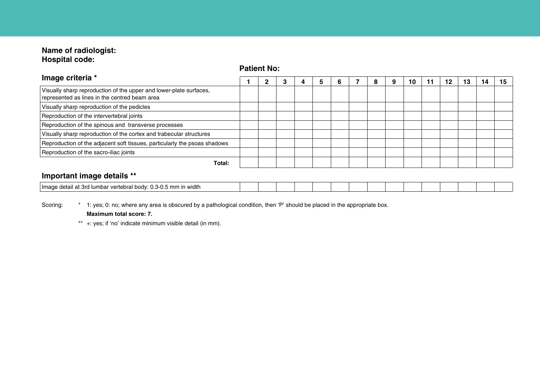| <b>Patient No:</b> |  |
|--------------------|--|
|--------------------|--|

| Image criteria *                                                                                                    | 2 | 3 | 5 | O | 8 | 9 | 10 | 11 | 12 | 13 | 14 | 15 |
|---------------------------------------------------------------------------------------------------------------------|---|---|---|---|---|---|----|----|----|----|----|----|
| Visually sharp reproduction of the upper and lower-plate surfaces,<br>represented as lines in the centred beam area |   |   |   |   |   |   |    |    |    |    |    |    |
| Visually sharp reproduction of the pedicles                                                                         |   |   |   |   |   |   |    |    |    |    |    |    |
| Reproduction of the intervertebral joints                                                                           |   |   |   |   |   |   |    |    |    |    |    |    |
| Reproduction of the spinous and transverse processes                                                                |   |   |   |   |   |   |    |    |    |    |    |    |
| Visually sharp reproduction of the cortex and trabecular structures                                                 |   |   |   |   |   |   |    |    |    |    |    |    |
| Reproduction of the adjacent soft tissues, particularly the psoas shadows                                           |   |   |   |   |   |   |    |    |    |    |    |    |
| Reproduction of the sacro-iliac joints                                                                              |   |   |   |   |   |   |    |    |    |    |    |    |
| Total:                                                                                                              |   |   |   |   |   |   |    |    |    |    |    |    |

## **Important image details \*\***

| ı width<br>l Image<br>nnnnn<br>3ro<br>mm<br>umpar'<br>ran<br>ັບ.ບ<br>.<br>. |  |  |  |  |  |  |  |  |
|-----------------------------------------------------------------------------|--|--|--|--|--|--|--|--|
|                                                                             |  |  |  |  |  |  |  |  |

Scoring: \* 1: yes; 0: no; where any area is obscured by a pathological condition, then 'P' should be placed in the appropriate box. **Maximum total score: 7.**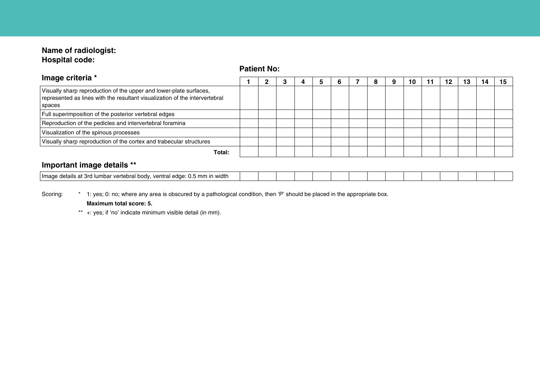**Patient No:** 

| Image criteria *                                                                                                                                            |  | 3 | 5 | b |  | 9 | 10 | 11 | 12 | 13 | 14 | 15 |
|-------------------------------------------------------------------------------------------------------------------------------------------------------------|--|---|---|---|--|---|----|----|----|----|----|----|
| Visually sharp reproduction of the upper and lower-plate surfaces,<br>represented as lines with the resultant visualization of the intervertebral<br>spaces |  |   |   |   |  |   |    |    |    |    |    |    |
| Full superimposition of the posterior vertebral edges                                                                                                       |  |   |   |   |  |   |    |    |    |    |    |    |
| Reproduction of the pedicles and intervertebral foramina                                                                                                    |  |   |   |   |  |   |    |    |    |    |    |    |
| Visualization of the spinous processes                                                                                                                      |  |   |   |   |  |   |    |    |    |    |    |    |
| Visually sharp reproduction of the cortex and trabecular structures                                                                                         |  |   |   |   |  |   |    |    |    |    |    |    |
| Total:                                                                                                                                                      |  |   |   |   |  |   |    |    |    |    |    |    |
| Important image details **                                                                                                                                  |  |   |   |   |  |   |    |    |    |    |    |    |
| Image details at 3rd lumbar vertebral body, ventral edge: 0.5 mm in width                                                                                   |  |   |   |   |  |   |    |    |    |    |    |    |

Scoring: \* 1: yes; 0: no; where any area is obscured by a pathological condition, then 'P' should be placed in the appropriate box.

#### **Maximum total score: 5.**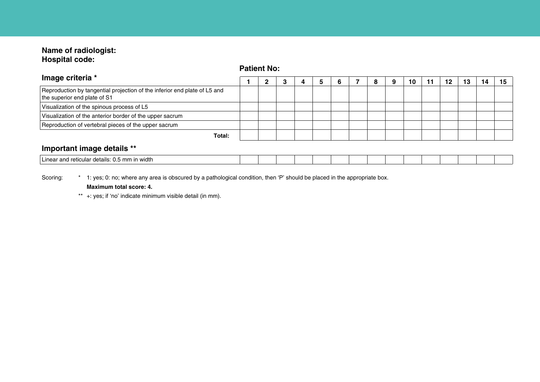**Patient No:** 

| Image criteria *                                                                                          |  | -5 |  | b | 8 | 9 | 10 | 11 | 12 | 13 | 14 | 15 |
|-----------------------------------------------------------------------------------------------------------|--|----|--|---|---|---|----|----|----|----|----|----|
| Reproduction by tangential projection of the inferior end plate of L5 and<br>the superior end plate of S1 |  |    |  |   |   |   |    |    |    |    |    |    |
| Visualization of the spinous process of L5                                                                |  |    |  |   |   |   |    |    |    |    |    |    |
| Visualization of the anterior border of the upper sacrum                                                  |  |    |  |   |   |   |    |    |    |    |    |    |
| Reproduction of vertebral pieces of the upper sacrum                                                      |  |    |  |   |   |   |    |    |    |    |    |    |
| Total:                                                                                                    |  |    |  |   |   |   |    |    |    |    |    |    |
| Important image details **                                                                                |  |    |  |   |   |   |    |    |    |    |    |    |

| : 0.5 mm in width<br>.ınear<br>ior dotaile:<br><b>PATIAL</b><br>getalis.<br>ıаı<br>ะแบน |  |  |  |  |  |  |  |  |  |  |  |  |  |  |  |
|-----------------------------------------------------------------------------------------|--|--|--|--|--|--|--|--|--|--|--|--|--|--|--|
|-----------------------------------------------------------------------------------------|--|--|--|--|--|--|--|--|--|--|--|--|--|--|--|

Scoring: \* 1: yes; 0: no; where any area is obscured by a pathological condition, then 'P' should be placed in the appropriate box. **Maximum total score: 4.**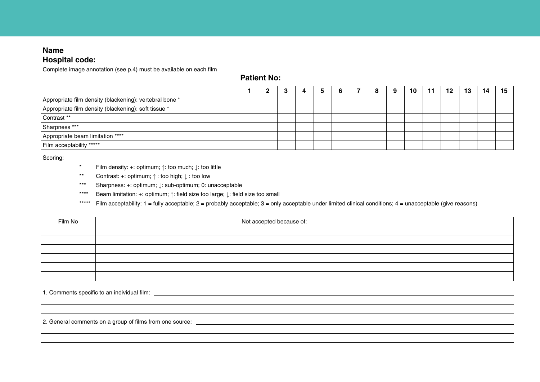## **Name Hospital code:**

Complete image annotation (see p.4) must be available on each film

#### **Patient No:**

|                                                         |  |  |  |  | 10 | 12 | 13 | 14 | 15 |
|---------------------------------------------------------|--|--|--|--|----|----|----|----|----|
| Appropriate film density (blackening): vertebral bone * |  |  |  |  |    |    |    |    |    |
| Appropriate film density (blackening): soft tissue *    |  |  |  |  |    |    |    |    |    |
| Contrast **                                             |  |  |  |  |    |    |    |    |    |
| Sharpness ***                                           |  |  |  |  |    |    |    |    |    |
| Appropriate beam limitation ****                        |  |  |  |  |    |    |    |    |    |
| Film acceptability *****                                |  |  |  |  |    |    |    |    |    |

Scoring:

- \*Film density:  $+$ : optimum;  $\uparrow$ : too much;  $\downarrow$ : too little
- \*\*Contrast:  $+$ : optimum;  $\uparrow$ : too high;  $\downarrow$ : too low
- \*\*\*Sharpness: +: optimum; J: sub-optimum; 0: unacceptable
- \*\*\*\*Beam limitation:  $+$ : optimum;  $\uparrow$ : field size too large;  $\downarrow$ : field size too small

\*\*\*\*\*Film acceptability:  $1 =$  fully acceptable;  $2 =$  probably acceptable;  $3 =$  only acceptable under limited clinical conditions;  $4 =$  unacceptable (give reasons)

| Film No | Not accepted because of: |
|---------|--------------------------|
|         |                          |
|         |                          |
|         |                          |
|         |                          |
|         |                          |
|         |                          |

1. Comments specific to an individual film:

2. General comments on a group of films from one source: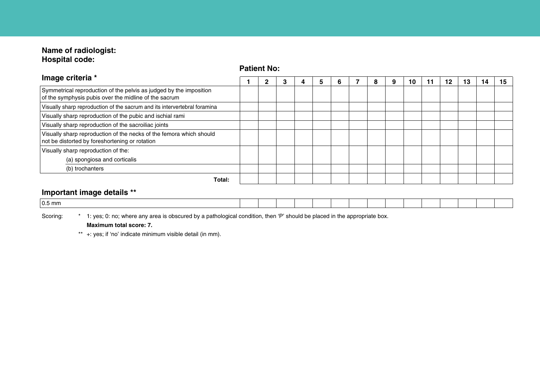|                                                                                                                             | <b>Patient No:</b> |   |   |   |   |   |    |    |    |    |    |    |
|-----------------------------------------------------------------------------------------------------------------------------|--------------------|---|---|---|---|---|----|----|----|----|----|----|
| Image criteria *                                                                                                            |                    | З | 5 | n | 8 | 9 | 10 | 11 | 12 | 13 | 14 | 15 |
| Symmetrical reproduction of the pelvis as judged by the imposition<br>of the symphysis pubis over the midline of the sacrum |                    |   |   |   |   |   |    |    |    |    |    |    |
| Visually sharp reproduction of the sacrum and its intervertebral foramina                                                   |                    |   |   |   |   |   |    |    |    |    |    |    |
| Visually sharp reproduction of the pubic and ischial rami                                                                   |                    |   |   |   |   |   |    |    |    |    |    |    |
| Visually sharp reproduction of the sacroiliac joints                                                                        |                    |   |   |   |   |   |    |    |    |    |    |    |
| Visually sharp reproduction of the necks of the femora which should<br>not be distorted by foreshortening or rotation       |                    |   |   |   |   |   |    |    |    |    |    |    |
| Visually sharp reproduction of the:                                                                                         |                    |   |   |   |   |   |    |    |    |    |    |    |
| (a) spongiosa and corticalis                                                                                                |                    |   |   |   |   |   |    |    |    |    |    |    |
| (b) trochanters                                                                                                             |                    |   |   |   |   |   |    |    |    |    |    |    |
| Total:                                                                                                                      |                    |   |   |   |   |   |    |    |    |    |    |    |

## **Important image details \*\***

| $\vert$ 0.5 mm |  |  |  |  |  |  |  |  |
|----------------|--|--|--|--|--|--|--|--|
|                |  |  |  |  |  |  |  |  |

Scoring: \* 1: yes; 0: no; where any area is obscured by a pathological condition, then 'P' should be placed in the appropriate box.

#### **Maximum total score: 7.**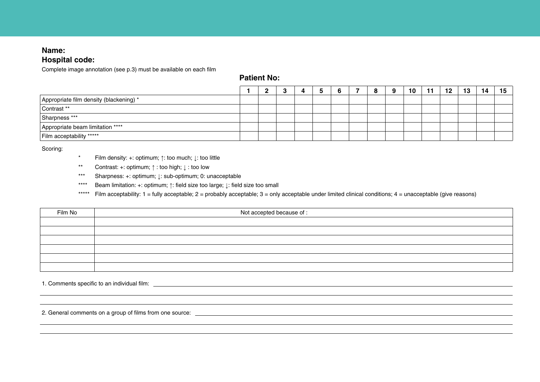## **Name:Hospital code:**

Complete image annotation (see p.3) must be available on each film

## **Patient No:**

|                                         |  |  |  |  | Ω | 10 | -414 | 12 | 13 | 14 | 15 <sub>1</sub> |
|-----------------------------------------|--|--|--|--|---|----|------|----|----|----|-----------------|
| Appropriate film density (blackening) * |  |  |  |  |   |    |      |    |    |    |                 |
| Contrast **                             |  |  |  |  |   |    |      |    |    |    |                 |
| Sharpness ***                           |  |  |  |  |   |    |      |    |    |    |                 |
| Appropriate beam limitation ****        |  |  |  |  |   |    |      |    |    |    |                 |
| Film acceptability *****                |  |  |  |  |   |    |      |    |    |    |                 |

Scoring:

- \*Film density:  $+$ : optimum;  $\uparrow$ : too much;  $\downarrow$ : too little
- \*\*Contrast: +: optimum;  $\uparrow$  : too high;  $\downarrow$  : too low
- \*\*\*Sharpness: +: optimum; |: sub-optimum; 0: unacceptable
- \*\*\*\*Beam limitation:  $+$ : optimum;  $\uparrow$ : field size too large;  $\downarrow$ : field size too small
- \*\*\*\*\*Film acceptability: 1 = fully acceptable; 2 = probably acceptable; 3 = only acceptable under limited clinical conditions; 4 = unacceptable (give reasons)

| Film No | Not accepted because of : |
|---------|---------------------------|
|         |                           |
|         |                           |
|         |                           |
|         |                           |
|         |                           |
|         |                           |

1. Comments specific to an individual film:

2. General comments on a group of films from one source: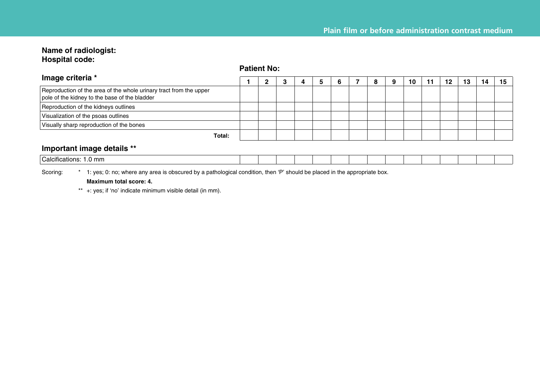**Patient No:** 

| Image criteria *                                                                                                    |  |  |  |  | 10 | 11 | 12 | 13 | 14 | 15 |
|---------------------------------------------------------------------------------------------------------------------|--|--|--|--|----|----|----|----|----|----|
| Reproduction of the area of the whole urinary tract from the upper<br>pole of the kidney to the base of the bladder |  |  |  |  |    |    |    |    |    |    |
| Reproduction of the kidneys outlines                                                                                |  |  |  |  |    |    |    |    |    |    |
| Visualization of the psoas outlines                                                                                 |  |  |  |  |    |    |    |    |    |    |
| Visually sharp reproduction of the bones                                                                            |  |  |  |  |    |    |    |    |    |    |
| Total:                                                                                                              |  |  |  |  |    |    |    |    |    |    |
|                                                                                                                     |  |  |  |  |    |    |    |    |    |    |

## **Important image details \*\***

| Calcifications: 1.0<br>mm |  |  |  |
|---------------------------|--|--|--|
|---------------------------|--|--|--|

Scoring: \* 1: yes; 0: no; where any area is obscured by a pathological condition, then 'P' should be placed in the appropriate box.

#### **Maximum total score: 4.**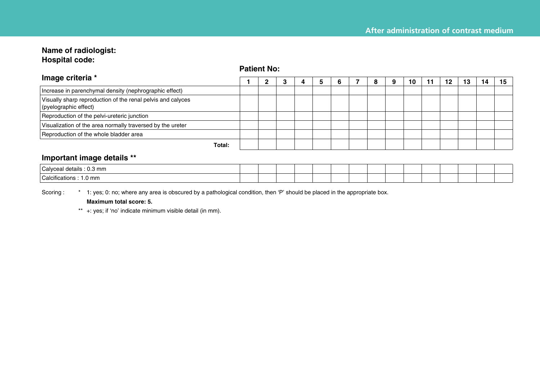Calcifications : 1.0 mm

|                                                                                      |        | <b>Patient No:</b> |   |   |   |   |   |    |    |    |    |    |    |
|--------------------------------------------------------------------------------------|--------|--------------------|---|---|---|---|---|----|----|----|----|----|----|
| Image criteria *                                                                     |        |                    | 3 | 4 | 5 | b | 8 | 10 | 11 | 12 | 13 | 14 | 15 |
| Increase in parenchymal density (nephrographic effect)                               |        |                    |   |   |   |   |   |    |    |    |    |    |    |
| Visually sharp reproduction of the renal pelvis and calyces<br>(pyelographic effect) |        |                    |   |   |   |   |   |    |    |    |    |    |    |
| Reproduction of the pelvi-ureteric junction                                          |        |                    |   |   |   |   |   |    |    |    |    |    |    |
| Visualization of the area normally traversed by the ureter                           |        |                    |   |   |   |   |   |    |    |    |    |    |    |
| Reproduction of the whole bladder area                                               |        |                    |   |   |   |   |   |    |    |    |    |    |    |
|                                                                                      | Total: |                    |   |   |   |   |   |    |    |    |    |    |    |
| Important image details **                                                           |        |                    |   |   |   |   |   |    |    |    |    |    |    |
| Calyceal details : 0.3 mm                                                            |        |                    |   |   |   |   |   |    |    |    |    |    |    |

Scoring : \* 1: yes; 0: no; where any area is obscured by a pathological condition, then 'P' should be placed in the appropriate box.

#### **Maximum total score: 5.**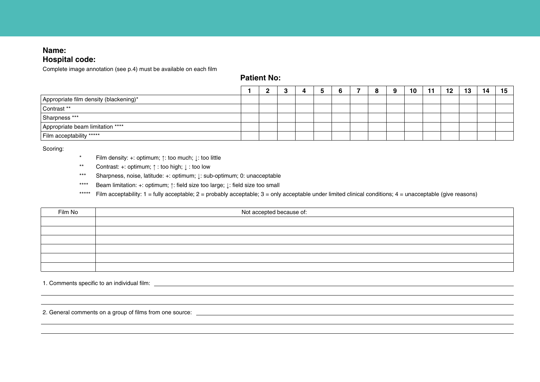# **Name:Hospital code:**

Complete image annotation (see p.4) must be available on each film

# **Patient No:**

|                                        |  |  |  |  | 10 | 12 | 13 | 14 | 15 |
|----------------------------------------|--|--|--|--|----|----|----|----|----|
| Appropriate film density (blackening)* |  |  |  |  |    |    |    |    |    |
| Contrast **                            |  |  |  |  |    |    |    |    |    |
| Sharpness ***                          |  |  |  |  |    |    |    |    |    |
| Appropriate beam limitation ****       |  |  |  |  |    |    |    |    |    |
| Film acceptability *****               |  |  |  |  |    |    |    |    |    |

Scoring:

- \*Film density:  $+$ : optimum;  $\uparrow$ : too much;  $\downarrow$ : too little
- \*\*Contrast: +: optimum;  $\uparrow$  : too high;  $\downarrow$  : too low
- \*\*\*Sharpness, noise, latitude: +: optimum; |: sub-optimum; 0: unacceptable
- \*\*\*\*Beam limitation:  $+$ : optimum;  $\uparrow$ : field size too large;  $\downarrow$ : field size too small
- \*\*\*\*\*Film acceptability:  $1$  = fully acceptable;  $2$  = probably acceptable;  $3$  = only acceptable under limited clinical conditions;  $4$  = unacceptable (give reasons)

| Film No | Not accepted because of: |
|---------|--------------------------|
|         |                          |
|         |                          |
|         |                          |
|         |                          |
|         |                          |
|         |                          |

1. Comments specific to an individual film:

2. General comments on a group of films from one source: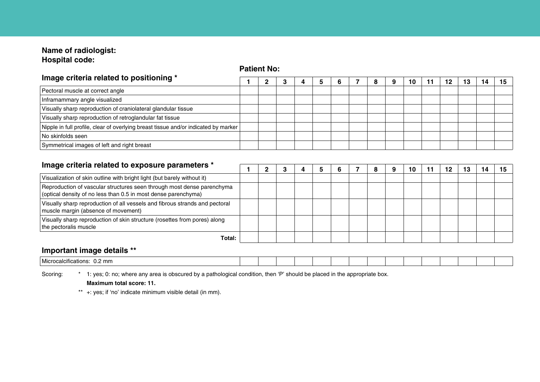|                                                                                     | <b>Patient No:</b> |   |   |   |   |  |   |    |    |    |    |    |    |
|-------------------------------------------------------------------------------------|--------------------|---|---|---|---|--|---|----|----|----|----|----|----|
| Image criteria related to positioning *                                             |                    | 3 | 4 | 5 | b |  | 9 | 10 | 11 | 12 | 13 | 14 | 15 |
| Pectoral muscle at correct angle                                                    |                    |   |   |   |   |  |   |    |    |    |    |    |    |
| Inframammary angle visualized                                                       |                    |   |   |   |   |  |   |    |    |    |    |    |    |
| Visually sharp reproduction of craniolateral glandular tissue                       |                    |   |   |   |   |  |   |    |    |    |    |    |    |
| Visually sharp reproduction of retroglandular fat tissue                            |                    |   |   |   |   |  |   |    |    |    |    |    |    |
| Nipple in full profile, clear of overlying breast tissue and/or indicated by marker |                    |   |   |   |   |  |   |    |    |    |    |    |    |
| No skinfolds seen                                                                   |                    |   |   |   |   |  |   |    |    |    |    |    |    |
| Symmetrical images of left and right breast                                         |                    |   |   |   |   |  |   |    |    |    |    |    |    |

# Imago critoria related to exposure parameters \*

| <b>THUSE STRAIGHT ISTORIES TO OXPOSITY PUTATIFICIOLS</b>                                                                                 |  |  |  |  | 10 | 12 |  |  |
|------------------------------------------------------------------------------------------------------------------------------------------|--|--|--|--|----|----|--|--|
| Visualization of skin outline with bright light (but barely without it)                                                                  |  |  |  |  |    |    |  |  |
| Reproduction of vascular structures seen through most dense parenchyma<br>(optical density of no less than 0.5 in most dense parenchyma) |  |  |  |  |    |    |  |  |
| Visually sharp reproduction of all vessels and fibrous strands and pectoral<br>muscle margin (absence of movement)                       |  |  |  |  |    |    |  |  |
| Visually sharp reproduction of skin structure (rosettes from pores) along<br>the pectoralis muscle                                       |  |  |  |  |    |    |  |  |
| Total:                                                                                                                                   |  |  |  |  |    |    |  |  |

# **Important image details \*\***

| l Mi<br>$-$<br>∶mm<br>nr.<br>u., |  |  |  |  |  |  |  |  |
|----------------------------------|--|--|--|--|--|--|--|--|
|                                  |  |  |  |  |  |  |  |  |

Scoring: \* 1: yes; 0: no; where any area is obscured by a pathological condition, then 'P' should be placed in the appropriate box.

**Maximum total score: 11.**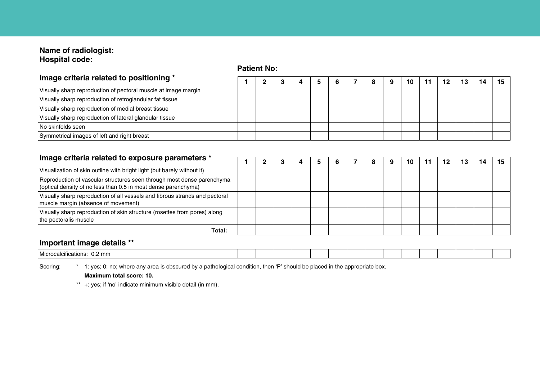|                                                                | <b>Patient No:</b> |   |   |  |   |   |    |    |    |    |    |    |    |
|----------------------------------------------------------------|--------------------|---|---|--|---|---|----|----|----|----|----|----|----|
| Image criteria related to positioning *                        |                    | 2 | З |  | 6 | 8 | -9 | 10 | 11 | 12 | 13 | 14 | 15 |
| Visually sharp reproduction of pectoral muscle at image margin |                    |   |   |  |   |   |    |    |    |    |    |    |    |
| Visually sharp reproduction of retroglandular fat tissue       |                    |   |   |  |   |   |    |    |    |    |    |    |    |
| Visually sharp reproduction of medial breast tissue            |                    |   |   |  |   |   |    |    |    |    |    |    |    |
| Visually sharp reproduction of lateral glandular tissue        |                    |   |   |  |   |   |    |    |    |    |    |    |    |
| No skinfolds seen                                              |                    |   |   |  |   |   |    |    |    |    |    |    |    |
| Symmetrical images of left and right breast                    |                    |   |   |  |   |   |    |    |    |    |    |    |    |

| Image criteria related to exposure parameters *                                                                                          |  |  | D | o | 10 | 11 | 12 | 13 | 14 | 15 |
|------------------------------------------------------------------------------------------------------------------------------------------|--|--|---|---|----|----|----|----|----|----|
| Visualization of skin outline with bright light (but barely without it)                                                                  |  |  |   |   |    |    |    |    |    |    |
| Reproduction of vascular structures seen through most dense parenchyma<br>(optical density of no less than 0.5 in most dense parenchyma) |  |  |   |   |    |    |    |    |    |    |
| Visually sharp reproduction of all vessels and fibrous strands and pectoral<br>muscle margin (absence of movement)                       |  |  |   |   |    |    |    |    |    |    |
| Visually sharp reproduction of skin structure (rosettes from pores) along<br>the pectoralis muscle                                       |  |  |   |   |    |    |    |    |    |    |
| Total:                                                                                                                                   |  |  |   |   |    |    |    |    |    |    |

# **Important image details \*\***

| Mi<br>.<br>' mm |  |  |  |  |  |  |  |  |
|-----------------|--|--|--|--|--|--|--|--|
|                 |  |  |  |  |  |  |  |  |

Scoring: \* 1: yes; 0: no; where any area is obscured by a pathological condition, then 'P' should be placed in the appropriate box.

**Maximum total score: 10.**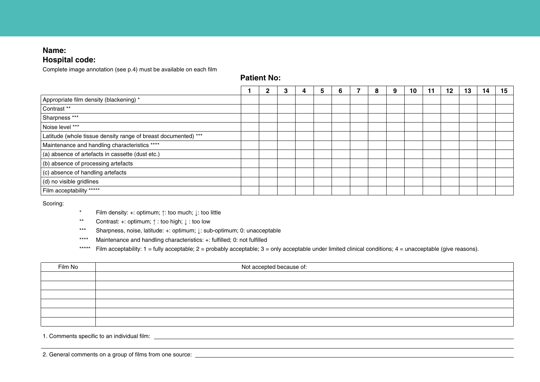# **Name:Hospital code:**

Complete image annotation (see p.4) must be available on each film

# **Patient No:**

|                                                                |  | З | 4 | 5 | 6 | 8 | 9 | 10 | 11 | 12 | 13 | 14 | 15 |
|----------------------------------------------------------------|--|---|---|---|---|---|---|----|----|----|----|----|----|
| Appropriate film density (blackening) *                        |  |   |   |   |   |   |   |    |    |    |    |    |    |
| Contrast **                                                    |  |   |   |   |   |   |   |    |    |    |    |    |    |
| Sharpness ***                                                  |  |   |   |   |   |   |   |    |    |    |    |    |    |
| Noise level ***                                                |  |   |   |   |   |   |   |    |    |    |    |    |    |
| Latitude (whole tissue density range of breast documented) *** |  |   |   |   |   |   |   |    |    |    |    |    |    |
| Maintenance and handling characteristics ****                  |  |   |   |   |   |   |   |    |    |    |    |    |    |
| (a) absence of artefacts in cassette (dust etc.)               |  |   |   |   |   |   |   |    |    |    |    |    |    |
| (b) absence of processing artefacts                            |  |   |   |   |   |   |   |    |    |    |    |    |    |
| (c) absence of handling artefacts                              |  |   |   |   |   |   |   |    |    |    |    |    |    |
| (d) no visible gridlines                                       |  |   |   |   |   |   |   |    |    |    |    |    |    |
| Film acceptability *****                                       |  |   |   |   |   |   |   |    |    |    |    |    |    |

Scoring:

- \*Film density:  $+$ : optimum;  $\uparrow$ : too much;  $\downarrow$ : too little
- \*\*Contrast: +: optimum;  $\uparrow$  : too high;  $\downarrow$  : too low
- \*\*\*Sharpness, noise, latitude: +: optimum;  $\downarrow$ : sub-optimum; 0: unacceptable
- \*\*\*\*Maintenance and handling characteristics: +: fulfilled; 0: not fulfilled
- \*\*\*\*\*Film acceptability: 1 = fully acceptable; 2 = probably acceptable; 3 = only acceptable under limited clinical conditions; 4 = unacceptable (give reasons).

| Film No | Not accepted because of: |
|---------|--------------------------|
|         |                          |
|         |                          |
|         |                          |
|         |                          |
|         |                          |
|         |                          |

1. Comments specific to an individual film:

2. General comments on a group of films from one source: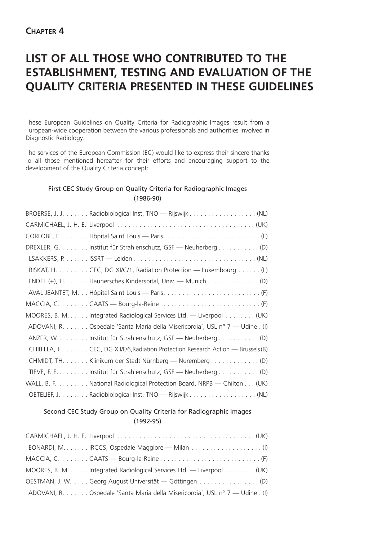# **LIST OF ALL THOSE WHO CONTRIBUTED TO THE ESTABLISHMENT, TESTING AND EVALUATION OF THE QUALITY CRITERIA PRESENTED IN THESE GUIDELINES**

hese European Guidelines on Quality Criteria for Radiographic Images result from a uropean-wide cooperation between the various professionals and authorities involved in Diagnostic Radiology.

he services of the European Commission (EC) would like to express their sincere thanks o all those mentioned hereafter for their efforts and encouraging support to the development of the Quality Criteria concept:

# First CEC Study Group on Quality Criteria for Radiographic Images (1986-90)

| BROERSE, J. J. Radiobiological Inst, TNO - Rijswijk (NL)                          |
|-----------------------------------------------------------------------------------|
|                                                                                   |
|                                                                                   |
| DREXLER, G. Institut für Strahlenschutz, GSF - Neuherberg (D)                     |
|                                                                                   |
| RISKAT, H. CEC, DG XI/C/1, Radiation Protection — Luxembourg (L)                  |
| ENDEL (+), H. Haunersches Kinderspital, Univ. — Munich (D)                        |
|                                                                                   |
|                                                                                   |
| MOORES, B. M. Integrated Radiological Services Ltd. — Liverpool (UK)              |
| ADOVANI, R. Ospedale 'Santa Maria della Misericordia', USL n° 7 — Udine . (I)     |
| ANZER, W. Institut für Strahlenschutz, GSF — Neuherberg (D)                       |
| CHIBILLA, H. CEC, DG XII/F/6, Radiation Protection Research Action - Brussels (B) |
| CHMIDT, TH. Klinikum der Stadt Nürnberg — Nuremberg (D)                           |
| TIEVE, F. E. Institut für Strahlenschutz, GSF — Neuherberg (D)                    |
| WALL, B. F. National Radiological Protection Board, NRPB - Chilton (UK)           |
| OETELIEF, J. Radiobiological Inst, TNO - Rijswijk (NL)                            |

# Second CEC Study Group on Quality Criteria for Radiographic Images (1992-95)

| MOORES, B. M. Integrated Radiological Services Ltd. — Liverpool (UK)          |
|-------------------------------------------------------------------------------|
| OESTMAN, J. W.  Georg August Universität - Göttingen  (D)                     |
| ADOVANI, R. Ospedale 'Santa Maria della Misericordia', USL n° 7 — Udine . (I) |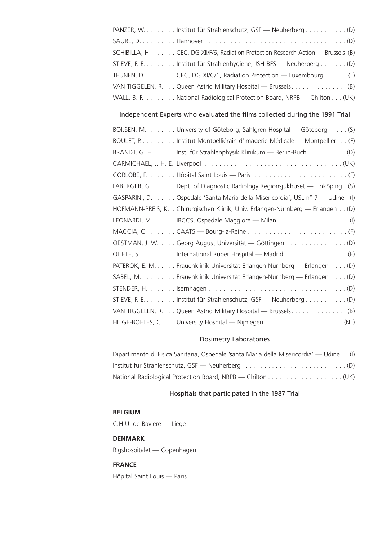| PANZER, W. Institut für Strahlenschutz, GSF - Neuherberg (D)                       |
|------------------------------------------------------------------------------------|
|                                                                                    |
| SCHIBILLA, H. CEC, DG XII/F/6, Radiation Protection Research Action — Brussels (B) |
| STIEVE, F. E. Institut für Strahlenhygiene, JSH-BFS — Neuherberg (D)               |
| TEUNEN, D. CEC, DG XI/C/1, Radiation Protection — Luxembourg (L)                   |
| VAN TIGGELEN, R. Queen Astrid Military Hospital — Brussels. (B)                    |
| WALL, B. F. National Radiological Protection Board, NRPB — Chilton (UK)            |

# Independent Experts who evaluated the films collected during the 1991 Trial

| BOIJSEN, M.  University of Göteborg, Sahlgren Hospital — Göteborg  (S)           |
|----------------------------------------------------------------------------------|
| BOULET, P. Institut Montpelliérain d'Imagerie Médicale — Montpellier. (F)        |
| BRANDT, G. H. Inst. für Strahlenphysik Klinikum - Berlin-Buch (D)                |
|                                                                                  |
|                                                                                  |
| FABERGER, G. Dept. of Diagnostic Radiology Regionsjukhuset — Linköping . (S)     |
| GASPARINI, D. Ospedale 'Santa Maria della Misericordia', USL n° 7 — Udine . (I)  |
| HOFMANN-PREIS, K. . Chirurgischen Klinik, Univ. Erlangen-Nürnberg — Erlangen (D) |
|                                                                                  |
|                                                                                  |
| OESTMAN, J. W.  Georg August Universität - Göttingen  (D)                        |
| OLIETE, S. International Ruber Hospital — Madrid (E)                             |
| PATEROK, E. M. Frauenklinik Universität Erlangen-Nürnberg — Erlangen (D)         |
| SABEL, M.  Frauenklinik Universität Erlangen-Nürnberg — Erlangen  (D)            |
|                                                                                  |
| STIEVE, F. E Institut für Strahlenschutz, GSF - Neuherberg(D)                    |
| VAN TIGGELEN, R. Queen Astrid Military Hospital - Brussels. (B)                  |
| HITGE-BOETES, C.  University Hospital - Nijmegen  (NL)                           |

# Dosimetry Laboratories

| Dipartimento di Fisica Sanitaria, Ospedale 'santa Maria della Misericordia' — Udine (I) |  |
|-----------------------------------------------------------------------------------------|--|
|                                                                                         |  |
|                                                                                         |  |

# Hospitals that participated in the 1987 Trial

### **BELGIUM**

C.H.U. de Bavière — Liège

# **DENMARK**

Rigshospitalet — Copenhagen

# **FRANCE**

Hôpital Saint Louis — Paris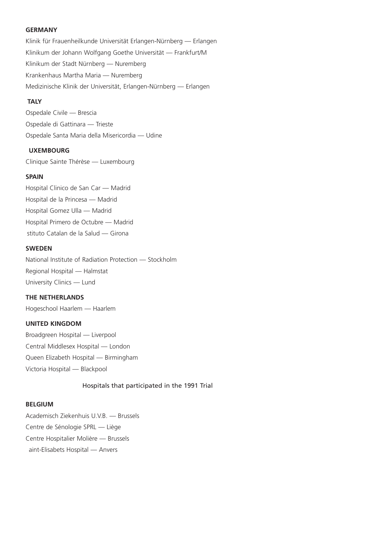#### **GERMANY**

Klinik für Frauenheilkunde Universität Erlangen-Nürnberg — Erlangen Klinikum der Johann Wolfgang Goethe Universität — Frankfurt/M Klinikum der Stadt Nürnberg — Nuremberg Krankenhaus Martha Maria — Nuremberg Medizinische Klinik der Universität, Erlangen-Nürnberg — Erlangen

#### **TALY**

Ospedale Civile — Brescia Ospedale di Gattinara — Trieste Ospedale Santa Maria della Misericordia — Udine

#### **UXEMBOURG**

Clinique Sainte Thérèse — Luxembourg

#### **SPAIN**

Hospital Clinico de San Car — Madrid Hospital de la Princesa — Madrid Hospital Gomez Ulla — Madrid Hospital Primero de Octubre — Madrid stituto Catalan de la Salud — Girona

#### **SWEDEN**

National Institute of Radiation Protection — Stockholm Regional Hospital — Halmstat University Clinics — Lund

#### **THE NETHERLANDS**

Hogeschool Haarlem — Haarlem

#### **UNITED KINGDOM**

Broadgreen Hospital — Liverpool Central Middlesex Hospital — London Queen Elizabeth Hospital — Birmingham Victoria Hospital — Blackpool

#### Hospitals that participated in the 1991 Trial

#### **BELGIUM**

Academisch Ziekenhuis U.V.B. — Brussels Centre de Sénologie SPRL — Liège Centre Hospitalier Molière — Brussels aint-Elisabets Hospital — Anvers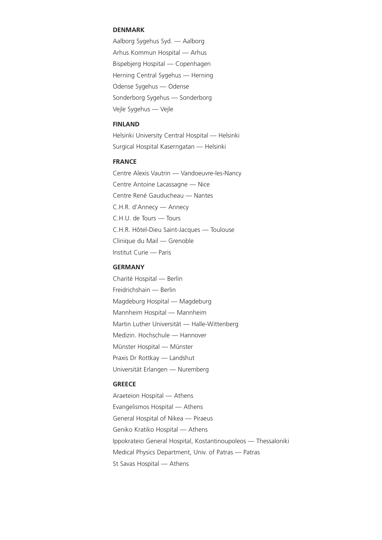#### **DENMARK**

Aalborg Sygehus Syd. — Aalborg Arhus Kommun Hospital — Arhus Bispebjerg Hospital — Copenhagen Herning Central Sygehus — Herning Odense Sygehus — Odense Sonderborg Sygehus — Sonderborg Vejle Sygehus — Vejle

#### **FINLAND**

Helsinki University Central Hospital — Helsinki Surgical Hospital Kaserngatan — Helsinki

#### **FRANCE**

Centre Alexis Vautrin — Vandoeuvre-les-Nancy Centre Antoine Lacassagne — Nice Centre René Gauducheau — Nantes C.H.R. d'Annecy — Annecy C.H.U. de Tours — Tours C.H.R. Hôtel-Dieu Saint-Jacques — Toulouse Clinique du Mail — Grenoble Institut Curie — Paris

#### **GERMANY**

Charité Hospital — Berlin Freidrichshain — Berlin Magdeburg Hospital — Magdeburg Mannheim Hospital — Mannheim Martin Luther Universität — Halle-Wittenberg Medizin. Hochschule — Hannover Münster Hospital — Münster Praxis Dr Rottkay — Landshut Universität Erlangen — Nuremberg

#### **GREECE**

Araeteion Hospital — Athens Evangelismos Hospital — Athens General Hospital of Nikea — Piraeus Geniko Kratiko Hospital — Athens Ippokrateio General Hospital, Kostantinoupoleos — Thessaloniki Medical Physics Department, Univ. of Patras — Patras St Savas Hospital — Athens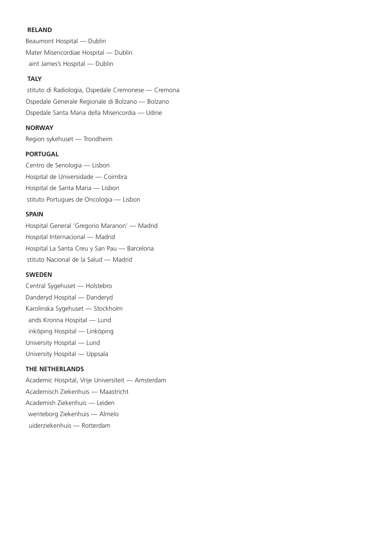#### **RELAND**

Beaumont Hospital — Dublin Mater Misericordiae Hospital — Dublin aint James's Hospital — Dublin

#### **TALY**

stituto di Radiologia, Ospedale Cremonese — Cremona Ospedale Generale Regionale di Bolzano — Bolzano Ospedale Santa Maria della Misericordia — Udine

#### **NORWAY**

Region sykehuset — Trondheim

#### **PORTUGAL**

Centro de Senologia — Lisbon Hospital de Universidade — Coimbra Hospital de Santa Maria — Lisbon stituto Portugues de Oncologia — Lisbon

#### **SPAIN**

Hospital General 'Gregorio Maranon' — Madrid Hospital Internacional — Madrid Hospital La Santa Creu y San Pau — Barcelona stituto Nacional de la Salud — Madrid

#### **SWEDEN**

Central Sygehuset — Holstebro Danderyd Hospital — Danderyd Karolinska Sygehuset — Stockholm ands Kronna Hospital — Lund inköping Hospital — Linköping University Hospital — Lund University Hospital — Uppsala

### **THE NETHERLANDS**

Academic Hospital, Vrije Universiteit — Amsterdam Academisch Ziekenhuis — Maastricht Academish Ziekenhuis — Leiden wenteborg Ziekenhuis — Almelo uiderziekenhuis — Rotterdam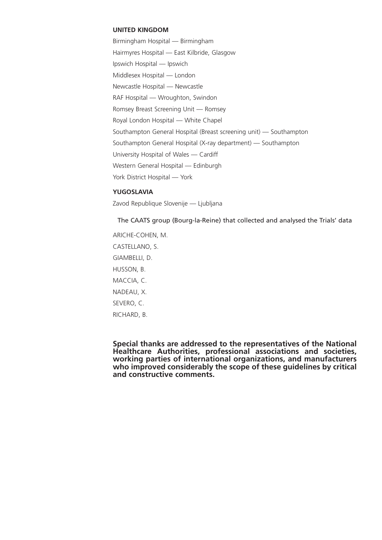#### **UNITED KINGDOM**

Birmingham Hospital — Birmingham Hairmyres Hospital — East Kilbride, Glasgow Ipswich Hospital — Ipswich Middlesex Hospital — London Newcastle Hospital — Newcastle RAF Hospital — Wroughton, Swindon Romsey Breast Screening Unit — Romsey Royal London Hospital — White Chapel Southampton General Hospital (Breast screening unit) — Southampton Southampton General Hospital (X-ray department) — Southampton University Hospital of Wales — Cardiff Western General Hospital — Edinburgh York District Hospital — York

#### **YUGOSLAVIA**

Zavod Republique Slovenije — Ljubljana

The CAATS group (Bourg-la-Reine) that collected and analysed the Trials' data

ARICHE-COHEN, M. CASTELLANO, S. GIAMBELLI, D. HUSSON, B. MACCIA, C. NADEAU, X. SEVERO, C. RICHARD, B.

**Special thanks are addressed to the representatives of the National Healthcare Authorities, professional associations and societies, working parties of international organizations, and manufacturers** who improved considerably the scope of these guidelines by critical **and constructive comments.**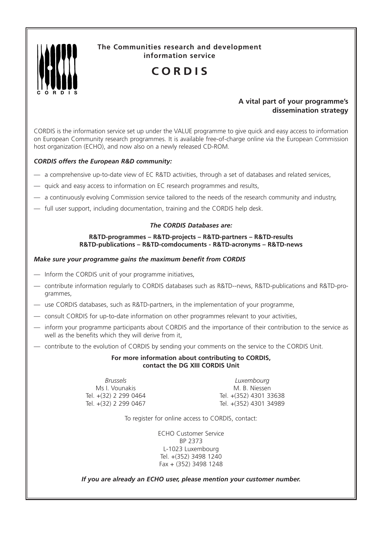

# **The Communities research and development information service**

# **CORDIS**

# **A vital part of your programme's dissemination strategy**

CORDIS is the information service set up under the VALUE programme to give quick and easy access to information on European Community research programmes. It is available free-of-charge online via the European Commission host organization (ECHO), and now also on a newly released CD-ROM.

## *CORDIS offers the European R&D community:*

- a comprehensive up-to-date view of EC R&TD activities, through a set of databases and related services,
- quick and easy access to information on EC research programmes and results,
- a continuously evolving Commission service tailored to the needs of the research community and industry,
- full user support, including documentation, training and the CORDIS help desk.

#### *The CORDIS Databases are:*

#### **R&TD-programmes – R&TD-projects – R&TD-partners – R&TD-results R&TD-publications – R&TD-comdocuments - R&TD-acronyms – R&TD-news**

#### *Make sure your programme gains the maximum benefit from CORDIS*

- Inform the CORDIS unit of your programme initiatives,
- contribute information regularly to CORDIS databases such as R&TD--news, R&TD-publications and R&TD-programmes,
- use CORDIS databases, such as R&TD-partners, in the implementation of your programme,
- consult CORDIS for up-to-date information on other programmes relevant to your activities,
- inform your programme participants about CORDIS and the importance of their contribution to the service as well as the benefits which they will derive from it,
- contribute to the evolution of CORDIS by sending your comments on the service to the CORDIS Unit.

#### **For more information about contributing to CORDIS, contact the DG XIII CORDIS Unit**

Ms I. Vounakis M. B. Niessen

*Brussels Luxembourg* Tel. +(32) 2 299 0464 Tel. +(352) 4301 33638 Tel. +(32) 2 299 0467 Tel. +(352) 4301 34989

To register for online access to CORDIS, contact:

ECHO Customer Service BP 2373 L-1023 Luxembourg Tel. +(352) 3498 1240 Fax + (352) 3498 1248

*If you are already an ECHO user, please mention your customer number.*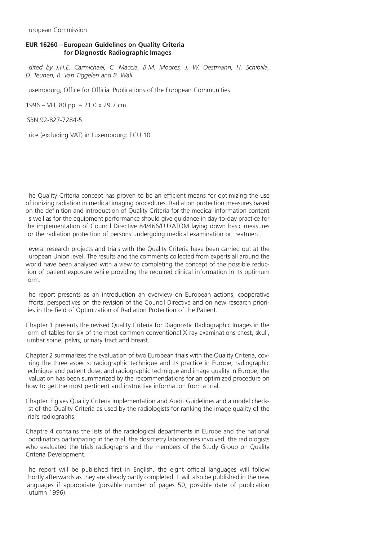uropean Commission

#### **EUR 16260 – European Guidelines on Quality Criteria for Diagnostic Radiographic Images**

*dited by J.H.E. Carmichael, C. Maccia, B.M. Moores, J. W. Oestmann, H. Schibilla, D. Teunen, R. Van Tiggelen and B. Wall*

uxembourg, Office for Official Publications of the European Communities

1996 – VIII, 80 pp. – 21.0 x 29.7 cm

SBN 92-827-7284-5

rice (excluding VAT) in Luxembourg: ECU 10

he Quality Criteria concept has proven to be an efficient means for optimizing the use of ionizing radiation in medical imaging procedures. Radiation protection measures based on the definition and introduction of Quality Criteria for the medical information content s well as for the equipment performance should give guidance in day-to-day practice for he implementation of Council Directive 84/466/EURATOM laying down basic measures or the radiation protection of persons undergoing medical examination or treatment.

everal research projects and trials with the Quality Criteria have been carried out at the uropean Union level. The results and the comments collected from experts all around the world have been analysed with a view to completing the concept of the possible reducion of patient exposure while providing the required clinical information in its optimum orm.

he report presents as an introduction an overview on European actions, cooperative fforts, perspectives on the revision of the Council Directive and on new research prioriies in the field of Optimization of Radiation Protection of the Patient.

Chapter 1 presents the revised Quality Criteria for Diagnostic Radiographic Images in the orm of tables for six of the most common conventional X-ray examinations chest, skull, umbar spine, pelvis, urinary tract and breast.

Chapter 2 summarizes the evaluation of two European trials with the Quality Criteria, covring the three aspects: radiographic technique and its practice in Europe, radiographic echnique and patient dose, and radiographic technique and image quality in Europe; the valuation has been summarized by the recommendations for an optimized procedure on how to get the most pertinent and instructive information from a trial.

Chapter 3 gives Quality Criteria Implementation and Audit Guidelines and a model checkst of the Quality Criteria as used by the radiologists for ranking the image quality of the rial's radiographs.

Chaptre 4 contains the lists of the radiological departments in Europe and the national oordinators participating in the trial, the dosimetry laboratories involved, the radiologists who evaluated the trials radiographs and the members of the Study Group on Quality Criteria Development.

he report will be published first in English, the eight official languages will follow hortly afterwards as they are already partly completed. It will also be published in the new anguages if appropriate (possible number of pages 50, possible date of publication utumn 1996).